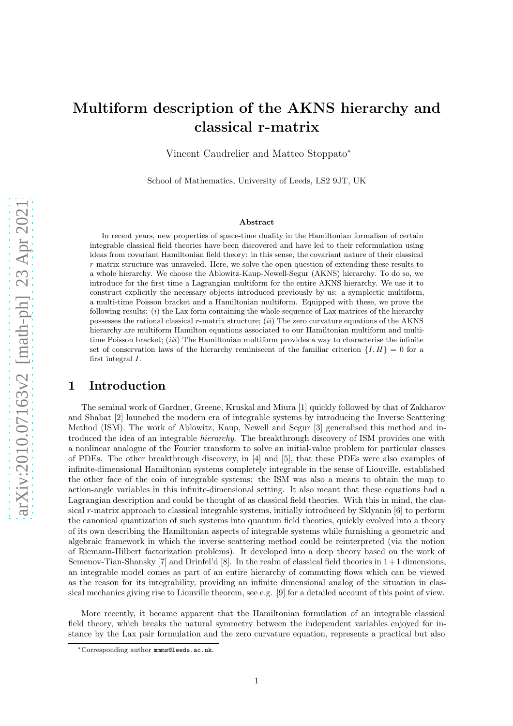# Multiform description of the AKNS hierarchy and classical r-matrix

Vincent Caudrelier and Matteo Stoppato<sup>∗</sup>

School of Mathematics, University of Leeds, LS2 9JT, UK

#### Abstract

In recent years, new properties of space-time duality in the Hamiltonian formalism of certain integrable classical field theories have been discovered and have led to their reformulation using ideas from covariant Hamiltonian field theory: in this sense, the covariant nature of their classical r-matrix structure was unraveled. Here, we solve the open question of extending these results to a whole hierarchy. We choose the Ablowitz-Kaup-Newell-Segur (AKNS) hierarchy. To do so, we introduce for the first time a Lagrangian multiform for the entire AKNS hierarchy. We use it to construct explicitly the necessary objects introduced previously by us: a symplectic multiform, a multi-time Poisson bracket and a Hamiltonian multiform. Equipped with these, we prove the following results:  $(i)$  the Lax form containing the whole sequence of Lax matrices of the hierarchy possesses the rational classical r-matrix structure;  $(ii)$  The zero curvature equations of the AKNS hierarchy are multiform Hamilton equations associated to our Hamiltonian multiform and multitime Poisson bracket; *(iii)* The Hamiltonian multiform provides a way to characterise the infinite set of conservation laws of the hierarchy reminiscent of the familiar criterion  $\{I, H\} = 0$  for a first integral I.

# 1 Introduction

The seminal work of Gardner, Greene, Kruskal and Miura [\[1\]](#page-30-0) quickly followed by that of Zakharov and Shabat [\[2](#page-30-1)] launched the modern era of integrable systems by introducing the Inverse Scattering Method (ISM). The work of Ablowitz, Kaup, Newell and Segur [\[3\]](#page-30-2) generalised this method and introduced the idea of an integrable *hierarchy*. The breakthrough discovery of ISM provides one with a nonlinear analogue of the Fourier transform to solve an initial-value problem for particular classes of PDEs. The other breakthrough discovery, in [\[4](#page-30-3)] and [\[5](#page-30-4)], that these PDEs were also examples of infinite-dimensional Hamiltonian systems completely integrable in the sense of Liouville, established the other face of the coin of integrable systems: the ISM was also a means to obtain the map to action-angle variables in this infinite-dimensional setting. It also meant that these equations had a Lagrangian description and could be thought of as classical field theories. With this in mind, the classical r-matrix approach to classical integrable systems, initially introduced by Sklyanin  $[6]$  to perform the canonical quantization of such systems into quantum field theories, quickly evolved into a theory of its own describing the Hamiltonian aspects of integrable systems while furnishing a geometric and algebraic framework in which the inverse scattering method could be reinterpreted (via the notion of Riemann-Hilbert factorization problems). It developed into a deep theory based on the work of Semenov-Tian-Shansky [\[7\]](#page-30-6) and Drinfel'd [\[8\]](#page-30-7). In the realm of classical field theories in 1+1 dimensions, an integrable model comes as part of an entire hierarchy of commuting flows which can be viewed as the reason for its integrability, providing an infinite dimensional analog of the situation in classical mechanics giving rise to Liouville theorem, see e.g. [\[9](#page-30-8)] for a detailed account of this point of view.

More recently, it became apparent that the Hamiltonian formulation of an integrable classical field theory, which breaks the natural symmetry between the independent variables enjoyed for instance by the Lax pair formulation and the zero curvature equation, represents a practical but also

<sup>∗</sup>Corresponding author mmms@leeds.ac.uk.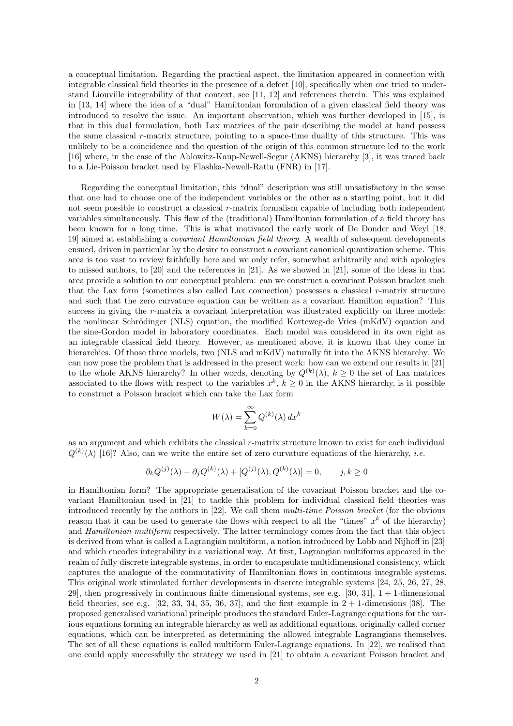a conceptual limitation. Regarding the practical aspect, the limitation appeared in connection with integrable classical field theories in the presence of a defect [\[10\]](#page-31-0), specifically when one tried to understand Liouville integrability of that context, see [\[11,](#page-31-1) [12\]](#page-31-2) and references therein. This was explained in [\[13](#page-31-3), [14\]](#page-31-4) where the idea of a "dual" Hamiltonian formulation of a given classical field theory was introduced to resolve the issue. An important observation, which was further developed in [\[15\]](#page-31-5), is that in this dual formulation, both Lax matrices of the pair describing the model at hand possess the same classical r-matrix structure, pointing to a space-time duality of this structure. This was unlikely to be a coincidence and the question of the origin of this common structure led to the work [\[16\]](#page-31-6) where, in the case of the Ablowitz-Kaup-Newell-Segur (AKNS) hierarchy [\[3\]](#page-30-2), it was traced back to a Lie-Poisson bracket used by Flashka-Newell-Ratiu (FNR) in [\[17\]](#page-31-7).

Regarding the conceptual limitation, this "dual" description was still unsatisfactory in the sense that one had to choose one of the independent variables or the other as a starting point, but it did not seem possible to construct a classical r-matrix formalism capable of including both independent variables simultaneously. This flaw of the (traditional) Hamiltonian formulation of a field theory has been known for a long time. This is what motivated the early work of De Donder and Weyl [\[18,](#page-31-8) [19\]](#page-31-9) aimed at establishing a *covariant Hamiltonian field theory*. A wealth of subsequent developments ensued, driven in particular by the desire to construct a covariant canonical quantization scheme. This area is too vast to review faithfully here and we only refer, somewhat arbitrarily and with apologies to missed authors, to [\[20\]](#page-31-10) and the references in [\[21\]](#page-31-11). As we showed in [\[21\]](#page-31-11), some of the ideas in that area provide a solution to our conceptual problem: can we construct a covariant Poisson bracket such that the Lax form (sometimes also called Lax connection) possesses a classical  $r$ -matrix structure and such that the zero curvature equation can be written as a covariant Hamilton equation? This success in giving the r-matrix a covariant interpretation was illustrated explicitly on three models: the nonlinear Schrödinger (NLS) equation, the modified Korteweg-de Vries (mKdV) equation and the sine-Gordon model in laboratory coordinates. Each model was considered in its own right as an integrable classical field theory. However, as mentioned above, it is known that they come in hierarchies. Of those three models, two (NLS and mKdV) naturally fit into the AKNS hierarchy. We can now pose the problem that is addressed in the present work: how can we extend our results in [\[21](#page-31-11)] to the whole AKNS hierarchy? In other words, denoting by  $Q^{(k)}(\lambda)$ ,  $k \geq 0$  the set of Lax matrices associated to the flows with respect to the variables  $x^k$ ,  $k \geq 0$  in the AKNS hierarchy, is it possible to construct a Poisson bracket which can take the Lax form

$$
W(\lambda) = \sum_{k=0}^{\infty} Q^{(k)}(\lambda) dx^k
$$

as an argument and which exhibits the classical r-matrix structure known to exist for each individual  $Q^{(k)}(\lambda)$  [\[16\]](#page-31-6)? Also, can we write the entire set of zero curvature equations of the hierarchy, *i.e.* 

$$
\partial_k Q^{(j)}(\lambda) - \partial_j Q^{(k)}(\lambda) + [Q^{(j)}(\lambda), Q^{(k)}(\lambda)] = 0, \quad j, k \ge 0
$$

in Hamiltonian form? The appropriate generalisation of the covariant Poisson bracket and the covariant Hamiltonian used in [\[21\]](#page-31-11) to tackle this problem for individual classical field theories was introduced recently by the authors in [\[22\]](#page-31-12). We call them multi-time Poisson bracket (for the obvious reason that it can be used to generate the flows with respect to all the "times"  $x<sup>k</sup>$  of the hierarchy) and Hamiltonian multiform respectively. The latter terminology comes from the fact that this object is derived from what is called a Lagrangian multiform, a notion introduced by Lobb and Nijhoff in [\[23](#page-31-13)] and which encodes integrability in a variational way. At first, Lagrangian multiforms appeared in the realm of fully discrete integrable systems, in order to encapsulate multidimensional consistency, which captures the analogue of the commutativity of Hamiltonian flows in continuous integrable systems. This original work stimulated further developments in discrete integrable systems [\[24,](#page-31-14) [25,](#page-31-15) [26,](#page-31-16) [27,](#page-31-17) [28,](#page-32-0) [29\]](#page-32-1), then progressively in continuous finite dimensional systems, see e.g.  $[30, 31]$  $[30, 31]$ ,  $1 + 1$ -dimensional field theories, see e.g. [\[32,](#page-32-4) [33](#page-32-5), [34](#page-32-6), [35,](#page-32-7) [36,](#page-32-8) [37\]](#page-32-9), and the first example in  $2 + 1$ -dimensions [\[38](#page-32-10)]. The proposed generalised variational principle produces the standard Euler-Lagrange equations for the various equations forming an integrable hierarchy as well as additional equations, originally called corner equations, which can be interpreted as determining the allowed integrable Lagrangians themselves. The set of all these equations is called multiform Euler-Lagrange equations. In [\[22\]](#page-31-12), we realised that one could apply successfully the strategy we used in [\[21\]](#page-31-11) to obtain a covariant Poisson bracket and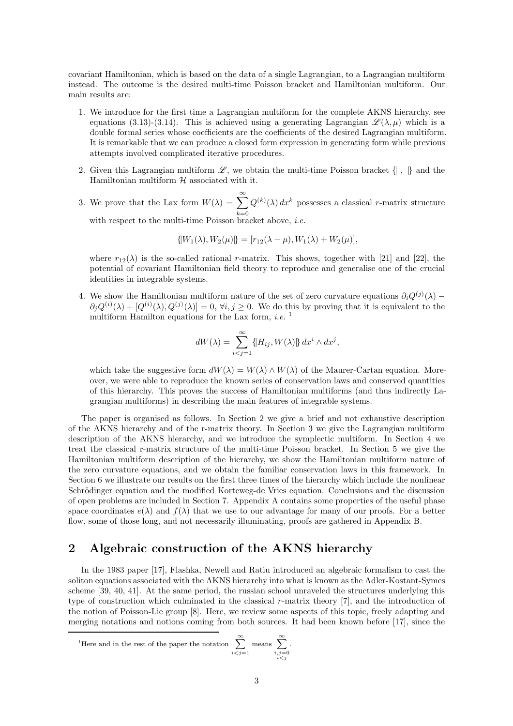covariant Hamiltonian, which is based on the data of a single Lagrangian, to a Lagrangian multiform instead. The outcome is the desired multi-time Poisson bracket and Hamiltonian multiform. Our main results are:

- 1. We introduce for the first time a Lagrangian multiform for the complete AKNS hierarchy, see equations [\(3.13\)](#page-8-0)-[\(3.14\)](#page-8-1). This is achieved using a generating Lagrangian  $\mathscr{L}(\lambda, \mu)$  which is a double formal series whose coefficients are the coefficients of the desired Lagrangian multiform. It is remarkable that we can produce a closed form expression in generating form while previous attempts involved complicated iterative procedures.
- 2. Given this Lagrangian multiform  $\mathscr{L}$ , we obtain the multi-time Poisson bracket  $\{\, , \, \}$  and the Hamiltonian multiform  $H$  associated with it.
- 3. We prove that the Lax form  $W(\lambda) = \sum_{n=1}^{\infty}$  $_{k=0}$  $Q^{(k)}(\lambda) dx^k$  possesses a classical r-matrix structure with respect to the multi-time Poisson bracket above, *i.e.*

 $\{[W_1(\lambda), W_2(\mu)]\} = [r_{12}(\lambda - \mu), W_1(\lambda) + W_2(\mu)],$ 

where  $r_{12}(\lambda)$  is the so-called rational r-matrix. This shows, together with [\[21](#page-31-11)] and [\[22](#page-31-12)], the potential of covariant Hamiltonian field theory to reproduce and generalise one of the crucial identities in integrable systems.

4. We show the Hamiltonian multiform nature of the set of zero curvature equations  $\partial_i Q^{(j)}(\lambda)$  –  $\partial_j Q^{(i)}(\lambda) + [Q^{(i)}(\lambda), Q^{(j)}(\lambda)] = 0, \forall i, j \ge 0.$  We do this by proving that it is equivalent to the multiform Hamilton equations for the Lax form, *i.e.*  $^1$  $^1$ 

$$
dW(\lambda) = \sum_{i < j=1}^{\infty} \{ H_{ij}, W(\lambda) \} \, dx^i \wedge dx^j,
$$

which take the suggestive form  $dW(\lambda) = W(\lambda) \wedge W(\lambda)$  of the Maurer-Cartan equation. Moreover, we were able to reproduce the known series of conservation laws and conserved quantities of this hierarchy. This proves the success of Hamiltonian multiforms (and thus indirectly Lagrangian multiforms) in describing the main features of integrable systems.

The paper is organised as follows. In Section [2](#page-2-1) we give a brief and not exhaustive description of the AKNS hierarchy and of the r-matrix theory. In Section [3](#page-7-0) we give the Lagrangian multiform description of the AKNS hierarchy, and we introduce the symplectic multiform. In Section [4](#page-11-0) we treat the classical r-matrix structure of the multi-time Poisson bracket. In Section [5](#page-13-0) we give the Hamiltonian multiform description of the hierarchy, we show the Hamiltonian multiform nature of the zero curvature equations, and we obtain the familiar conservation laws in this framework. In Section [6](#page-16-0) we illustrate our results on the first three times of the hierarchy which include the nonlinear Schrödinger equation and the modified Korteweg-de Vries equation. Conclusions and the discussion of open problems are included in Section [7.](#page-19-0) Appendix [A](#page-20-0) contains some properties of the useful phase space coordinates  $e(\lambda)$  and  $f(\lambda)$  that we use to our advantage for many of our proofs. For a better flow, some of those long, and not necessarily illuminating, proofs are gathered in Appendix [B.](#page-22-0)

# <span id="page-2-1"></span>2 Algebraic construction of the AKNS hierarchy

In the 1983 paper [\[17](#page-31-7)], Flashka, Newell and Ratiu introduced an algebraic formalism to cast the soliton equations associated with the AKNS hierarchy into what is known as the Adler-Kostant-Symes scheme [\[39](#page-32-11), [40](#page-32-12), [41\]](#page-32-13). At the same period, the russian school unraveled the structures underlying this type of construction which culminated in the classical r-matrix theory  $[7]$ , and the introduction of the notion of Poisson-Lie group [\[8](#page-30-7)]. Here, we review some aspects of this topic, freely adapting and merging notations and notions coming from both sources. It had been known before [\[17](#page-31-7)], since the

<span id="page-2-0"></span><sup>1</sup>Here and in the rest of the paper the notation 
$$
\sum_{i < j=1}^{\infty} \text{ means } \sum_{\substack{i,j=0 \\ i < j}}^{\infty}.
$$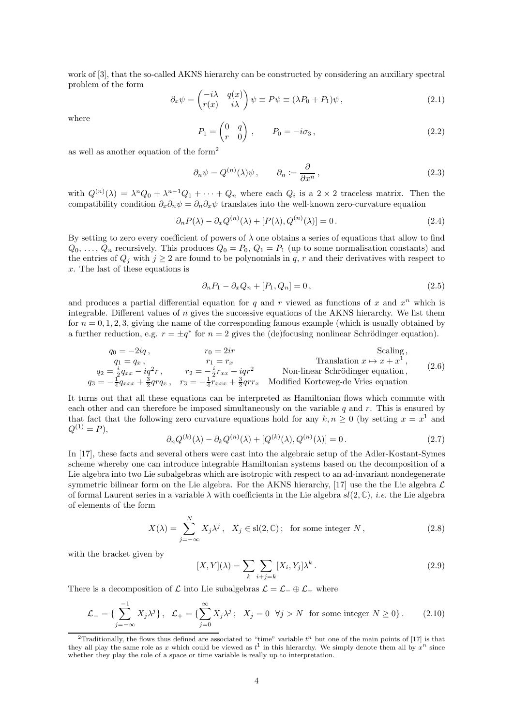work of [\[3\]](#page-30-2), that the so-called AKNS hierarchy can be constructed by considering an auxiliary spectral problem of the form

$$
\partial_x \psi = \begin{pmatrix} -i\lambda & q(x) \\ r(x) & i\lambda \end{pmatrix} \psi \equiv P\psi \equiv (\lambda P_0 + P_1)\psi , \qquad (2.1)
$$

where

$$
P_1 = \begin{pmatrix} 0 & q \\ r & 0 \end{pmatrix}, \qquad P_0 = -i\sigma_3, \tag{2.2}
$$

as well as another equation of the form[2](#page-3-0)

$$
\partial_n \psi = Q^{(n)}(\lambda)\psi \,, \qquad \partial_n := \frac{\partial}{\partial x^n} \,, \tag{2.3}
$$

with  $Q^{(n)}(\lambda) = \lambda^n Q_0 + \lambda^{n-1} Q_1 + \cdots + Q_n$  where each  $Q_i$  is a  $2 \times 2$  traceless matrix. Then the compatibility condition  $\partial_x \partial_n \psi = \partial_n \partial_x \psi$  translates into the well-known zero-curvature equation

$$
\partial_n P(\lambda) - \partial_x Q^{(n)}(\lambda) + [P(\lambda), Q^{(n)}(\lambda)] = 0. \tag{2.4}
$$

By setting to zero every coefficient of powers of  $\lambda$  one obtains a series of equations that allow to find  $Q_0, \ldots, Q_n$  recursively. This produces  $Q_0 = P_0, Q_1 = P_1$  (up to some normalisation constants) and the entries of  $Q_j$  with  $j \geq 2$  are found to be polynomials in q, r and their derivatives with respect to x. The last of these equations is

$$
\partial_n P_1 - \partial_x Q_n + [P_1, Q_n] = 0, \qquad (2.5)
$$

and produces a partial differential equation for  $q$  and  $r$  viewed as functions of  $x$  and  $x^n$  which is integrable. Different values of  $n$  gives the successive equations of the AKNS hierarchy. We list them for  $n = 0, 1, 2, 3$ , giving the name of the corresponding famous example (which is usually obtained by a further reduction, e.g.  $r = \pm q^*$  for  $n = 2$  gives the (de)focusing nonlinear Schrödinger equation).

$$
q_{0} = -2iq, \t r_{0} = 2ir
$$
Scaling,  
\n
$$
q_{1} = q_{x}, \t r_{1} = r_{x}
$$
 Translation  $x \mapsto x + x^{1}$ ,  
\n
$$
q_{2} = \frac{i}{2}q_{xx} - iq^{2}r, \t r_{2} = -\frac{i}{2}r_{xx} + iqr^{2}
$$
 Non-linear Schrödinger equation,  
\n
$$
q_{3} = -\frac{1}{4}q_{xxx} + \frac{3}{2}qrq_{x}, \t r_{3} = -\frac{1}{4}r_{xxx} + \frac{3}{2}qrr_{x}
$$
 Modified Korteweg-de Vries equation

It turns out that all these equations can be interpreted as Hamiltonian flows which commute with each other and can therefore be imposed simultaneously on the variable q and r. This is ensured by that fact that the following zero curvature equations hold for any  $k, n \geq 0$  (by setting  $x = x^1$  and  $Q^{(1)} = P$ ,

$$
\partial_n Q^{(k)}(\lambda) - \partial_k Q^{(n)}(\lambda) + [Q^{(k)}(\lambda), Q^{(n)}(\lambda)] = 0.
$$
 (2.7)

In [\[17\]](#page-31-7), these facts and several others were cast into the algebraic setup of the Adler-Kostant-Symes scheme whereby one can introduce integrable Hamiltonian systems based on the decomposition of a Lie algebra into two Lie subalgebras which are isotropic with respect to an ad-invariant nondegenerate symmetric bilinear form on the Lie algebra. For the AKNS hierarchy, [\[17\]](#page-31-7) use the the Lie algebra  $\mathcal L$ of formal Laurent series in a variable  $\lambda$  with coefficients in the Lie algebra  $sl(2,\mathbb{C})$ , *i.e.* the Lie algebra of elements of the form

$$
X(\lambda) = \sum_{j=-\infty}^{N} X_j \lambda^j, \quad X_j \in sl(2, \mathbb{C}); \quad \text{for some integer } N,
$$
 (2.8)

with the bracket given by

<span id="page-3-1"></span>
$$
[X,Y](\lambda) = \sum_{k} \sum_{i+j=k} [X_i, Y_j] \lambda^k.
$$
\n(2.9)

There is a decomposition of  $\mathcal L$  into Lie subalgebras  $\mathcal L = \mathcal L_-\oplus \mathcal L_+$  where

$$
\mathcal{L}_{-} = \left\{ \sum_{j=-\infty}^{-1} X_j \lambda^j \right\}, \quad \mathcal{L}_{+} = \left\{ \sum_{j=0}^{\infty} X_j \lambda^j \right\}, \quad X_j = 0 \quad \forall j > N \text{ for some integer } N \ge 0 \} \,. \tag{2.10}
$$

<span id="page-3-0"></span><sup>&</sup>lt;sup>2</sup>Traditionally, the flows thus defined are associated to "time" variable  $t<sup>n</sup>$  but one of the main points of [\[17](#page-31-7)] is that they all play the same role as x which could be viewed as  $t^1$  in this hierarchy. We simply denote them all by  $x^n$  since whether they play the role of a space or time variable is really up to interpretation.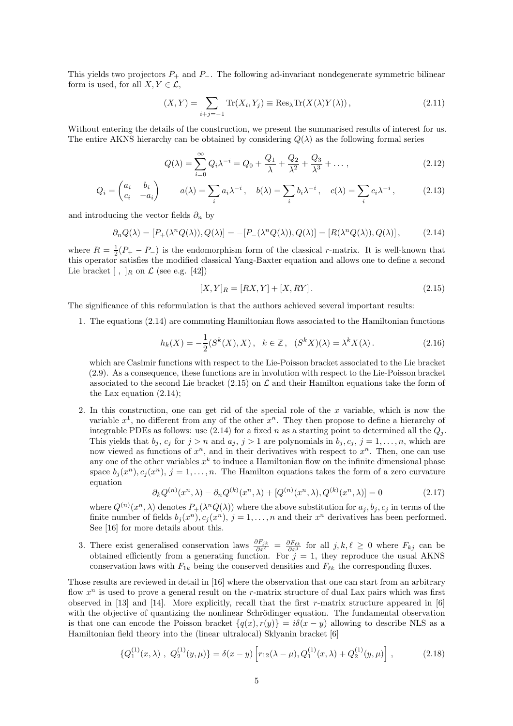This yields two projectors  $P_+$  and  $P_-$ . The following ad-invariant nondegenerate symmetric bilinear form is used, for all  $X, Y \in \mathcal{L}$ ,

$$
(X,Y) = \sum_{i+j=-1} \text{Tr}(X_i, Y_j) \equiv \text{Res}_{\lambda} \text{Tr}(X(\lambda)Y(\lambda)), \qquad (2.11)
$$

Without entering the details of the construction, we present the summarised results of interest for us. The entire AKNS hierarchy can be obtained by considering  $Q(\lambda)$  as the following formal series

$$
Q(\lambda) = \sum_{i=0}^{\infty} Q_i \lambda^{-i} = Q_0 + \frac{Q_1}{\lambda} + \frac{Q_2}{\lambda^2} + \frac{Q_3}{\lambda^3} + \dots,
$$
 (2.12)

$$
Q_i = \begin{pmatrix} a_i & b_i \\ c_i & -a_i \end{pmatrix} \qquad a(\lambda) = \sum_i a_i \lambda^{-i} , \quad b(\lambda) = \sum_i b_i \lambda^{-i} , \quad c(\lambda) = \sum_i c_i \lambda^{-i} , \qquad (2.13)
$$

and introducing the vector fields  $\partial_n$  by

<span id="page-4-0"></span>
$$
\partial_n Q(\lambda) = [P_+(\lambda^n Q(\lambda)), Q(\lambda)] = -[P_-(\lambda^n Q(\lambda)), Q(\lambda)] = [R(\lambda^n Q(\lambda)), Q(\lambda)], \qquad (2.14)
$$

where  $R = \frac{1}{2}(P_+ - P_-)$  is the endomorphism form of the classical r-matrix. It is well-known that this operator satisfies the modified classical Yang-Baxter equation and allows one to define a second Lie bracket  $\lceil$ ,  $\rceil_R$  on  $\mathcal L$  (see e.g. [\[42\]](#page-32-14))

<span id="page-4-2"></span><span id="page-4-1"></span>
$$
[X,Y]_R = [RX,Y] + [X,RY].
$$
\n(2.15)

The significance of this reformulation is that the authors achieved several important results:

1. The equations [\(2.14\)](#page-4-0) are commuting Hamiltonian flows associated to the Hamiltonian functions

<span id="page-4-3"></span>
$$
h_k(X) = -\frac{1}{2}(S^k(X), X), \quad k \in \mathbb{Z}, \quad (S^k X)(\lambda) = \lambda^k X(\lambda).
$$
 (2.16)

which are Casimir functions with respect to the Lie-Poisson bracket associated to the Lie bracket [\(2.9\)](#page-3-1). As a consequence, these functions are in involution with respect to the Lie-Poisson bracket associated to the second Lie bracket [\(2.15\)](#page-4-1) on  $\mathcal L$  and their Hamilton equations take the form of the Lax equation [\(2.14\)](#page-4-0);

2. In this construction, one can get rid of the special role of the x variable, which is now the variable  $x^1$ , no different from any of the other  $x^n$ . They then propose to define a hierarchy of integrable PDEs as follows: use [\(2.14\)](#page-4-0) for a fixed n as a starting point to determined all the  $Q_i$ . This yields that  $b_j, c_j$  for  $j > n$  and  $a_j, j > 1$  are polynomials in  $b_j, c_j, j = 1, \ldots, n$ , which are now viewed as functions of  $x^n$ , and in their derivatives with respect to  $x^n$ . Then, one can use any one of the other variables  $x^k$  to induce a Hamiltonian flow on the infinite dimensional phase space  $b_j(x^n), c_j(x^n), j = 1, ..., n$ . The Hamilton equations takes the form of a zero curvature equation

$$
\partial_k Q^{(n)}(x^n, \lambda) - \partial_n Q^{(k)}(x^n, \lambda) + [Q^{(n)}(x^n, \lambda), Q^{(k)}(x^n, \lambda)] = 0 \tag{2.17}
$$

where  $Q^{(n)}(x^n, \lambda)$  denotes  $P_+(\lambda^n Q(\lambda))$  where the above substitution for  $a_j, b_j, c_j$  in terms of the finite number of fields  $b_j(x^n), c_j(x^n), j = 1, ..., n$  and their  $x^n$  derivatives has been performed. See [\[16\]](#page-31-6) for more details about this.

3. There exist generalised conservation laws  $\frac{\partial F_{jk}}{\partial x^{\ell}} = \frac{\partial F_{\ell k}}{\partial x^j}$  for all  $j, k, \ell \geq 0$  where  $F_{kj}$  can be obtained efficiently from a generating function. For  $j = 1$ , they reproduce the usual AKNS conservation laws with  $F_{1k}$  being the conserved densities and  $F_{\ell k}$  the corresponding fluxes.

Those results are reviewed in detail in [\[16\]](#page-31-6) where the observation that one can start from an arbitrary flow  $x^n$  is used to prove a general result on the r-matrix structure of dual Lax pairs which was first observed in [\[13\]](#page-31-3) and [\[14\]](#page-31-4). More explicitly, recall that the first r-matrix structure appeared in [\[6](#page-30-5)] with the objective of quantizing the nonlinear Schrödinger equation. The fundamental observation is that one can encode the Poisson bracket  $\{q(x), r(y)\} = i\delta(x - y)$  allowing to describe NLS as a Hamiltonian field theory into the (linear ultralocal) Sklyanin bracket [\[6](#page-30-5)]

<span id="page-4-4"></span>
$$
\{Q_1^{(1)}(x,\lambda), Q_2^{(1)}(y,\mu)\} = \delta(x-y) \left[ r_{12}(\lambda-\mu), Q_1^{(1)}(x,\lambda) + Q_2^{(1)}(y,\mu) \right],
$$
 (2.18)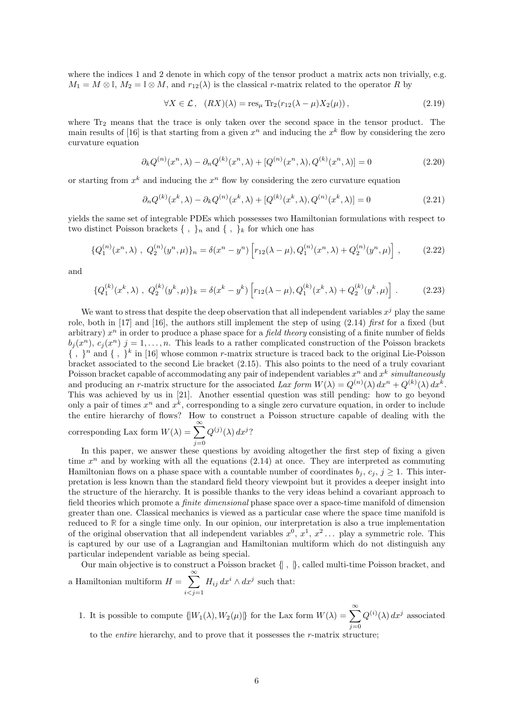where the indices 1 and 2 denote in which copy of the tensor product a matrix acts non trivially, e.g.  $M_1 = M \otimes \mathbb{I}$ ,  $M_2 = \mathbb{I} \otimes M$ , and  $r_{12}(\lambda)$  is the classical r-matrix related to the operator R by

$$
\forall X \in \mathcal{L}, \quad (RX)(\lambda) = \text{res}_{\mu} \operatorname{Tr}_2(r_{12}(\lambda - \mu)X_2(\mu)), \tag{2.19}
$$

where  $Tr_2$  means that the trace is only taken over the second space in the tensor product. The main results of [\[16](#page-31-6)] is that starting from a given  $x^n$  and inducing the  $x^k$  flow by considering the zero curvature equation

$$
\partial_k Q^{(n)}(x^n, \lambda) - \partial_n Q^{(k)}(x^n, \lambda) + [Q^{(n)}(x^n, \lambda), Q^{(k)}(x^n, \lambda)] = 0 \tag{2.20}
$$

or starting from  $x^k$  and inducing the  $x^n$  flow by considering the zero curvature equation

$$
\partial_n Q^{(k)}(x^k, \lambda) - \partial_k Q^{(n)}(x^k, \lambda) + [Q^{(k)}(x^k, \lambda), Q^{(n)}(x^k, \lambda)] = 0 \tag{2.21}
$$

yields the same set of integrable PDEs which possesses two Hamiltonian formulations with respect to two distinct Poisson brackets  $\{\ ,\ \}_n$  and  $\{\ ,\ \}_k$  for which one has

$$
\{Q_1^{(n)}(x^n,\lambda) , Q_2^{(n)}(y^n,\mu)\}_n = \delta(x^n - y^n) \left[ r_{12}(\lambda - \mu), Q_1^{(n)}(x^n,\lambda) + Q_2^{(n)}(y^n,\mu) \right],
$$
 (2.22)

and

$$
\{Q_1^{(k)}(x^k,\lambda) , Q_2^{(k)}(y^k,\mu)\}_k = \delta(x^k - y^k) \left[ r_{12}(\lambda - \mu), Q_1^{(k)}(x^k,\lambda) + Q_2^{(k)}(y^k,\mu) \right].
$$
 (2.23)

We want to stress that despite the deep observation that all independent variables  $x^j$  play the same role, both in [\[17](#page-31-7)] and [\[16](#page-31-6)], the authors still implement the step of using  $(2.14)$  first for a fixed (but arbitrary)  $x^n$  in order to produce a phase space for a *field theory* consisting of a finite number of fields  $b_j(x^n), c_j(x^n)$  j = 1,..., n. This leads to a rather complicated construction of the Poisson brackets  $\{\ ,\ \}^n$  and  $\{\ ,\ \}^k$  in [\[16\]](#page-31-6) whose common r-matrix structure is traced back to the original Lie-Poisson bracket associated to the second Lie bracket [\(2.15\)](#page-4-1). This also points to the need of a truly covariant Poisson bracket capable of accommodating any pair of independent variables  $x^n$  and  $x^k$  simultaneously and producing an *r*-matrix structure for the associated Lax form  $W(\lambda) = Q^{(n)}(\lambda) dx^n + Q^{(k)}(\lambda) dx^k$ . This was achieved by us in [\[21\]](#page-31-11). Another essential question was still pending: how to go beyond only a pair of times  $x^n$  and  $x^k$ , corresponding to a single zero curvature equation, in order to include the entire hierarchy of flows? How to construct a Poisson structure capable of dealing with the corresponding Lax form  $W(\lambda) = \sum_{n=0}^{\infty}$  $Q^{(j)}(\lambda) dx^j$ ?

In this paper, we answer these questions by avoiding altogether the first step of fixing a given time  $x^n$  and by working with all the equations  $(2.14)$  at once. They are interpreted as commuting Hamiltonian flows on a phase space with a countable number of coordinates  $b_i, c_i, j \geq 1$ . This interpretation is less known than the standard field theory viewpoint but it provides a deeper insight into the structure of the hierarchy. It is possible thanks to the very ideas behind a covariant approach to field theories which promote a *finite dimensional* phase space over a space-time manifold of dimension greater than one. Classical mechanics is viewed as a particular case where the space time manifold is reduced to **R** for a single time only. In our opinion, our interpretation is also a true implementation of the original observation that all independent variables  $x^0, x^1, x^2 \dots$  play a symmetric role. This is captured by our use of a Lagrangian and Hamiltonian multiform which do not distinguish any particular independent variable as being special.

 $j=0$ 

Our main objective is to construct a Poisson bracket  $\{\,$  ,  $\,\}$ , called multi-time Poisson bracket, and a Hamiltonian multiform  $H = \sum_{n=1}^{\infty}$  $\sum_{i < j = 1} H_{ij} dx^i \wedge dx^j$  such that:

1. It is possible to compute  $\{W_1(\lambda), W_2(\mu)\}\)$  for the Lax form  $W(\lambda) = \sum_{j=0}^{\infty}$  $Q^{(i)}(\lambda) dx^j$  associated to the entire hierarchy, and to prove that it possesses the r-matrix structure;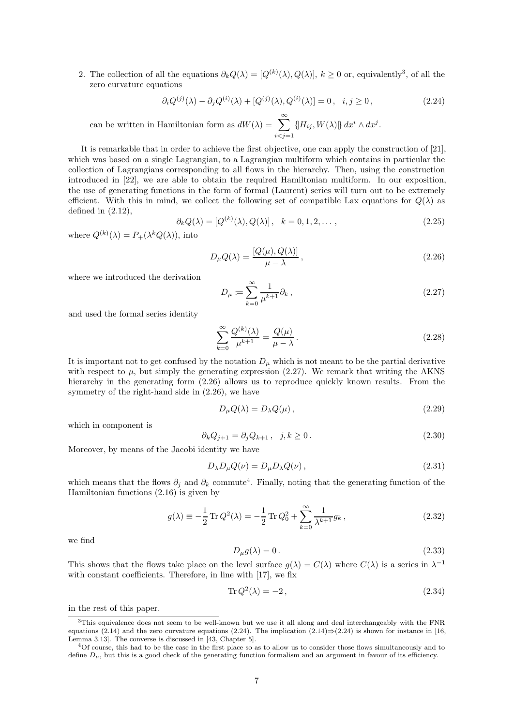2. The collection of all the equations  $\partial_k Q(\lambda) = [Q^{(k)}(\lambda), Q(\lambda)], k \ge 0$  or, equivalently<sup>[3](#page-6-0)</sup>, of all the zero curvature equations

<span id="page-6-4"></span>
$$
\partial_i Q^{(j)}(\lambda) - \partial_j Q^{(i)}(\lambda) + [Q^{(j)}(\lambda), Q^{(i)}(\lambda)] = 0, \quad i, j \ge 0,
$$
\n(2.24)

can be written in Hamiltonian form as  $dW(\lambda) = \sum_{n=0}^{\infty}$  $\sum_{i < j=1} {\left\{\n \left| H_{ij}, W(\lambda) \right| \right\} } \, dx^i \wedge dx^j.$ 

It is remarkable that in order to achieve the first objective, one can apply the construction of [\[21\]](#page-31-11), which was based on a single Lagrangian, to a Lagrangian multiform which contains in particular the collection of Lagrangians corresponding to all flows in the hierarchy. Then, using the construction introduced in [\[22\]](#page-31-12), we are able to obtain the required Hamiltonian multiform. In our exposition, the use of generating functions in the form of formal (Laurent) series will turn out to be extremely efficient. With this in mind, we collect the following set of compatible Lax equations for  $Q(\lambda)$  as defined in  $(2.12)$ ,

$$
\partial_k Q(\lambda) = [Q^{(k)}(\lambda), Q(\lambda)], \quad k = 0, 1, 2, \dots,
$$
\n
$$
(2.25)
$$

where  $Q^{(k)}(\lambda) = P_+(\lambda^k Q(\lambda))$ , into

<span id="page-6-2"></span>
$$
D_{\mu}Q(\lambda) = \frac{[Q(\mu), Q(\lambda)]}{\mu - \lambda}, \qquad (2.26)
$$

where we introduced the derivation

<span id="page-6-1"></span>
$$
D_{\mu} \coloneqq \sum_{k=0}^{\infty} \frac{1}{\mu^{k+1}} \partial_k , \qquad (2.27)
$$

and used the formal series identity

$$
\sum_{k=0}^{\infty} \frac{Q^{(k)}(\lambda)}{\mu^{k+1}} = \frac{Q(\mu)}{\mu - \lambda}.
$$
\n(2.28)

It is important not to get confused by the notation  $D_{\mu}$  which is not meant to be the partial derivative with respect to  $\mu$ , but simply the generating expression [\(2.27\)](#page-6-1). We remark that writing the AKNS hierarchy in the generating form  $(2.26)$  allows us to reproduce quickly known results. From the symmetry of the right-hand side in [\(2.26\)](#page-6-2), we have

$$
D_{\mu}Q(\lambda) = D_{\lambda}Q(\mu), \qquad (2.29)
$$

which in component is

$$
\partial_k Q_{j+1} = \partial_j Q_{k+1}, \quad j, k \ge 0. \tag{2.30}
$$

Moreover, by means of the Jacobi identity we have

$$
D_{\lambda}D_{\mu}Q(\nu) = D_{\mu}D_{\lambda}Q(\nu), \qquad (2.31)
$$

which means that the flows  $\partial_j$  and  $\partial_k$  commute<sup>[4](#page-6-3)</sup>. Finally, noting that the generating function of the Hamiltonian functions [\(2.16\)](#page-4-3) is given by

$$
g(\lambda) \equiv -\frac{1}{2} \operatorname{Tr} Q^2(\lambda) = -\frac{1}{2} \operatorname{Tr} Q_0^2 + \sum_{k=0}^{\infty} \frac{1}{\lambda^{k+1}} g_k,
$$
 (2.32)

we find

$$
D_{\mu}g(\lambda) = 0.
$$
\n<sup>(2.33)</sup>

This shows that the flows take place on the level surface  $g(\lambda) = C(\lambda)$  where  $C(\lambda)$  is a series in  $\lambda^{-1}$ with constant coefficients. Therefore, in line with [\[17\]](#page-31-7), we fix

$$
\operatorname{Tr} Q^2(\lambda) = -2\,,\tag{2.34}
$$

in the rest of this paper.

<span id="page-6-0"></span><sup>3</sup>This equivalence does not seem to be well-known but we use it all along and deal interchangeably with the FNR equations [\(2.14\)](#page-4-0) and the zero curvature equations [\(2.24\)](#page-6-4). The implication (2.14)⇒[\(2.24\)](#page-6-4) is shown for instance in [\[16,](#page-31-6) Lemma 3.13]. The converse is discussed in [\[43](#page-32-15), Chapter 5].

<span id="page-6-3"></span><sup>4</sup>Of course, this had to be the case in the first place so as to allow us to consider those flows simultaneously and to define  $D_{\mu}$ , but this is a good check of the generating function formalism and an argument in favour of its efficiency.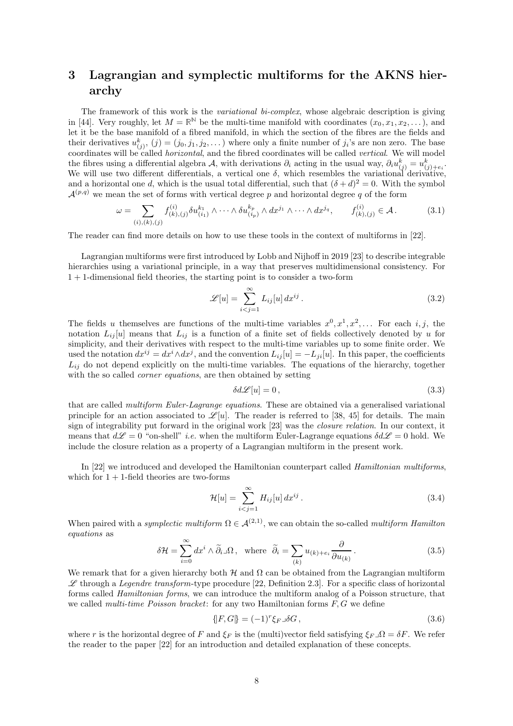# <span id="page-7-0"></span>3 Lagrangian and symplectic multiforms for the AKNS hierarchy

The framework of this work is the *variational bi-complex*, whose algebraic description is giving in [\[44\]](#page-32-16). Very roughly, let  $M = \mathbb{R}^{\mathbb{N}}$  be the multi-time manifold with coordinates  $(x_0, x_1, x_2, \ldots)$ , and let it be the base manifold of a fibred manifold, in which the section of the fibres are the fields and their derivatives  $u_{(j)}^k$ ,  $(j) = (j_0, j_1, j_2, \dots)$  where only a finite number of  $j_i$ 's are non zero. The base coordinates will be called *horizontal*, and the fibred coordinates will be called *vertical*. We will model the fibres using a differential algebra A, with derivations  $\partial_i$  acting in the usual way,  $\partial_i u_{(j)}^k = u_{(j)+e_i}^k$ . We will use two different differentials, a vertical one  $\delta$ , which resembles the variational derivative, and a horizontal one d, which is the usual total differential, such that  $(\delta + d)^2 = 0$ . With the symbol  $\mathcal{A}^{(p,q)}$  we mean the set of forms with vertical degree p and horizontal degree q of the form

$$
\omega = \sum_{(i),(k),(j)} f_{(k),(j)}^{(i)} \delta u_{(i_1)}^{k_1} \wedge \cdots \wedge \delta u_{(i_p)}^{k_p} \wedge dx^{j_1} \wedge \cdots \wedge dx^{j_q}, \qquad f_{(k),(j)}^{(i)} \in \mathcal{A}.
$$
 (3.1)

The reader can find more details on how to use these tools in the context of multiforms in [\[22\]](#page-31-12).

Lagrangian multiforms were first introduced by Lobb and Nijhoff in 2019 [\[23](#page-31-13)] to describe integrable hierarchies using a variational principle, in a way that preserves multidimensional consistency. For 1 + 1-dimensional field theories, the starting point is to consider a two-form

$$
\mathscr{L}[u] = \sum_{i < j=1}^{\infty} L_{ij}[u] \, dx^{ij} \,. \tag{3.2}
$$

The fields u themselves are functions of the multi-time variables  $x^0, x^1, x^2, \ldots$  For each i, j, the notation  $L_{ij}[u]$  means that  $L_{ij}$  is a function of a finite set of fields collectively denoted by u for simplicity, and their derivatives with respect to the multi-time variables up to some finite order. We used the notation  $dx^{ij} = dx^i \wedge dx^j$ , and the convention  $L_{ij}[u] = -L_{ji}[u]$ . In this paper, the coefficients  $L_{ij}$  do not depend explicitly on the multi-time variables. The equations of the hierarchy, together with the so called *corner equations*, are then obtained by setting

$$
\delta d\mathcal{L}[u] = 0,\tag{3.3}
$$

that are called *multiform Euler-Lagrange equations*. These are obtained via a generalised variational principle for an action associated to  $\mathscr{L}[u]$ . The reader is referred to [\[38,](#page-32-10) [45](#page-32-17)] for details. The main sign of integrability put forward in the original work [\[23\]](#page-31-13) was the closure relation. In our context, it means that  $d\mathscr{L} = 0$  "on-shell" *i.e.* when the multiform Euler-Lagrange equations  $\delta d\mathscr{L} = 0$  hold. We include the closure relation as a property of a Lagrangian multiform in the present work.

In [\[22](#page-31-12)] we introduced and developed the Hamiltonian counterpart called Hamiltonian multiforms, which for  $1 + 1$ -field theories are two-forms

$$
\mathcal{H}[u] = \sum_{i < j=1}^{\infty} H_{ij}[u] \, dx^{ij} \,. \tag{3.4}
$$

When paired with a symplectic multiform  $\Omega \in \mathcal{A}^{(2,1)}$ , we can obtain the so-called multiform Hamilton equations as

<span id="page-7-1"></span>
$$
\delta \mathcal{H} = \sum_{i=0}^{\infty} dx^i \wedge \widetilde{\partial}_i \Box \Omega, \text{ where } \widetilde{\partial}_i = \sum_{(k)} u_{(k)+e_i} \frac{\partial}{\partial u_{(k)}}.
$$
 (3.5)

We remark that for a given hierarchy both H and  $\Omega$  can be obtained from the Lagrangian multiform  $\mathscr L$  through a *Legendre transform*-type procedure [\[22,](#page-31-12) Definition 2.3]. For a specific class of horizontal forms called *Hamiltonian forms*, we can introduce the multiform analog of a Poisson structure, that we called *multi-time Poisson bracket*: for any two Hamiltonian forms  $F, G$  we define

$$
\{ [F, G] \} = (-1)^r \xi_{F} \lrcorner \delta G \,, \tag{3.6}
$$

where r is the horizontal degree of F and  $\xi_F$  is the (multi)vector field satisfying  $\xi_F \lrcorner \Omega = \delta F$ . We refer the reader to the paper [\[22\]](#page-31-12) for an introduction and detailed explanation of these concepts.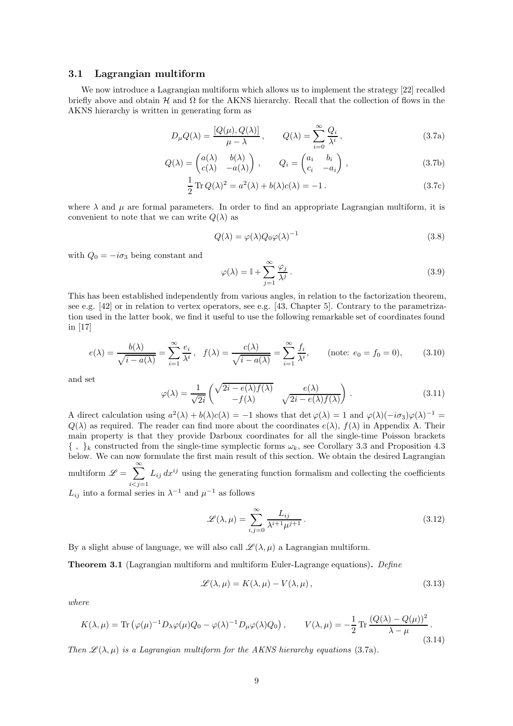#### 3.1 Lagrangian multiform

We now introduce a Lagrangian multiform which allows us to implement the strategy [\[22](#page-31-12)] recalled briefly above and obtain  $\mathcal H$  and  $\Omega$  for the AKNS hierarchy. Recall that the collection of flows in the AKNS hierarchy is written in generating form as

$$
D_{\mu}Q(\lambda) = \frac{[Q(\mu), Q(\lambda)]}{\mu - \lambda}, \qquad Q(\lambda) = \sum_{i=0}^{\infty} \frac{Q_i}{\lambda^i},
$$
\n(3.7a)

$$
Q(\lambda) = \begin{pmatrix} a(\lambda) & b(\lambda) \\ c(\lambda) & -a(\lambda) \end{pmatrix}, \qquad Q_i = \begin{pmatrix} a_i & b_i \\ c_i & -a_i \end{pmatrix}, \qquad (3.7b)
$$

$$
\frac{1}{2}\operatorname{Tr}Q(\lambda)^{2} = a^{2}(\lambda) + b(\lambda)c(\lambda) = -1.
$$
\n(3.7c)

where  $\lambda$  and  $\mu$  are formal parameters. In order to find an appropriate Lagrangian multiform, it is convenient to note that we can write  $Q(\lambda)$  as

<span id="page-8-2"></span>
$$
Q(\lambda) = \varphi(\lambda) Q_0 \varphi(\lambda)^{-1}
$$
\n(3.8)

with  $Q_0 = -i\sigma_3$  being constant and

$$
\varphi(\lambda) = \mathbb{I} + \sum_{j=1}^{\infty} \frac{\varphi_j}{\lambda^j}.
$$
\n(3.9)

This has been established independently from various angles, in relation to the factorization theorem, see e.g. [\[42](#page-32-14)] or in relation to vertex operators, see e.g. [\[43,](#page-32-15) Chapter 5]. Contrary to the parametrization used in the latter book, we find it useful to use the following remarkable set of coordinates found in [\[17\]](#page-31-7)

$$
e(\lambda) = \frac{b(\lambda)}{\sqrt{i - a(\lambda)}} = \sum_{i=1}^{\infty} \frac{e_i}{\lambda^i}, \quad f(\lambda) = \frac{c(\lambda)}{\sqrt{i - a(\lambda)}} = \sum_{i=1}^{\infty} \frac{f_i}{\lambda^i}, \qquad \text{(note: } e_0 = f_0 = 0), \tag{3.10}
$$

and set

<span id="page-8-4"></span>
$$
\varphi(\lambda) = \frac{1}{\sqrt{2i}} \begin{pmatrix} \sqrt{2i - e(\lambda)f(\lambda)} & e(\lambda) \\ -f(\lambda) & \sqrt{2i - e(\lambda)f(\lambda)} \end{pmatrix} . \tag{3.11}
$$

A direct calculation using  $a^2(\lambda) + b(\lambda)c(\lambda) = -1$  shows that  $\det \varphi(\lambda) = 1$  and  $\varphi(\lambda)(-i\sigma_3)\varphi(\lambda)^{-1} = 0$  $Q(\lambda)$  as required. The reader can find more about the coordinates  $e(\lambda)$ ,  $f(\lambda)$  in Appendix [A.](#page-20-0) Their main property is that they provide Darboux coordinates for all the single-time Poisson brackets  $\{\ ,\ \}_k$  constructed from the single-time symplectic forms  $\omega_k$ , see Corollary [3.3](#page-11-1) and Proposition [4.3](#page-12-0) below. We can now formulate the first main result of this section. We obtain the desired Lagrangian multiform  $\mathscr{L} = \sum_{n=1}^{\infty}$  $i < j = 1$  $L_{ij} dx^{ij}$  using the generating function formalism and collecting the coefficients

 $L_{ij}$  into a formal series in  $\lambda^{-1}$  and  $\mu^{-1}$  as follows

$$
\mathscr{L}(\lambda,\mu) = \sum_{i,j=0}^{\infty} \frac{L_{ij}}{\lambda^{i+1}\mu^{j+1}}.
$$
\n(3.12)

By a slight abuse of language, we will also call  $\mathscr{L}(\lambda, \mu)$  a Lagrangian multiform.

<span id="page-8-3"></span>Theorem 3.1 (Lagrangian multiform and multiform Euler-Lagrange equations). Define

<span id="page-8-0"></span>
$$
\mathscr{L}(\lambda,\mu) = K(\lambda,\mu) - V(\lambda,\mu), \qquad (3.13)
$$

where

<span id="page-8-1"></span>
$$
K(\lambda,\mu) = \text{Tr}\left(\varphi(\mu)^{-1}D_{\lambda}\varphi(\mu)Q_0 - \varphi(\lambda)^{-1}D_{\mu}\varphi(\lambda)Q_0\right), \qquad V(\lambda,\mu) = -\frac{1}{2}\text{Tr}\frac{(Q(\lambda) - Q(\mu))^2}{\lambda - \mu}.
$$
\n(3.14)

Then  $\mathscr{L}(\lambda,\mu)$  is a Lagrangian multiform for the AKNS hierarchy equations [\(3.7a\)](#page-8-2).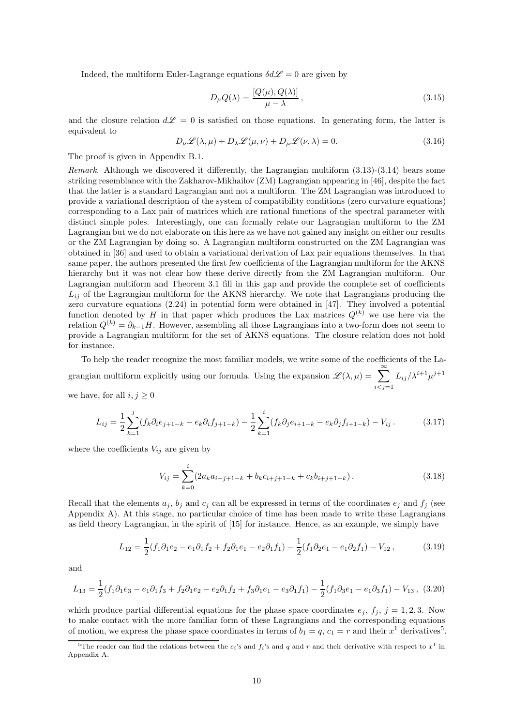Indeed, the multiform Euler-Lagrange equations  $\delta d\mathscr{L} = 0$  are given by

$$
D_{\mu}Q(\lambda) = \frac{[Q(\mu), Q(\lambda)]}{\mu - \lambda}, \qquad (3.15)
$$

and the closure relation  $d\mathscr{L} = 0$  is satisfied on those equations. In generating form, the latter is equivalent to

$$
D_{\nu}\mathcal{L}(\lambda,\mu) + D_{\lambda}\mathcal{L}(\mu,\nu) + D_{\mu}\mathcal{L}(\nu,\lambda) = 0.
$$
\n(3.16)

The proof is given in Appendix [B.1.](#page-22-1)

Remark. Although we discovered it differently, the Lagrangian multiform  $(3.13)-(3.14)$  $(3.13)-(3.14)$  bears some striking resemblance with the Zakharov-Mikhailov (ZM) Lagrangian appearing in [\[46\]](#page-33-0), despite the fact that the latter is a standard Lagrangian and not a multiform. The ZM Lagrangian was introduced to provide a variational description of the system of compatibility conditions (zero curvature equations) corresponding to a Lax pair of matrices which are rational functions of the spectral parameter with distinct simple poles. Interestingly, one can formally relate our Lagrangian multiform to the ZM Lagrangian but we do not elaborate on this here as we have not gained any insight on either our results or the ZM Lagrangian by doing so. A Lagrangian multiform constructed on the ZM Lagrangian was obtained in [\[36\]](#page-32-8) and used to obtain a variational derivation of Lax pair equations themselves. In that same paper, the authors presented the first few coefficients of the Lagrangian multiform for the AKNS hierarchy but it was not clear how these derive directly from the ZM Lagrangian multiform. Our Lagrangian multiform and Theorem [3.1](#page-8-3) fill in this gap and provide the complete set of coefficients  $L_{ij}$  of the Lagrangian multiform for the AKNS hierarchy. We note that Lagrangians producing the zero curvature equations [\(2.24\)](#page-6-4) in potential form were obtained in [\[47](#page-33-1)]. They involved a potential function denoted by H in that paper which produces the Lax matrices  $Q^{(k)}$  we use here via the relation  $Q^{(k)} = \partial_{k-1}H$ . However, assembling all those Lagrangians into a two-form does not seem to provide a Lagrangian multiform for the set of AKNS equations. The closure relation does not hold for instance.

To help the reader recognize the most familiar models, we write some of the coefficients of the Lagrangian multiform explicitly using our formula. Using the expansion  $\mathscr{L}(\lambda,\mu) = \sum_{\alpha=1}^{\infty}$  $i < j = 1$  $L_{ij}/\lambda^{i+1}\mu^{j+1}$ we have, for all  $i, j \geq 0$ 

$$
L_{ij} = \frac{1}{2} \sum_{k=1}^{j} (f_k \partial_i e_{j+1-k} - e_k \partial_i f_{j+1-k}) - \frac{1}{2} \sum_{k=1}^{i} (f_k \partial_j e_{i+1-k} - e_k \partial_j f_{i+1-k}) - V_{ij}.
$$
 (3.17)

where the coefficients  $V_{ij}$  are given by

$$
V_{ij} = \sum_{k=0}^{i} (2a_k a_{i+j+1-k} + b_k c_{i+j+1-k} + c_k b_{i+j+1-k}).
$$
\n(3.18)

Recall that the elements  $a_j$ ,  $b_j$  and  $c_j$  can all be expressed in terms of the coordinates  $e_j$  and  $f_j$  (see Appendix [A\)](#page-20-0). At this stage, no particular choice of time has been made to write these Lagrangians as field theory Lagrangian, in the spirit of [\[15](#page-31-5)] for instance. Hence, as an example, we simply have

$$
L_{12} = \frac{1}{2}(f_1\partial_1e_2 - e_1\partial_1f_2 + f_2\partial_1e_1 - e_2\partial_1f_1) - \frac{1}{2}(f_1\partial_2e_1 - e_1\partial_2f_1) - V_{12},
$$
(3.19)

and

$$
L_{13} = \frac{1}{2}(f_1\partial_1e_3 - e_1\partial_1f_3 + f_2\partial_1e_2 - e_2\partial_1f_2 + f_3\partial_1e_1 - e_3\partial_1f_1) - \frac{1}{2}(f_1\partial_3e_1 - e_1\partial_3f_1) - V_{13},
$$
 (3.20)

which produce partial differential equations for the phase space coordinates  $e_j$ ,  $f_j$ ,  $j = 1, 2, 3$ . Now to make contact with the more familiar form of these Lagrangians and the corresponding equations of motion, we express the phase space coordinates in terms of  $b_1 = q$ ,  $c_1 = r$  and their  $x^1$  derivatives<sup>[5](#page-9-0)</sup>.

<span id="page-9-0"></span><sup>&</sup>lt;sup>5</sup>The reader can find the relations between the  $e_i$ 's and  $f_i$ 's and q and r and their derivative with respect to  $x^1$  in Appendix [A.](#page-20-0)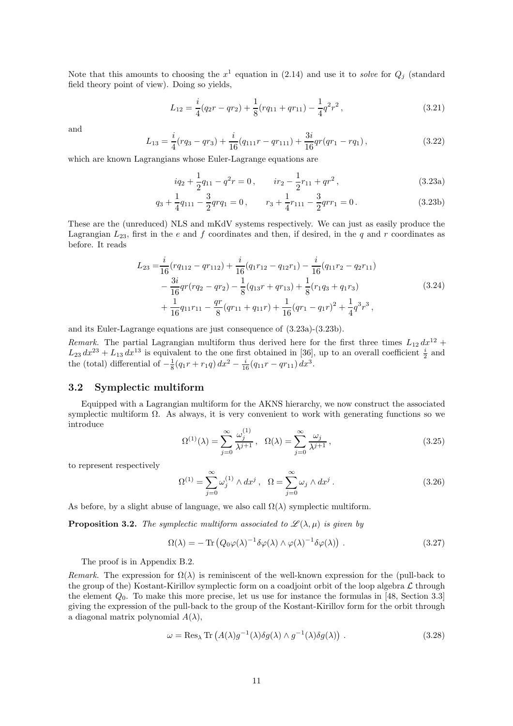Note that this amounts to choosing the  $x^1$  equation in [\(2.14\)](#page-4-0) and use it to solve for  $Q_j$  (standard field theory point of view). Doing so yields,

<span id="page-10-3"></span>
$$
L_{12} = \frac{i}{4}(q_2r - qr_2) + \frac{1}{8}(rq_{11} + qr_{11}) - \frac{1}{4}q^2r^2,
$$
\n(3.21)

and

$$
L_{13} = \frac{i}{4}(rq_3 - qr_3) + \frac{i}{16}(q_{111}r - qr_{111}) + \frac{3i}{16}qr(qr_1 - rq_1),
$$
\n(3.22)

which are known Lagrangians whose Euler-Lagrange equations are

<span id="page-10-1"></span><span id="page-10-0"></span>
$$
iq_2 + \frac{1}{2}q_{11} - q^2r = 0, \qquad ir_2 - \frac{1}{2}r_{11} + qr^2,
$$
\n(3.23a)

$$
q_3 + \frac{1}{4}q_{111} - \frac{3}{2}qrq_1 = 0, \qquad r_3 + \frac{1}{4}r_{111} - \frac{3}{2}qrr_1 = 0.
$$
 (3.23b)

These are the (unreduced) NLS and mKdV systems respectively. We can just as easily produce the Lagrangian  $L_{23}$ , first in the e and f coordinates and then, if desired, in the q and r coordinates as before. It reads

$$
L_{23} = \frac{i}{16}(rq_{112} - qr_{112}) + \frac{i}{16}(q_1r_{12} - q_{12}r_1) - \frac{i}{16}(q_{11}r_2 - q_{2}r_{11})
$$
  
\n
$$
- \frac{3i}{16}qr(rq_2 - qr_2) - \frac{1}{8}(q_{13}r + qr_{13}) + \frac{1}{8}(r_1q_3 + q_1r_3)
$$
  
\n
$$
+ \frac{1}{16}q_{11}r_{11} - \frac{qr}{8}(qr_{11} + q_{11}r) + \frac{1}{16}(qr_1 - q_1r)^2 + \frac{1}{4}q^3r^3,
$$
\n(3.24)

<span id="page-10-4"></span>and its Euler-Lagrange equations are just consequence of [\(3.23a\)](#page-10-0)-[\(3.23b\)](#page-10-1).

Remark. The partial Lagrangian multiform thus derived here for the first three times  $L_{12} dx^{12} +$  $L_{23} dx^{23} + L_{13} dx^{13}$  is equivalent to the one first obtained in [\[36\]](#page-32-8), up to an overall coefficient  $\frac{i}{2}$  and the (total) differential of  $-\frac{1}{8}(q_1r + r_1q) dx^2 - \frac{i}{16}(q_{11}r - qr_{11}) dx^3$ .

#### 3.2 Symplectic multiform

Equipped with a Lagrangian multiform for the AKNS hierarchy, we now construct the associated symplectic multiform  $\Omega$ . As always, it is very convenient to work with generating functions so we introduce

$$
\Omega^{(1)}(\lambda) = \sum_{j=0}^{\infty} \frac{\omega_j^{(1)}}{\lambda^{j+1}}, \quad \Omega(\lambda) = \sum_{j=0}^{\infty} \frac{\omega_j}{\lambda^{j+1}},\tag{3.25}
$$

to represent respectively

$$
\Omega^{(1)} = \sum_{j=0}^{\infty} \omega_j^{(1)} \wedge dx^j , \quad \Omega = \sum_{j=0}^{\infty} \omega_j \wedge dx^j . \tag{3.26}
$$

As before, by a slight abuse of language, we also call  $\Omega(\lambda)$  symplectic multiform.

<span id="page-10-5"></span>**Proposition 3.2.** The symplectic multiform associated to  $\mathcal{L}(\lambda, \mu)$  is given by

<span id="page-10-2"></span>
$$
\Omega(\lambda) = -\operatorname{Tr}\left(Q_0\varphi(\lambda)^{-1}\delta\varphi(\lambda)\wedge\varphi(\lambda)^{-1}\delta\varphi(\lambda)\right). \tag{3.27}
$$

The proof is in Appendix [B.2.](#page-24-0)

Remark. The expression for  $\Omega(\lambda)$  is reminiscent of the well-known expression for the (pull-back to the group of the) Kostant-Kirillov symplectic form on a coadjoint orbit of the loop algebra  $\mathcal L$  through the element  $Q_0$ . To make this more precise, let us use for instance the formulas in [\[48](#page-33-2), Section 3.3] giving the expression of the pull-back to the group of the Kostant-Kirillov form for the orbit through a diagonal matrix polynomial  $A(\lambda)$ ,

$$
\omega = \text{Res}_{\lambda} \text{Tr} \left( A(\lambda) g^{-1}(\lambda) \delta g(\lambda) \wedge g^{-1}(\lambda) \delta g(\lambda) \right) . \tag{3.28}
$$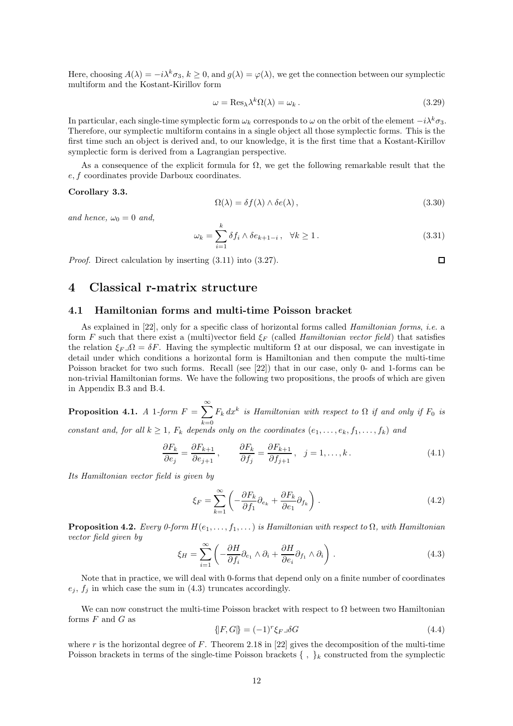Here, choosing  $A(\lambda) = -i\lambda^k \sigma_3$ ,  $k \geq 0$ , and  $g(\lambda) = \varphi(\lambda)$ , we get the connection between our symplectic multiform and the Kostant-Kirillov form

$$
\omega = \text{Res}_{\lambda} \lambda^k \Omega(\lambda) = \omega_k. \tag{3.29}
$$

In particular, each single-time symplectic form  $\omega_k$  corresponds to  $\omega$  on the orbit of the element  $-i\lambda^k\sigma_3$ . Therefore, our symplectic multiform contains in a single object all those symplectic forms. This is the first time such an object is derived and, to our knowledge, it is the first time that a Kostant-Kirillov symplectic form is derived from a Lagrangian perspective.

As a consequence of the explicit formula for  $\Omega$ , we get the following remarkable result that the e, f coordinates provide Darboux coordinates.

#### <span id="page-11-1"></span>Corollary 3.3.

$$
\Omega(\lambda) = \delta f(\lambda) \wedge \delta e(\lambda), \qquad (3.30)
$$

 $\Box$ 

and hence,  $\omega_0 = 0$  and,

<span id="page-11-3"></span>
$$
\omega_k = \sum_{i=1}^k \delta f_i \wedge \delta e_{k+1-i}, \quad \forall k \ge 1.
$$
\n(3.31)

Proof. Direct calculation by inserting [\(3.11\)](#page-8-4) into [\(3.27\)](#page-10-2).

# <span id="page-11-0"></span>4 Classical r-matrix structure

#### 4.1 Hamiltonian forms and multi-time Poisson bracket

As explained in  $[22]$ , only for a specific class of horizontal forms called *Hamiltonian forms*, *i.e.* a form F such that there exist a (multi)vector field  $\xi_F$  (called *Hamiltonian vector field*) that satisfies the relation  $\xi_F \lrcorner \Omega = \delta F$ . Having the symplectic multiform  $\Omega$  at our disposal, we can investigate in detail under which conditions a horizontal form is Hamiltonian and then compute the multi-time Poisson bracket for two such forms. Recall (see [\[22\]](#page-31-12)) that in our case, only 0- and 1-forms can be non-trivial Hamiltonian forms. We have the following two propositions, the proofs of which are given in Appendix [B.3](#page-25-0) and [B.4.](#page-25-1)

<span id="page-11-4"></span>Proposition 4.1. A 1-form  $F = \sum_{n=1}^{\infty}$  $k=0$  $F_k dx^k$  is Hamiltonian with respect to  $\Omega$  if and only if  $F_0$  is constant and, for all  $k \geq 1$ ,  $F_k$  depends only on the coordinates  $(e_1, \ldots, e_k, f_1, \ldots, f_k)$  and

$$
\frac{\partial F_k}{\partial e_j} = \frac{\partial F_{k+1}}{\partial e_{j+1}}, \qquad \frac{\partial F_k}{\partial f_j} = \frac{\partial F_{k+1}}{\partial f_{j+1}}, \quad j = 1, \dots, k. \tag{4.1}
$$

Its Hamiltonian vector field is given by

$$
\xi_F = \sum_{k=1}^{\infty} \left( -\frac{\partial F_k}{\partial f_1} \partial_{e_k} + \frac{\partial F_k}{\partial e_1} \partial_{f_k} \right). \tag{4.2}
$$

<span id="page-11-5"></span>**Proposition 4.2.** Every 0-form  $H(e_1, \ldots, f_1, \ldots)$  is Hamiltonian with respect to  $\Omega$ , with Hamiltonian vector field given by

<span id="page-11-2"></span>
$$
\xi_H = \sum_{i=1}^{\infty} \left( -\frac{\partial H}{\partial f_i} \partial_{e_1} \wedge \partial_i + \frac{\partial H}{\partial e_i} \partial_{f_1} \wedge \partial_i \right).
$$
 (4.3)

Note that in practice, we will deal with 0-forms that depend only on a finite number of coordinates  $e_j, f_j$  in which case the sum in [\(4.3\)](#page-11-2) truncates accordingly.

We can now construct the multi-time Poisson bracket with respect to  $\Omega$  between two Hamiltonian forms  $F$  and  $G$  as

$$
\{F, G\} = (-1)^r \xi_{F} \delta G \tag{4.4}
$$

where r is the horizontal degree of F. Theorem 2.18 in [\[22\]](#page-31-12) gives the decomposition of the multi-time Poisson brackets in terms of the single-time Poisson brackets  $\{\ ,\ \}_k$  constructed from the symplectic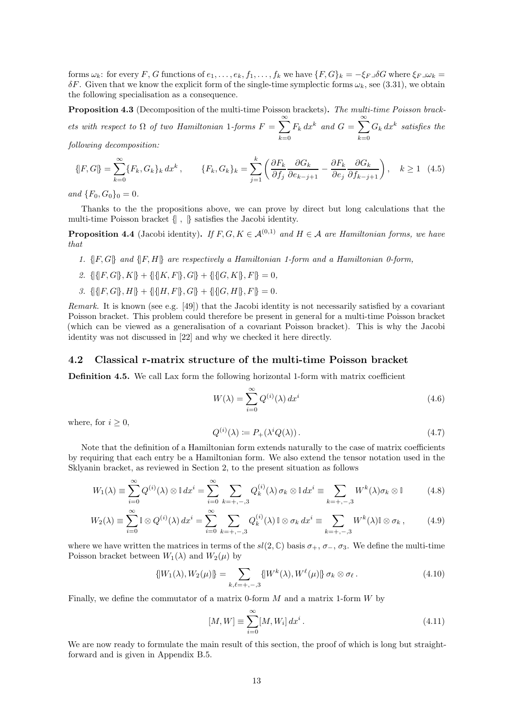forms  $\omega_k$ : for every F, G functions of  $e_1, \ldots, e_k, f_1, \ldots, f_k$  we have  $\{F, G\}_k = -\xi_F \lrcorner \delta G$  where  $\xi_F \lrcorner \omega_k =$  $\delta F$ . Given that we know the explicit form of the single-time symplectic forms  $\omega_k$ , see [\(3.31\)](#page-11-3), we obtain the following specialisation as a consequence.

<span id="page-12-0"></span>Proposition 4.3 (Decomposition of the multi-time Poisson brackets). The multi-time Poisson brackets with respect to  $\Omega$  of two Hamiltonian 1-forms  $F = \sum_{n=1}^{\infty}$  $_{k=0}$  $F_k dx^k$  and  $G = \sum_{k=1}^{\infty}$  $_{k=0}$  $G_k dx^k$  satisfies the following decomposition:

$$
\{F, G\} = \sum_{k=0}^{\infty} \{F_k, G_k\}_k dx^k, \qquad \{F_k, G_k\}_k = \sum_{j=1}^k \left(\frac{\partial F_k}{\partial f_j} \frac{\partial G_k}{\partial e_{k-j+1}} - \frac{\partial F_k}{\partial e_j} \frac{\partial G_k}{\partial f_{k-j+1}}\right), \quad k \ge 1 \quad (4.5)
$$

and  ${F_0, G_0}_0 = 0$ .

Thanks to the the propositions above, we can prove by direct but long calculations that the multi-time Poisson bracket {| , |} satisfies the Jacobi identity.

**Proposition 4.4** (Jacobi identity). If  $F, G, K \in \mathcal{A}^{(0,1)}$  and  $H \in \mathcal{A}$  are Hamiltonian forms, we have that

- 1.  $\{[F, G]\}$  and  $\{[F, H]\}$  are respectively a Hamiltonian 1-form and a Hamiltonian 0-form,
- 2.  $\{|\{[F,G]\}, K\} + \{[\{[K,F]\}, G\} + \{[\{[G,K]\}, F\} = 0,$
- 3.  $\{|\{F,G\},H\}+\{|\{H,F\},G\}|+\{|G,H\},F\}=0.$

Remark. It is known (see e.g.  $[49]$ ) that the Jacobi identity is not necessarily satisfied by a covariant Poisson bracket. This problem could therefore be present in general for a multi-time Poisson bracket (which can be viewed as a generalisation of a covariant Poisson bracket). This is why the Jacobi identity was not discussed in [\[22\]](#page-31-12) and why we checked it here directly.

#### 4.2 Classical r-matrix structure of the multi-time Poisson bracket

Definition 4.5. We call Lax form the following horizontal 1-form with matrix coefficient

$$
W(\lambda) = \sum_{i=0}^{\infty} Q^{(i)}(\lambda) dx^i
$$
\n(4.6)

where, for  $i \geq 0$ ,

$$
Q^{(i)}(\lambda) := P_+(\lambda^i Q(\lambda)). \tag{4.7}
$$

Note that the definition of a Hamiltonian form extends naturally to the case of matrix coefficients by requiring that each entry be a Hamiltonian form. We also extend the tensor notation used in the Sklyanin bracket, as reviewed in Section [2,](#page-2-1) to the present situation as follows

$$
W_1(\lambda) \equiv \sum_{i=0}^{\infty} Q^{(i)}(\lambda) \otimes \mathbb{I} \, dx^i = \sum_{i=0}^{\infty} \sum_{k=+,-,3} Q_k^{(i)}(\lambda) \, \sigma_k \otimes \mathbb{I} \, dx^i \equiv \sum_{k=+,-,3} W^k(\lambda) \sigma_k \otimes \mathbb{I} \tag{4.8}
$$

$$
W_2(\lambda) \equiv \sum_{i=0}^{\infty} \mathbb{I} \otimes Q^{(i)}(\lambda) dx^i = \sum_{i=0}^{\infty} \sum_{k=+,-,3} Q_k^{(i)}(\lambda) \mathbb{I} \otimes \sigma_k dx^i \equiv \sum_{k=+,-,3} W^k(\lambda) \mathbb{I} \otimes \sigma_k ,\qquad(4.9)
$$

where we have written the matrices in terms of the  $sl(2,\mathbb{C})$  basis  $\sigma_+$ ,  $\sigma_-$ ,  $\sigma_3$ . We define the multi-time Poisson bracket between  $W_1(\lambda)$  and  $W_2(\mu)$  by

$$
\{[W_1(\lambda), W_2(\mu)]\} = \sum_{k,\ell = +, -, 3} \{[W^k(\lambda), W^\ell(\mu)]\} \sigma_k \otimes \sigma_\ell.
$$
 (4.10)

Finally, we define the commutator of a matrix 0-form  $M$  and a matrix 1-form  $W$  by

$$
[M,W] \equiv \sum_{i=0}^{\infty} [M,W_i] dx^i.
$$
 (4.11)

We are now ready to formulate the main result of this section, the proof of which is long but straightforward and is given in Appendix [B.5.](#page-26-0)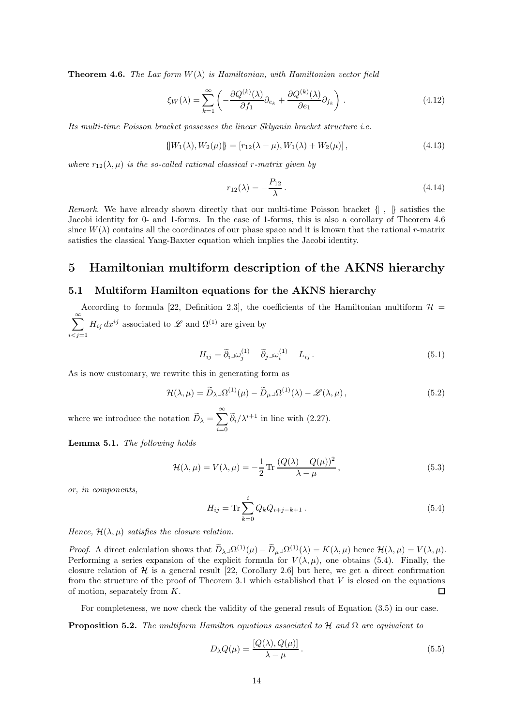<span id="page-13-1"></span>**Theorem 4.6.** The Lax form  $W(\lambda)$  is Hamiltonian, with Hamiltonian vector field

<span id="page-13-4"></span>
$$
\xi_W(\lambda) = \sum_{k=1}^{\infty} \left( -\frac{\partial Q^{(k)}(\lambda)}{\partial f_1} \partial_{e_k} + \frac{\partial Q^{(k)}(\lambda)}{\partial e_1} \partial_{f_k} \right). \tag{4.12}
$$

Its multi-time Poisson bracket possesses the linear Sklyanin bracket structure i.e.

<span id="page-13-3"></span>
$$
\{W_1(\lambda), W_2(\mu)\} = [r_{12}(\lambda - \mu), W_1(\lambda) + W_2(\mu)],
$$
\n(4.13)

where  $r_{12}(\lambda,\mu)$  is the so-called rational classical r-matrix given by

$$
r_{12}(\lambda) = -\frac{P_{12}}{\lambda}.
$$
\n(4.14)

Remark. We have already shown directly that our multi-time Poisson bracket  $\{\, , \, \}$  satisfies the Jacobi identity for 0- and 1-forms. In the case of 1-forms, this is also a corollary of Theorem [4.6](#page-13-1) since  $W(\lambda)$  contains all the coordinates of our phase space and it is known that the rational r-matrix satisfies the classical Yang-Baxter equation which implies the Jacobi identity.

## <span id="page-13-0"></span>5 Hamiltonian multiform description of the AKNS hierarchy

#### 5.1 Multiform Hamilton equations for the AKNS hierarchy

According to formula [\[22](#page-31-12), Definition 2.3], the coefficients of the Hamiltonian multiform  $\mathcal{H}$  =  $\sum^{\infty}$  $i < j = 1$  $H_{ij} dx^{ij}$  associated to  $\mathscr L$  and  $\Omega^{(1)}$  are given by

$$
H_{ij} = \tilde{\partial}_i \lrcorner \omega_j^{(1)} - \tilde{\partial}_j \lrcorner \omega_i^{(1)} - L_{ij} \,. \tag{5.1}
$$

As is now customary, we rewrite this in generating form as

$$
\mathcal{H}(\lambda,\mu) = \widetilde{D}_{\lambda}\mathbf{I}\Omega^{(1)}(\mu) - \widetilde{D}_{\mu}\mathbf{I}\Omega^{(1)}(\lambda) - \mathcal{L}(\lambda,\mu),\tag{5.2}
$$

where we introduce the notation  $\widetilde{D}_{\lambda} = \sum^{\infty}$  $i=0$  $\widetilde{\partial}_i/\lambda^{i+1}$  in line with [\(2.27\)](#page-6-1).

Lemma 5.1. The following holds

$$
\mathcal{H}(\lambda,\mu) = V(\lambda,\mu) = -\frac{1}{2}\operatorname{Tr}\frac{(Q(\lambda) - Q(\mu))^2}{\lambda - \mu},\tag{5.3}
$$

or, in components,

<span id="page-13-2"></span>
$$
H_{ij} = \text{Tr} \sum_{k=0}^{i} Q_k Q_{i+j-k+1} . \tag{5.4}
$$

Hence,  $\mathcal{H}(\lambda,\mu)$  satisfies the closure relation.

*Proof.* A direct calculation shows that  $D_{\lambda} \Box \Omega^{(1)}(\mu) - D_{\mu} \Box \Omega^{(1)}(\lambda) = K(\lambda, \mu)$  hence  $\mathcal{H}(\lambda, \mu) = V(\lambda, \mu)$ . Performing a series expansion of the explicit formula for  $V(\lambda, \mu)$ , one obtains [\(5.4\)](#page-13-2). Finally, the closure relation of  $H$  is a general result [\[22,](#page-31-12) Corollary 2.6] but here, we get a direct confirmation from the structure of the proof of Theorem [3.1](#page-8-3) which established that  $V$  is closed on the equations of motion, separately from K.  $\Box$ 

For completeness, we now check the validity of the general result of Equation [\(3.5\)](#page-7-1) in our case.

**Proposition 5.2.** The multiform Hamilton equations associated to H and  $\Omega$  are equivalent to

$$
D_{\lambda}Q(\mu) = \frac{[Q(\lambda), Q(\mu)]}{\lambda - \mu}.
$$
\n(5.5)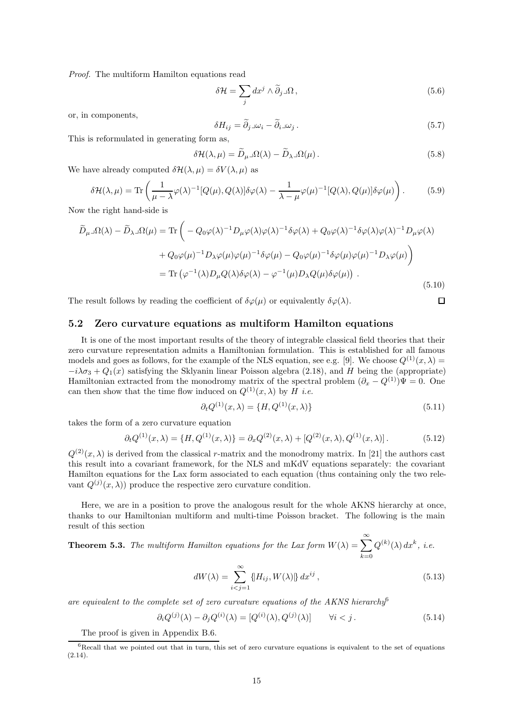Proof. The multiform Hamilton equations read

$$
\delta \mathcal{H} = \sum_{j} dx^{j} \wedge \widetilde{\partial}_{j} \Box \Omega , \qquad (5.6)
$$

or, in components,

$$
\delta H_{ij} = \tilde{\partial}_j \log_i - \tilde{\partial}_i \log_j \,. \tag{5.7}
$$

This is reformulated in generating form as,

$$
\delta \mathcal{H}(\lambda, \mu) = \widetilde{D}_{\mu} \lrcorner \Omega(\lambda) - \widetilde{D}_{\lambda} \lrcorner \Omega(\mu). \tag{5.8}
$$

We have already computed  $\delta \mathcal{H}(\lambda,\mu) = \delta V(\lambda,\mu)$  as

$$
\delta \mathcal{H}(\lambda,\mu) = \text{Tr}\left(\frac{1}{\mu - \lambda}\varphi(\lambda)^{-1}[Q(\mu),Q(\lambda)]\delta\varphi(\lambda) - \frac{1}{\lambda - \mu}\varphi(\mu)^{-1}[Q(\lambda),Q(\mu)]\delta\varphi(\mu)\right). \tag{5.9}
$$

Now the right hand-side is

$$
\widetilde{D}_{\mu}\lrcorner\Omega(\lambda) - \widetilde{D}_{\lambda}\lrcorner\Omega(\mu) = \text{Tr}\left(-Q_0\varphi(\lambda)^{-1}D_{\mu}\varphi(\lambda)\varphi(\lambda)^{-1}\delta\varphi(\lambda) + Q_0\varphi(\lambda)^{-1}\delta\varphi(\lambda)\varphi(\lambda)^{-1}D_{\mu}\varphi(\lambda) + Q_0\varphi(\mu)^{-1}D_{\lambda}\varphi(\mu)\varphi(\mu)^{-1}\delta\varphi(\mu) - Q_0\varphi(\mu)^{-1}\delta\varphi(\mu)\varphi(\mu)^{-1}D_{\lambda}\varphi(\mu)\right)
$$
\n
$$
= \text{Tr}\left(\varphi^{-1}(\lambda)D_{\mu}Q(\lambda)\delta\varphi(\lambda) - \varphi^{-1}(\mu)D_{\lambda}Q(\mu)\delta\varphi(\mu)\right). \tag{5.10}
$$

The result follows by reading the coefficient of  $\delta\varphi(\mu)$  or equivalently  $\delta\varphi(\lambda)$ .

#### 5.2 Zero curvature equations as multiform Hamilton equations

It is one of the most important results of the theory of integrable classical field theories that their zero curvature representation admits a Hamiltonian formulation. This is established for all famous models and goes as follows, for the example of the NLS equation, see e.g. [\[9\]](#page-30-8). We choose  $Q^{(1)}(x, \lambda)$  =  $-i\lambda\sigma_3 + Q_1(x)$  satisfying the Sklyanin linear Poisson algebra [\(2.18\)](#page-4-4), and H being the (appropriate) Hamiltonian extracted from the monodromy matrix of the spectral problem  $(\partial_x - Q^{(1)})\Psi = 0$ . One can then show that the time flow induced on  $Q^{(1)}(x, \lambda)$  by  $\overrightarrow{H}$  *i.e.* 

$$
\partial_t Q^{(1)}(x,\lambda) = \{H, Q^{(1)}(x,\lambda)\}\tag{5.11}
$$

 $\Box$ 

takes the form of a zero curvature equation

$$
\partial_t Q^{(1)}(x,\lambda) = \{H, Q^{(1)}(x,\lambda)\} = \partial_x Q^{(2)}(x,\lambda) + [Q^{(2)}(x,\lambda), Q^{(1)}(x,\lambda)].
$$
\n(5.12)

 $Q^{(2)}(x,\lambda)$  is derived from the classical r-matrix and the monodromy matrix. In [\[21](#page-31-11)] the authors cast this result into a covariant framework, for the NLS and mKdV equations separately: the covariant Hamilton equations for the Lax form associated to each equation (thus containing only the two relevant  $Q^{(j)}(x,\lambda)$  produce the respective zero curvature condition.

Here, we are in a position to prove the analogous result for the whole AKNS hierarchy at once, thanks to our Hamiltonian multiform and multi-time Poisson bracket. The following is the main result of this section

<span id="page-14-1"></span>**Theorem 5.3.** The multiform Hamilton equations for the Lax form  $W(\lambda) = \sum_{n=0}^{\infty}$  $_{k=0}$  $Q^{(k)}(\lambda) dx^k$ , *i.e.* 

$$
dW(\lambda) = \sum_{i < j=1}^{\infty} \{ H_{ij}, W(\lambda) \} \, dx^{ij} \,, \tag{5.13}
$$

are equivalent to the complete set of zero curvature equations of the AKNS hierarchy $^6$  $^6$ 

$$
\partial_i Q^{(j)}(\lambda) - \partial_j Q^{(i)}(\lambda) = [Q^{(i)}(\lambda), Q^{(j)}(\lambda)] \qquad \forall i < j. \tag{5.14}
$$

The proof is given in Appendix [B.6.](#page-28-0)

<span id="page-14-0"></span> $6$ Recall that we pointed out that in turn, this set of zero curvature equations is equivalent to the set of equations  $(2.14).$  $(2.14).$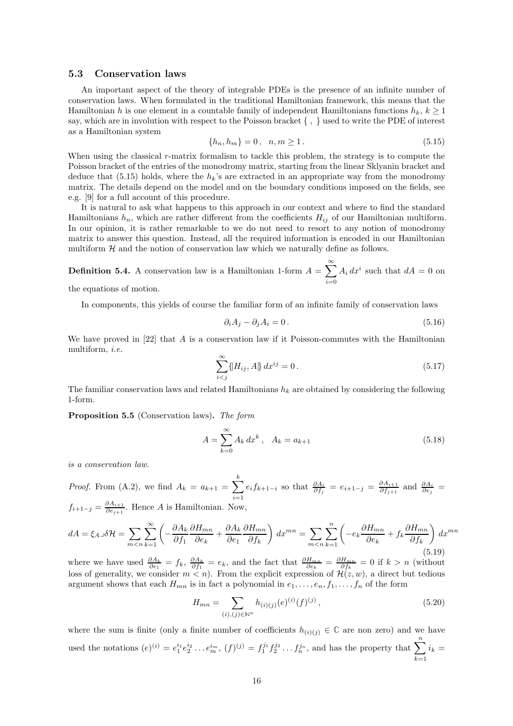#### 5.3 Conservation laws

An important aspect of the theory of integrable PDEs is the presence of an infinite number of conservation laws. When formulated in the traditional Hamiltonian framework, this means that the Hamiltonian h is one element in a countable family of independent Hamiltonians functions  $h_k$ ,  $k \geq 1$ say, which are in involution with respect to the Poisson bracket  $\{\ ,\ \}$  used to write the PDE of interest as a Hamiltonian system

<span id="page-15-0"></span>
$$
\{h_n, h_m\} = 0, \quad n, m \ge 1. \tag{5.15}
$$

When using the classical r-matrix formalism to tackle this problem, the strategy is to compute the Poisson bracket of the entries of the monodromy matrix, starting from the linear Sklyanin bracket and deduce that [\(5.15\)](#page-15-0) holds, where the  $h_k$ 's are extracted in an appropriate way from the monodromy matrix. The details depend on the model and on the boundary conditions imposed on the fields, see e.g. [\[9](#page-30-8)] for a full account of this procedure.

It is natural to ask what happens to this approach in our context and where to find the standard Hamiltonians  $h_n$ , which are rather different from the coefficients  $H_{ij}$  of our Hamiltonian multiform. In our opinion, it is rather remarkable to we do not need to resort to any notion of monodromy matrix to answer this question. Instead, all the required information is encoded in our Hamiltonian multiform  $H$  and the notion of conservation law which we naturally define as follows.

**Definition 5.4.** A conservation law is a Hamiltonian 1-form  $A = \sum_{n=1}^{\infty}$  $i=0$  $A_i dx^i$  such that  $dA = 0$  on the equations of motion.

In components, this yields of course the familiar form of an infinite family of conservation laws

$$
\partial_i A_j - \partial_j A_i = 0. \tag{5.16}
$$

We have proved in [\[22\]](#page-31-12) that A is a conservation law if it Poisson-commutes with the Hamiltonian multiform, i.e.

$$
\sum_{i < j}^{\infty} \{ H_{ij}, A \} \, dx^{ij} = 0 \,. \tag{5.17}
$$

The familiar conservation laws and related Hamiltonians  $h_k$  are obtained by considering the following 1-form.

Proposition 5.5 (Conservation laws). The form

$$
A = \sum_{k=0}^{\infty} A_k \, dx^k \,, \quad A_k = a_{k+1} \tag{5.18}
$$

is a conservation law.

*Proof.* From (A.2), we find 
$$
A_k = a_{k+1} = \sum_{i=1}^k e_i f_{k+1-i}
$$
 so that  $\frac{\partial A_i}{\partial f_j} = e_{i+1-j} = \frac{\partial A_{i+1}}{\partial f_{j+1}}$  and  $\frac{\partial A_i}{\partial e_j} = f_{i+1-j} = \frac{\partial A_{i+1}}{\partial e_{j+1}}$ . Hence A is Hamiltonian. Now,

$$
dA = \xi_{A}\lrcorner\delta\mathcal{H} = \sum_{m < n} \sum_{k=1}^{\infty} \left( -\frac{\partial A_k}{\partial f_1} \frac{\partial H_{mn}}{\partial e_k} + \frac{\partial A_k}{\partial e_1} \frac{\partial H_{mn}}{\partial f_k} \right) dx^{mn} = \sum_{m < n} \sum_{k=1}^n \left( -e_k \frac{\partial H_{mn}}{\partial e_k} + f_k \frac{\partial H_{mn}}{\partial f_k} \right) dx^{mn}
$$
\n
$$
(5.19)
$$

where we have used  $\frac{\partial A_k}{\partial e_1} = f_k$ ,  $\frac{\partial A_k}{\partial f_1} = e_k$ , and the fact that  $\frac{\partial H_{mn}}{\partial e_k} = \frac{\partial H_{mn}}{\partial f_k} = 0$  if  $k > n$  (without loss of generality, we consider  $m < n$ ). From the explicit expression of  $\mathcal{H}(z, w)$ , a direct but tedious argument shows that each  $H_{mn}$  is in fact a polynomial in  $e_1, \ldots, e_n, f_1, \ldots, f_n$  of the form

$$
H_{mn} = \sum_{(i),(j)\in\mathbb{N}^n} h_{(i)(j)}(e)^{(i)}(f)^{(j)},\tag{5.20}
$$

where the sum is finite (only a finite number of coefficients  $h_{(i)(j)} \in \mathbb{C}$  are non zero) and we have used the notations  $(e)^{(i)} = e_1^{i_1} e_2^{i_2} \dots e_m^{i_m}$ ,  $(f)^{(j)} = f_1^{j_1} f_2^{j_2} \dots f_n^{j_n}$ , and has the property that  $\sum^n$  $k=1$  $i_k =$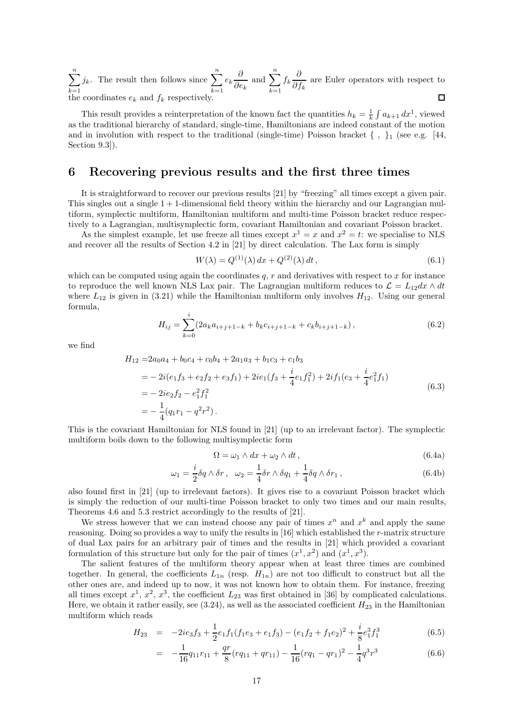$\sum_{n=1}^{\infty}$  $j_k$ . The result then follows since  $\sum_{n=1}^n$  $\frac{\partial}{\partial e_k}$  and  $\sum_{k=1}^n$  $e_k \frac{\partial}{\partial z}$  $f_k \frac{\partial}{\partial t}$  $\frac{\partial}{\partial f_k}$  are Euler operators with respect to  $k=1$  $k=1$  $k=1$ the coordinates  $e_k$  and  $f_k$  respectively.  $\Box$ 

This result provides a reinterpretation of the known fact the quantities  $h_k = \frac{1}{k} \int a_{k+1} dx^1$ , viewed as the traditional hierarchy of standard, single-time, Hamiltonians are indeed constant of the motion and in involution with respect to the traditional (single-time) Poisson bracket  $\{\ ,\ \}_1$  (see e.g. [\[44,](#page-32-16) Section 9.3]).

# <span id="page-16-0"></span>6 Recovering previous results and the first three times

It is straightforward to recover our previous results [\[21](#page-31-11)] by "freezing" all times except a given pair. This singles out a single  $1 + 1$ -dimensional field theory within the hierarchy and our Lagrangian multiform, symplectic multiform, Hamiltonian multiform and multi-time Poisson bracket reduce respectively to a Lagrangian, multisymplectic form, covariant Hamiltonian and covariant Poisson bracket.

As the simplest example, let use freeze all times except  $x^1 = x$  and  $x^2 = t$ : we specialise to NLS and recover all the results of Section 4.2 in [\[21\]](#page-31-11) by direct calculation. The Lax form is simply

$$
W(\lambda) = Q^{(1)}(\lambda) \, dx + Q^{(2)}(\lambda) \, dt \,, \tag{6.1}
$$

which can be computed using again the coordinates  $q, r$  and derivatives with respect to  $x$  for instance to reproduce the well known NLS Lax pair. The Lagrangian multiform reduces to  $\mathcal{L} = L_{12}dx \wedge dt$ where  $L_{12}$  is given in [\(3.21\)](#page-10-3) while the Hamiltonian multiform only involves  $H_{12}$ . Using our general formula,

$$
H_{ij} = \sum_{k=0}^{i} (2a_k a_{i+j+1-k} + b_k c_{i+j+1-k} + c_k b_{i+j+1-k}),
$$
\n(6.2)

we find

$$
H_{12} = 2a_0a_4 + b_0c_4 + c_0b_4 + 2a_1a_3 + b_1c_3 + c_1b_3
$$
  
=  $-2i(e_1f_3 + e_2f_2 + e_3f_1) + 2ie_1(f_3 + \frac{i}{4}e_1f_1^2) + 2if_1(e_3 + \frac{i}{4}e_1^2f_1)$   
=  $-2ie_2f_2 - e_1^2f_1^2$   
=  $-\frac{1}{4}(q_1r_1 - q^2r^2)$ . (6.3)

This is the covariant Hamiltonian for NLS found in [\[21\]](#page-31-11) (up to an irrelevant factor). The symplectic multiform boils down to the following multisymplectic form

$$
\Omega = \omega_1 \wedge dx + \omega_2 \wedge dt , \qquad (6.4a)
$$

$$
\omega_1 = \frac{i}{2}\delta q \wedge \delta r \,, \quad \omega_2 = \frac{1}{4}\delta r \wedge \delta q_1 + \frac{1}{4}\delta q \wedge \delta r_1 \,, \tag{6.4b}
$$

also found first in [\[21](#page-31-11)] (up to irrelevant factors). It gives rise to a covariant Poisson bracket which is simply the reduction of our multi-time Poisson bracket to only two times and our main results, Theorems [4.6](#page-13-1) and [5.3](#page-14-1) restrict accordingly to the results of [\[21\]](#page-31-11).

We stress however that we can instead choose any pair of times  $x^n$  and  $x^k$  and apply the same reasoning. Doing so provides a way to unify the results in [\[16](#page-31-6)] which established the r-matrix structure of dual Lax pairs for an arbitrary pair of times and the results in [\[21\]](#page-31-11) which provided a covariant formulation of this structure but only for the pair of times  $(x^1, x^2)$  and  $(x^1, x^3)$ .

The salient features of the multiform theory appear when at least three times are combined together. In general, the coefficients  $L_{1n}$  (resp.  $H_{1n}$ ) are not too difficult to construct but all the other ones are, and indeed up to now, it was not known how to obtain them. For instance, freezing all times except  $x^1, x^2, x^3$ , the coefficient  $L_{23}$  was first obtained in [\[36\]](#page-32-8) by complicated calculations. Here, we obtain it rather easily, see  $(3.24)$ , as well as the associated coefficient  $H_{23}$  in the Hamiltonian multiform which reads

$$
H_{23} = -2ie_3f_3 + \frac{1}{2}e_1f_1(f_1e_3 + e_1f_3) - (e_1f_2 + f_1e_2)^2 + \frac{i}{8}e_1^3f_1^3
$$
(6.5)

$$
= -\frac{1}{16}q_{11}r_{11} + \frac{qr}{8}(rq_{11} + qr_{11}) - \frac{1}{16}(rq_1 - qr_1)^2 - \frac{1}{4}q^3r^3 \tag{6.6}
$$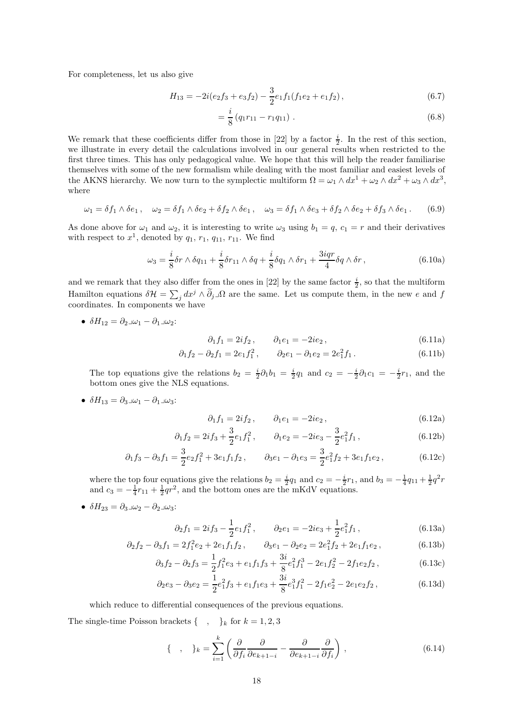For completeness, let us also give

$$
H_{13} = -2i(e_2f_3 + e_3f_2) - \frac{3}{2}e_1f_1(f_1e_2 + e_1f_2), \qquad (6.7)
$$

$$
=\frac{i}{8}(q_1r_{11}-r_1q_{11}).
$$
\n(6.8)

We remark that these coefficients differ from those in [\[22](#page-31-12)] by a factor  $\frac{i}{2}$ . In the rest of this section, we illustrate in every detail the calculations involved in our general results when restricted to the first three times. This has only pedagogical value. We hope that this will help the reader familiarise themselves with some of the new formalism while dealing with the most familiar and easiest levels of the AKNS hierarchy. We now turn to the symplectic multiform  $\Omega = \omega_1 \wedge dx^1 + \omega_2 \wedge dx^2 + \omega_3 \wedge dx^3$ , where

$$
\omega_1 = \delta f_1 \wedge \delta e_1, \quad \omega_2 = \delta f_1 \wedge \delta e_2 + \delta f_2 \wedge \delta e_1, \quad \omega_3 = \delta f_1 \wedge \delta e_3 + \delta f_2 \wedge \delta e_2 + \delta f_3 \wedge \delta e_1. \tag{6.9}
$$

As done above for  $\omega_1$  and  $\omega_2$ , it is interesting to write  $\omega_3$  using  $b_1 = q$ ,  $c_1 = r$  and their derivatives with respect to  $x^1$ , denoted by  $q_1$ ,  $r_1$ ,  $q_{11}$ ,  $r_{11}$ . We find

$$
\omega_3 = \frac{i}{8}\delta r \wedge \delta q_{11} + \frac{i}{8}\delta r_{11} \wedge \delta q + \frac{i}{8}\delta q_{11} \wedge \delta r_{11} + \frac{3iqr}{4}\delta q \wedge \delta r, \qquad (6.10a)
$$

and we remark that they also differ from the ones in [\[22](#page-31-12)] by the same factor  $\frac{i}{2}$ , so that the multiform Hamilton equations  $\delta \mathcal{H} = \sum_j dx^j \wedge \tilde{\partial}_j \Box \Omega$  are the same. Let us compute them, in the new e and f coordinates. In components we have

• 
$$
\delta H_{12} = \partial_2 \Box \omega_1 - \partial_1 \Box \omega_2
$$
:

$$
\partial_1 f_1 = 2if_2, \qquad \partial_1 e_1 = -2ie_2,
$$
\n(6.11a)

$$
\partial_1 f_2 - \partial_2 f_1 = 2e_1 f_1^2, \qquad \partial_2 e_1 - \partial_1 e_2 = 2e_1^2 f_1. \tag{6.11b}
$$

The top equations give the relations  $b_2 = \frac{i}{2}\partial_1 b_1 = \frac{i}{2}q_1$  and  $c_2 = -\frac{i}{2}\partial_1 c_1 = -\frac{i}{2}r_1$ , and the bottom ones give the NLS equations.

•  $\delta H_{13} = \partial_3 \Box \omega_1 - \partial_1 \Box \omega_3$ :

$$
\partial_1 f_1 = 2i f_2, \qquad \partial_1 e_1 = -2i e_2,
$$
\n(6.12a)

$$
\partial_1 f_2 = 2i f_3 + \frac{3}{2} e_1 f_1^2, \qquad \partial_1 e_2 = -2i e_3 - \frac{3}{2} e_1^2 f_1, \qquad (6.12b)
$$

$$
\partial_1 f_3 - \partial_3 f_1 = \frac{3}{2} e_2 f_1^2 + 3e_1 f_1 f_2, \qquad \partial_3 e_1 - \partial_1 e_3 = \frac{3}{2} e_1^2 f_2 + 3e_1 f_1 e_2, \tag{6.12c}
$$

where the top four equations give the relations  $b_2 = \frac{i}{2}q_1$  and  $c_2 = -\frac{i}{2}r_1$ , and  $b_3 = -\frac{1}{4}q_{11} + \frac{1}{2}q^2r$ and  $c_3 = -\frac{1}{4}r_{11} + \frac{1}{2}qr^2$ , and the bottom ones are the mKdV equations.

•  $\delta H_{23} = \partial_3 \Box \omega_2 - \partial_2 \Box \omega_3$ :

$$
\partial_2 f_1 = 2i f_3 - \frac{1}{2} e_1 f_1^2, \qquad \partial_2 e_1 = -2i e_3 + \frac{1}{2} e_1^2 f_1, \qquad (6.13a)
$$

$$
\partial_2 f_2 - \partial_3 f_1 = 2f_1^2 e_2 + 2e_1 f_1 f_2, \qquad \partial_3 e_1 - \partial_2 e_2 = 2e_1^2 f_2 + 2e_1 f_1 e_2, \tag{6.13b}
$$

$$
\partial_3 f_2 - \partial_2 f_3 = \frac{1}{2} f_1^2 e_3 + e_1 f_1 f_3 + \frac{3i}{8} e_1^2 f_1^3 - 2e_1 f_2^2 - 2f_1 e_2 f_2, \qquad (6.13c)
$$

$$
\partial_2 e_3 - \partial_3 e_2 = \frac{1}{2} e_1^2 f_3 + e_1 f_1 e_3 + \frac{3i}{8} e_1^3 f_1^2 - 2 f_1 e_2^2 - 2 e_1 e_2 f_2, \tag{6.13d}
$$

which reduce to differential consequences of the previous equations.

The single-time Poisson brackets  $\{\ ,\ \}_k$  for  $k = 1, 2, 3$ 

$$
\{\quad,\quad\}_k = \sum_{i=1}^k \left(\frac{\partial}{\partial f_i} \frac{\partial}{\partial e_{k+1-i}} - \frac{\partial}{\partial e_{k+1-i}} \frac{\partial}{\partial f_i}\right),\tag{6.14}
$$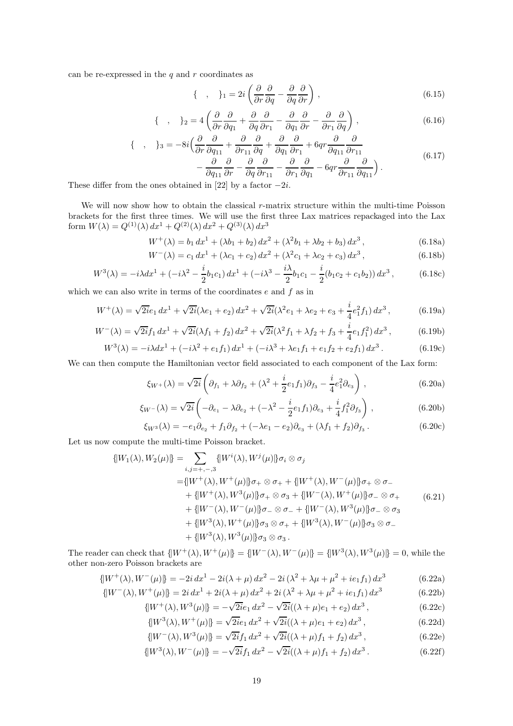can be re-expressed in the  $q$  and  $r$  coordinates as

$$
\{ \quad , \quad \}_{1} = 2i \left( \frac{\partial}{\partial r} \frac{\partial}{\partial q} - \frac{\partial}{\partial q} \frac{\partial}{\partial r} \right), \tag{6.15}
$$

$$
\{\quad,\quad\}_{2} = 4\left(\frac{\partial}{\partial r}\frac{\partial}{\partial q_1} + \frac{\partial}{\partial q}\frac{\partial}{\partial r_1} - \frac{\partial}{\partial q_1}\frac{\partial}{\partial r} - \frac{\partial}{\partial r_1}\frac{\partial}{\partial q}\right),\tag{6.16}
$$

$$
\begin{aligned}\n\{\quad, \quad \}_3 &= -8i \Big( \frac{\partial}{\partial r} \frac{\partial}{\partial q_{11}} + \frac{\partial}{\partial r_{11}} \frac{\partial}{\partial q} + \frac{\partial}{\partial q_1} \frac{\partial}{\partial r_1} + 6qr \frac{\partial}{\partial q_{11}} \frac{\partial}{\partial r_{11}} \\ &- \frac{\partial}{\partial q_{11}} \frac{\partial}{\partial r} - \frac{\partial}{\partial q} \frac{\partial}{\partial r_{11}} - \frac{\partial}{\partial r_1} \frac{\partial}{\partial q_1} - 6qr \frac{\partial}{\partial r_{11}} \frac{\partial}{\partial q_{11}} \Big). \n\end{aligned}\n\tag{6.17}
$$

These differ from the ones obtained in [\[22\]](#page-31-12) by a factor  $-2i$ .

We will now show how to obtain the classical  $r$ -matrix structure within the multi-time Poisson brackets for the first three times. We will use the first three Lax matrices repackaged into the Lax form  $W(\lambda) = Q^{(1)}(\lambda) dx^1 + Q^{(2)}(\lambda) dx^2 + Q^{(3)}(\lambda) dx^3$ 

$$
W^{+}(\lambda) = b_1 dx^{1} + (\lambda b_1 + b_2) dx^{2} + (\lambda^{2} b_1 + \lambda b_2 + b_3) dx^{3}, \qquad (6.18a)
$$

$$
W^{-}(\lambda) = c_1 dx^{1} + (\lambda c_1 + c_2) dx^{2} + (\lambda^{2} c_1 + \lambda c_2 + c_3) dx^{3}, \qquad (6.18b)
$$

$$
W^{3}(\lambda) = -i\lambda dx^{1} + (-i\lambda^{2} - \frac{i}{2}b_{1}c_{1}) dx^{1} + (-i\lambda^{3} - \frac{i\lambda}{2}b_{1}c_{1} - \frac{i}{2}(b_{1}c_{2} + c_{1}b_{2})) dx^{3},
$$
 (6.18c)

which we can also write in terms of the coordinates  $e$  and  $f$  as in

$$
W^{+}(\lambda) = \sqrt{2i}e_1 dx^1 + \sqrt{2i}(\lambda e_1 + e_2) dx^2 + \sqrt{2i}(\lambda^2 e_1 + \lambda e_2 + e_3 + \frac{i}{4}e_1^2 f_1) dx^3, \qquad (6.19a)
$$

$$
W^{-}(\lambda) = \sqrt{2i}f_1 dx^1 + \sqrt{2i}(\lambda f_1 + f_2) dx^2 + \sqrt{2i}(\lambda^2 f_1 + \lambda f_2 + f_3 + \frac{i}{4}e_1 f_1^2) dx^3,
$$
 (6.19b)

$$
W^{3}(\lambda) = -i\lambda dx^{1} + (-i\lambda^{2} + e_{1}f_{1}) dx^{1} + (-i\lambda^{3} + \lambda e_{1}f_{1} + e_{1}f_{2} + e_{2}f_{1}) dx^{3}.
$$
 (6.19c)

We can then compute the Hamiltonian vector field associated to each component of the Lax form:

$$
\xi_{W^{+}}(\lambda) = \sqrt{2i} \left( \partial_{f_{1}} + \lambda \partial_{f_{2}} + (\lambda^{2} + \frac{i}{2} e_{1} f_{1}) \partial_{f_{3}} - \frac{i}{4} e_{1}^{2} \partial_{e_{3}} \right), \qquad (6.20a)
$$

$$
\xi_{W^-}(\lambda) = \sqrt{2i} \left( -\partial_{e_1} - \lambda \partial_{e_2} + (-\lambda^2 - \frac{i}{2} e_1 f_1) \partial_{e_3} + \frac{i}{4} f_1^2 \partial_{f_3} \right), \qquad (6.20b)
$$

$$
\xi_{W^3}(\lambda) = -e_1 \partial_{e_2} + f_1 \partial_{f_2} + (-\lambda e_1 - e_2) \partial_{e_3} + (\lambda f_1 + f_2) \partial_{f_3}.
$$
\n(6.20c)

Let us now compute the multi-time Poisson bracket.

$$
\begin{aligned}\n\{\|W_1(\lambda), W_2(\mu)\} &= \sum_{i,j=\pm,-,3} \{W^i(\lambda), W^j(\mu)\} \sigma_i \otimes \sigma_j \\
&= \{W^+(\lambda), W^+(\mu)\} \sigma_+ \otimes \sigma_+ + \{W^+(\lambda), W^-(\mu)\} \sigma_+ \otimes \sigma_- \\
&\quad + \{W^+(\lambda), W^3(\mu)\} \sigma_+ \otimes \sigma_3 + \{W^-(\lambda), W^+(\mu)\} \sigma_- \otimes \sigma_+ \\
&\quad + \{W^-(\lambda), W^-(\mu)\} \sigma_- \otimes \sigma_- + \{W^-(\lambda), W^3(\mu)\} \sigma_- \otimes \sigma_3 \\
&\quad + \{W^3(\lambda), W^+(\mu)\} \sigma_3 \otimes \sigma_+ + \{W^3(\lambda), W^-(\mu)\} \sigma_3 \otimes \sigma_-\n\end{aligned}\n\tag{6.21}
$$

The reader can check that  $\{[W^+(\lambda), W^+(\mu)]\} = \{[W^-(\lambda), W^-(\mu)]\} = \{[W^3(\lambda), W^3(\mu)]\} = 0$ , while the other non-zero Poisson brackets are

$$
\{W^{+}(\lambda), W^{-}(\mu)\} = -2i dx^{1} - 2i(\lambda + \mu) dx^{2} - 2i(\lambda^{2} + \lambda\mu + \mu^{2} + ie_{1}f_{1}) dx^{3}
$$
 (6.22a)

$$
\{[W^-(\lambda), W^+(\mu)]\} = 2i dx^1 + 2i(\lambda + \mu) dx^2 + 2i(\lambda^2 + \lambda\mu + \mu^2 + ie_1f_1) dx^3
$$
 (6.22b)

$$
\{W^+(\lambda), W^3(\mu)\} = -\sqrt{2i}e_1 dx^2 - \sqrt{2i}((\lambda + \mu)e_1 + e_2) dx^3, \qquad (6.22c)
$$

$$
\{W^3(\lambda), W^+(\mu)\} = \sqrt{2i}e_1 dx^2 + \sqrt{2i}((\lambda + \mu)e_1 + e_2) dx^3, \qquad (6.22d)
$$

$$
\{W^{-}(\lambda), W^{3}(\mu)\} = \sqrt{2i}f_{1} dx^{2} + \sqrt{2i}((\lambda + \mu)f_{1} + f_{2}) dx^{3},
$$
\n(6.22e)

$$
\{W^3(\lambda), W^-(\mu)\} = -\sqrt{2i}f_1 dx^2 - \sqrt{2i}((\lambda + \mu)f_1 + f_2) dx^3.
$$
 (6.22f)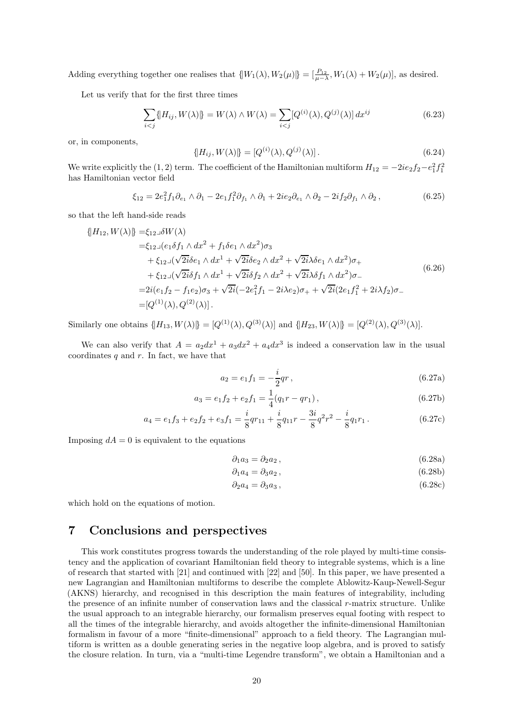Adding everything together one realises that  $\{[W_1(\lambda), W_2(\mu)]\} = [\frac{P_{12}}{\mu - \lambda}, W_1(\lambda) + W_2(\mu)],$  as desired.

Let us verify that for the first three times

$$
\sum_{i < j} \{ H_{ij}, W(\lambda) \} = W(\lambda) \wedge W(\lambda) = \sum_{i < j} [Q^{(i)}(\lambda), Q^{(j)}(\lambda)] \, dx^{ij} \tag{6.23}
$$

or, in components,

$$
\{H_{ij}, W(\lambda)\} = [Q^{(i)}(\lambda), Q^{(j)}(\lambda)].
$$
\n(6.24)

We write explicitly the  $(1, 2)$  term. The coefficient of the Hamiltonian multiform  $H_{12} = -2ie_2f_2 - e_1^2f_1^2$ has Hamiltonian vector field

$$
\xi_{12} = 2e_1^2 f_1 \partial_{e_1} \wedge \partial_1 - 2e_1 f_1^2 \partial_{f_1} \wedge \partial_1 + 2ie_2 \partial_{e_1} \wedge \partial_2 - 2if_2 \partial_{f_1} \wedge \partial_2 , \qquad (6.25)
$$

so that the left hand-side reads

$$
\{H_{12}, W(\lambda)\} = \xi_{12}\delta W(\lambda) \n= \xi_{12}\delta W(\lambda) \n+ \xi_{12}\delta W(\lambda) d\lambda^{2} + f_{1}\delta e_{1} \wedge dx^{2}\sigma_{3} \n+ \xi_{12}\delta W(\lambda) d\lambda^{1} + \sqrt{2i}\delta e_{2} \wedge dx^{2} + \sqrt{2i}\delta e_{1} \wedge dx^{2}\sigma_{+} \n+ \xi_{12}\delta W(\lambda) d\lambda^{1} + \sqrt{2i}\delta f_{2} \wedge dx^{2} + \sqrt{2i}\delta f_{1} \wedge dx^{2}\sigma_{-} \n= 2i(e_{1}f_{2} - f_{1}e_{2})\sigma_{3} + \sqrt{2i}(-2e_{1}^{2}f_{1} - 2i\lambda e_{2})\sigma_{+} + \sqrt{2i}(2e_{1}f_{1}^{2} + 2i\lambda f_{2})\sigma_{-} \n= [Q^{(1)}(\lambda), Q^{(2)}(\lambda)].
$$
\n(6.26)

Similarly one obtains  $\{H_{13}, W(\lambda)\} = [Q^{(1)}(\lambda), Q^{(3)}(\lambda)]$  and  $\{H_{23}, W(\lambda)\} = [Q^{(2)}(\lambda), Q^{(3)}(\lambda)].$ 

We can also verify that  $A = a_2 dx^1 + a_3 dx^2 + a_4 dx^3$  is indeed a conservation law in the usual coordinates  $q$  and  $r$ . In fact, we have that

$$
a_2 = e_1 f_1 = -\frac{i}{2}qr \,,\tag{6.27a}
$$

$$
a_3 = e_1 f_2 + e_2 f_1 = \frac{1}{4} (q_1 r - q r_1),
$$
\n(6.27b)

$$
a_4 = e_1 f_3 + e_2 f_2 + e_3 f_1 = \frac{i}{8} q r_{11} + \frac{i}{8} q_{11} r - \frac{3i}{8} q^2 r^2 - \frac{i}{8} q_1 r_1.
$$
 (6.27c)

Imposing  $dA = 0$  is equivalent to the equations

$$
\partial_1 a_3 = \partial_2 a_2 \,,\tag{6.28a}
$$

$$
\partial_1 a_4 = \partial_3 a_2 , \qquad (6.28b)
$$

$$
\partial_2 a_4 = \partial_3 a_3 , \qquad (6.28c)
$$

which hold on the equations of motion.

# <span id="page-19-0"></span>7 Conclusions and perspectives

This work constitutes progress towards the understanding of the role played by multi-time consistency and the application of covariant Hamiltonian field theory to integrable systems, which is a line of research that started with [\[21\]](#page-31-11) and continued with [\[22\]](#page-31-12) and [\[50](#page-33-4)]. In this paper, we have presented a new Lagrangian and Hamiltonian multiforms to describe the complete Ablowitz-Kaup-Newell-Segur (AKNS) hierarchy, and recognised in this description the main features of integrability, including the presence of an infinite number of conservation laws and the classical r-matrix structure. Unlike the usual approach to an integrable hierarchy, our formalism preserves equal footing with respect to all the times of the integrable hierarchy, and avoids altogether the infinite-dimensional Hamiltonian formalism in favour of a more "finite-dimensional" approach to a field theory. The Lagrangian multiform is written as a double generating series in the negative loop algebra, and is proved to satisfy the closure relation. In turn, via a "multi-time Legendre transform", we obtain a Hamiltonian and a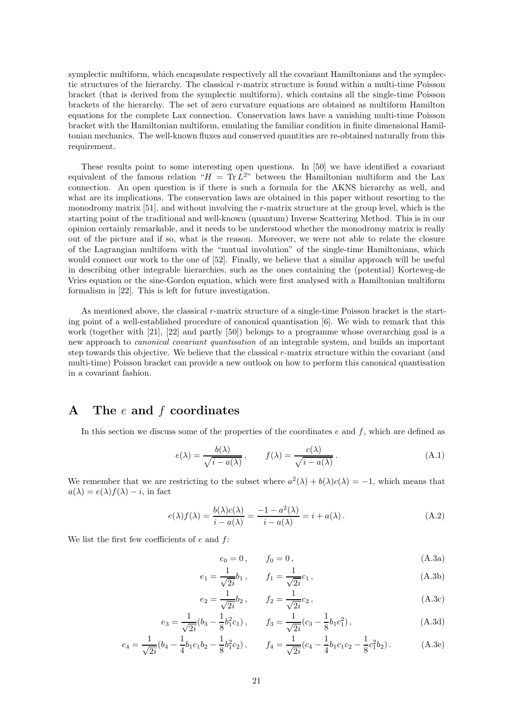symplectic multiform, which encapsulate respectively all the covariant Hamiltonians and the symplectic structures of the hierarchy. The classical r-matrix structure is found within a multi-time Poisson bracket (that is derived from the symplectic multiform), which contains all the single-time Poisson brackets of the hierarchy. The set of zero curvature equations are obtained as multiform Hamilton equations for the complete Lax connection. Conservation laws have a vanishing multi-time Poisson bracket with the Hamiltonian multiform, emulating the familiar condition in finite dimensional Hamiltonian mechanics. The well-known fluxes and conserved quantities are re-obtained naturally from this requirement.

These results point to some interesting open questions. In [\[50\]](#page-33-4) we have identified a covariant equivalent of the famous relation " $H = Tr L^{2n}$  between the Hamiltonian multiform and the Lax connection. An open question is if there is such a formula for the AKNS hierarchy as well, and what are its implications. The conservation laws are obtained in this paper without resorting to the monodromy matrix [\[51\]](#page-33-5), and without involving the r-matrix structure at the group level, which is the starting point of the traditional and well-known (quantum) Inverse Scattering Method. This is in our opinion certainly remarkable, and it needs to be understood whether the monodromy matrix is really out of the picture and if so, what is the reason. Moreover, we were not able to relate the closure of the Lagrangian multiform with the "mutual involution" of the single-time Hamiltonians, which would connect our work to the one of [\[52\]](#page-33-6). Finally, we believe that a similar approach will be useful in describing other integrable hierarchies, such as the ones containing the (potential) Korteweg-de Vries equation or the sine-Gordon equation, which were first analysed with a Hamiltonian multiform formalism in [\[22\]](#page-31-12). This is left for future investigation.

As mentioned above, the classical r-matrix structure of a single-time Poisson bracket is the starting point of a well-established procedure of canonical quantisation [\[6\]](#page-30-5). We wish to remark that this work (together with [\[21](#page-31-11)], [\[22](#page-31-12)] and partly [\[50\]](#page-33-4)) belongs to a programme whose overarching goal is a new approach to *canonical covariant quantisation* of an integrable system, and builds an important step towards this objective. We believe that the classical r-matrix structure within the covariant (and multi-time) Poisson bracket can provide a new outlook on how to perform this canonical quantisation in a covariant fashion.

# <span id="page-20-0"></span>A The  $e$  and  $f$  coordinates

In this section we discuss some of the properties of the coordinates  $e$  and  $f$ , which are defined as

$$
e(\lambda) = \frac{b(\lambda)}{\sqrt{i - a(\lambda)}}, \qquad f(\lambda) = \frac{c(\lambda)}{\sqrt{i - a(\lambda)}}.
$$
 (A.1)

We remember that we are restricting to the subset where  $a^2(\lambda) + b(\lambda)c(\lambda) = -1$ , which means that  $a(\lambda) = e(\lambda) f(\lambda) - i$ , in fact

<span id="page-20-1"></span>
$$
e(\lambda)f(\lambda) = \frac{b(\lambda)c(\lambda)}{i - a(\lambda)} = \frac{-1 - a^2(\lambda)}{i - a(\lambda)} = i + a(\lambda).
$$
 (A.2)

We list the first few coefficients of  $e$  and  $f$ :

$$
e_0 = 0, \t f_0 = 0, \t (A.3a)
$$

$$
e_1 = \frac{1}{\sqrt{2i}} b_1, \qquad f_1 = \frac{1}{\sqrt{2i}} c_1,
$$
 (A.3b)

$$
e_2 = \frac{1}{\sqrt{2i}} b_2, \qquad f_2 = \frac{1}{\sqrt{2i}} c_2, \tag{A.3c}
$$

$$
e_3 = \frac{1}{\sqrt{2i}} (b_3 - \frac{1}{8} b_1^2 c_1), \qquad f_3 = \frac{1}{\sqrt{2i}} (c_3 - \frac{1}{8} b_1 c_1^2), \tag{A.3d}
$$

$$
e_4 = \frac{1}{\sqrt{2i}} (b_4 - \frac{1}{4} b_1 c_1 b_2 - \frac{1}{8} b_1^2 c_2), \qquad f_4 = \frac{1}{\sqrt{2i}} (c_4 - \frac{1}{4} b_1 c_1 c_2 - \frac{1}{8} c_1^2 b_2).
$$
 (A.3e)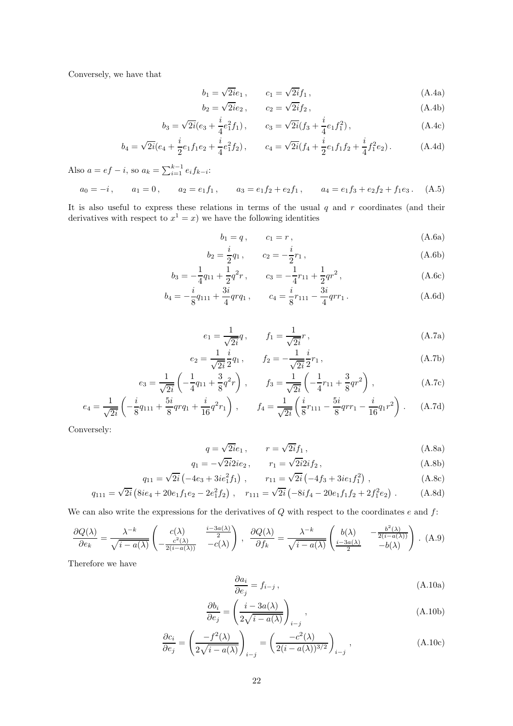Conversely, we have that

$$
b_1 = \sqrt{2i}e_1, \qquad c_1 = \sqrt{2i}f_1, \qquad (A.4a)
$$

$$
b_2 = \sqrt{2i}e_2 , \qquad c_2 = \sqrt{2i}f_2 , \qquad (A.4b)
$$

$$
b_3 = \sqrt{2i}(e_3 + \frac{i}{4}e_1^2 f_1), \qquad c_3 = \sqrt{2i}(f_3 + \frac{i}{4}e_1 f_1^2), \qquad (A.4c)
$$

$$
b_4 = \sqrt{2i}(e_4 + \frac{i}{2}e_1f_1e_2 + \frac{i}{4}e_1^2f_2), \qquad c_4 = \sqrt{2i}(f_4 + \frac{i}{2}e_1f_1f_2 + \frac{i}{4}f_1^2e_2).
$$
 (A.4d)

Also  $a = ef - i$ , so  $a_k = \sum_{i=1}^{k-1} e_i f_{k-i}$ :

$$
a_0 = -i
$$
,  $a_1 = 0$ ,  $a_2 = e_1 f_1$ ,  $a_3 = e_1 f_2 + e_2 f_1$ ,  $a_4 = e_1 f_3 + e_2 f_2 + f_1 e_3$ . (A.5)

It is also useful to express these relations in terms of the usual  $q$  and  $r$  coordinates (and their derivatives with respect to  $x^1 = x$ ) we have the following identities

$$
b_1 = q, \t c_1 = r, \t (A.6a)
$$

$$
b_2 = \frac{i}{2}q_1, \qquad c_2 = -\frac{i}{2}r_1,
$$
\n(A.6b)

$$
b_3 = -\frac{1}{4}q_{11} + \frac{1}{2}q^2r, \qquad c_3 = -\frac{1}{4}r_{11} + \frac{1}{2}qr^2, \qquad (A.6c)
$$

$$
b_4 = -\frac{i}{8}q_{111} + \frac{3i}{4}qrq_1, \qquad c_4 = \frac{i}{8}r_{111} - \frac{3i}{4}qrr_1.
$$
 (A.6d)

$$
e_1 = \frac{1}{\sqrt{2i}}q, \qquad f_1 = \frac{1}{\sqrt{2i}}r, \qquad (A.7a)
$$

$$
e_2 = \frac{1}{\sqrt{2i}} \frac{i}{2} q_1, \qquad f_2 = -\frac{1}{\sqrt{2i}} \frac{i}{2} r_1,
$$
 (A.7b)

$$
e_3 = \frac{1}{\sqrt{2i}} \left( -\frac{1}{4} q_{11} + \frac{3}{8} q^2 r \right), \qquad f_3 = \frac{1}{\sqrt{2i}} \left( -\frac{1}{4} r_{11} + \frac{3}{8} q r^2 \right), \tag{A.7c}
$$

$$
e_4 = \frac{1}{\sqrt{2i}} \left( -\frac{i}{8} q_{111} + \frac{5i}{8} q_{11} + \frac{i}{16} q^2 r_1 \right) , \qquad f_4 = \frac{1}{\sqrt{2i}} \left( \frac{i}{8} r_{111} - \frac{5i}{8} q_{11} - \frac{i}{16} q_{11} r^2 \right) .
$$
 (A.7d)

Conversely:

$$
=\sqrt{2i}e_1, \qquad r=\sqrt{2i}f_1, \qquad (A.8a)
$$

$$
q_1 = -\sqrt{2i}2ie_2, \qquad r_1 = \sqrt{2i}2if_2, \tag{A.8b}
$$

$$
q_{11} = \sqrt{2i} \left( -4e_3 + 3ie_1^2 f_1 \right) , \qquad r_{11} = \sqrt{2i} \left( -4f_3 + 3ie_1 f_1^2 \right) , \tag{A.8c}
$$
  

$$
\overline{2i} \left( 8ie_1 + 20e_1 f_1 e_2 + 2e_1^2 f_1 \right) , \qquad r_{11} = \sqrt{2i} \left( -4f_3 + 3ie_1 f_1^2 \right) , \tag{A.8d}
$$

$$
q_{111} = \sqrt{2i} \left( 8ie_4 + 20e_1f_1e_2 - 2e_1^2f_2 \right) , \quad r_{111} = \sqrt{2i} \left( -8if_4 - 20e_1f_1f_2 + 2f_1^2e_2 \right) . \tag{A.8d}
$$

We can also write the expressions for the derivatives of  $Q$  with respect to the coordinates  $e$  and  $f$ :

 $q$ 

$$
\frac{\partial Q(\lambda)}{\partial e_k} = \frac{\lambda^{-k}}{\sqrt{i - a(\lambda)}} \begin{pmatrix} c(\lambda) & \frac{i - 3a(\lambda)}{2} \\ -\frac{c^2(\lambda)}{2(i - a(\lambda))} & -c(\lambda) \end{pmatrix}, \quad \frac{\partial Q(\lambda)}{\partial f_k} = \frac{\lambda^{-k}}{\sqrt{i - a(\lambda)}} \begin{pmatrix} b(\lambda) & -\frac{b^2(\lambda)}{2(i - a(\lambda))} \\ \frac{i - 3a(\lambda)}{2} & -b(\lambda) \end{pmatrix}.
$$
(A.9)

Therefore we have

$$
\frac{\partial a_i}{\partial e_j} = f_{i-j} \,,\tag{A.10a}
$$

$$
\frac{\partial b_i}{\partial e_j} = \left(\frac{i - 3a(\lambda)}{2\sqrt{i - a(\lambda)}}\right)_{i-j},
$$
\n(A.10b)

$$
\frac{\partial c_i}{\partial e_j} = \left(\frac{-f^2(\lambda)}{2\sqrt{i - a(\lambda)}}\right)_{i-j} = \left(\frac{-c^2(\lambda)}{2(i - a(\lambda))^{3/2}}\right)_{i-j},
$$
\n(A.10c)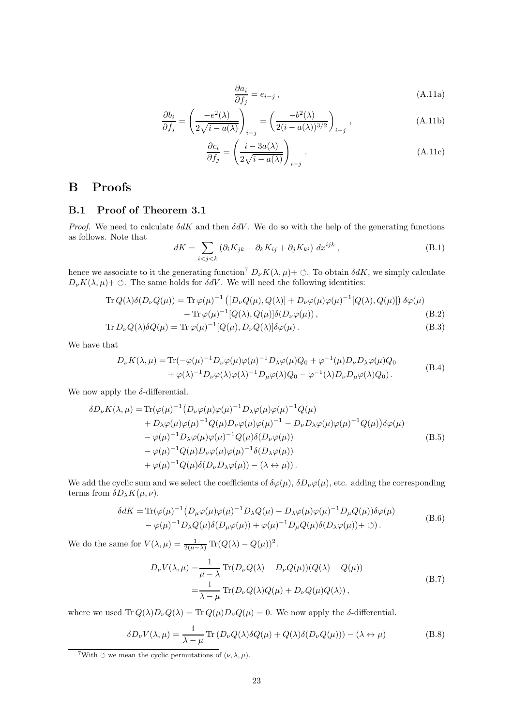$$
\frac{\partial a_i}{\partial f_j} = e_{i-j} \,, \tag{A.11a}
$$

$$
\frac{\partial b_i}{\partial f_j} = \left(\frac{-e^2(\lambda)}{2\sqrt{i - a(\lambda)}}\right)_{i-j} = \left(\frac{-b^2(\lambda)}{2(i - a(\lambda))^{3/2}}\right)_{i-j},\tag{A.11b}
$$

$$
\frac{\partial c_i}{\partial f_j} = \left(\frac{i - 3a(\lambda)}{2\sqrt{i - a(\lambda)}}\right)_{i - j}.
$$
\n(A.11c)

# <span id="page-22-0"></span>B Proofs

#### <span id="page-22-1"></span>B.1 Proof of Theorem [3.1](#page-8-3)

*Proof.* We need to calculate  $\delta dK$  and then  $\delta dV$ . We do so with the help of the generating functions as follows. Note that

$$
dK = \sum_{i < j < k} \left( \partial_i K_{jk} + \partial_k K_{ij} + \partial_j K_{ki} \right) \, dx^{ijk} \,, \tag{B.1}
$$

hence we associate to it the generating function<sup>[7](#page-22-2)</sup>  $D_{\nu}K(\lambda, \mu)$  +  $\circ$ . To obtain  $\delta dK$ , we simply calculate  $D_{\nu}K(\lambda, \mu)$  +  $\circ$ . The same holds for  $\delta dV$ . We will need the following identities:

$$
\operatorname{Tr} Q(\lambda)\delta(D_{\nu}Q(\mu)) = \operatorname{Tr} \varphi(\mu)^{-1} \left( [D_{\nu}Q(\mu), Q(\lambda)] + D_{\nu}\varphi(\mu)\varphi(\mu)^{-1}[Q(\lambda), Q(\mu)] \right) \delta\varphi(\mu) \n- \operatorname{Tr} \varphi(\mu)^{-1}[Q(\lambda), Q(\mu)]\delta(D_{\nu}\varphi(\mu)),
$$
\n(B.2)

$$
\operatorname{Tr} D_{\nu} Q(\lambda) \delta Q(\mu) = \operatorname{Tr} \varphi(\mu)^{-1} [Q(\mu), D_{\nu} Q(\lambda)] \delta \varphi(\mu).
$$
\n(B.3)

We have that

$$
D_{\nu}K(\lambda,\mu) = \text{Tr}(-\varphi(\mu)^{-1}D_{\nu}\varphi(\mu)\varphi(\mu)^{-1}D_{\lambda}\varphi(\mu)Q_0 + \varphi^{-1}(\mu)D_{\nu}D_{\lambda}\varphi(\mu)Q_0 + \varphi(\lambda)^{-1}D_{\nu}\varphi(\lambda)\varphi(\lambda)^{-1}D_{\mu}\varphi(\lambda)Q_0 - \varphi^{-1}(\lambda)D_{\nu}D_{\mu}\varphi(\lambda)Q_0).
$$
 (B.4)

We now apply the  $\delta$ -differential.

$$
\delta D_{\nu} K(\lambda, \mu) = \text{Tr}(\varphi(\mu)^{-1} \left( D_{\nu} \varphi(\mu) \varphi(\mu)^{-1} D_{\lambda} \varphi(\mu) \varphi(\mu)^{-1} Q(\mu) \right. \n+ D_{\lambda} \varphi(\mu) \varphi(\mu)^{-1} Q(\mu) D_{\nu} \varphi(\mu) \varphi(\mu)^{-1} - D_{\nu} D_{\lambda} \varphi(\mu) \varphi(\mu)^{-1} Q(\mu) \delta \varphi(\mu) \n- \varphi(\mu)^{-1} D_{\lambda} \varphi(\mu) \varphi(\mu)^{-1} Q(\mu) \delta(D_{\nu} \varphi(\mu)) \n- \varphi(\mu)^{-1} Q(\mu) D_{\nu} \varphi(\mu) \varphi(\mu)^{-1} \delta(D_{\lambda} \varphi(\mu)) \n+ \varphi(\mu)^{-1} Q(\mu) \delta(D_{\nu} D_{\lambda} \varphi(\mu)) - (\lambda \leftrightarrow \mu)).
$$
\n(B.5)

We add the cyclic sum and we select the coefficients of  $\delta\varphi(\mu)$ ,  $\delta D_{\nu}\varphi(\mu)$ , etc. adding the corresponding terms from  $\delta D_{\lambda}K(\mu,\nu)$ .

$$
\delta dK = \text{Tr}(\varphi(\mu)^{-1} \left( D_{\mu}\varphi(\mu)\varphi(\mu)^{-1} D_{\lambda}Q(\mu) - D_{\lambda}\varphi(\mu)\varphi(\mu)^{-1} D_{\mu}Q(\mu) \right) \delta\varphi(\mu) - \varphi(\mu)^{-1} D_{\lambda}Q(\mu)\delta(D_{\mu}\varphi(\mu)) + \varphi(\mu)^{-1} D_{\mu}Q(\mu)\delta(D_{\lambda}\varphi(\mu)) + \circlearrowleft). \tag{B.6}
$$

We do the same for  $V(\lambda, \mu) = \frac{1}{2(\mu - \lambda)} \text{Tr}(Q(\lambda) - Q(\mu))^2$ .

$$
D_{\nu}V(\lambda,\mu) = \frac{1}{\mu - \lambda} \operatorname{Tr}(D_{\nu}Q(\lambda) - D_{\nu}Q(\mu))(Q(\lambda) - Q(\mu))
$$
  
= 
$$
\frac{1}{\lambda - \mu} \operatorname{Tr}(D_{\nu}Q(\lambda)Q(\mu) + D_{\nu}Q(\mu)Q(\lambda)),
$$
 (B.7)

where we used  $\text{Tr} Q(\lambda)D_{\nu}Q(\lambda) = \text{Tr} Q(\mu)D_{\nu}Q(\mu) = 0$ . We now apply the  $\delta$ -differential.

$$
\delta D_{\nu} V(\lambda, \mu) = \frac{1}{\lambda - \mu} \text{Tr} \left( D_{\nu} Q(\lambda) \delta Q(\mu) + Q(\lambda) \delta (D_{\nu} Q(\mu)) \right) - (\lambda \leftrightarrow \mu)
$$
 (B.8)

<span id="page-22-2"></span><sup>&</sup>lt;sup>7</sup>With  $\circ$  we mean the cyclic permutations of  $(\nu, \lambda, \mu)$ .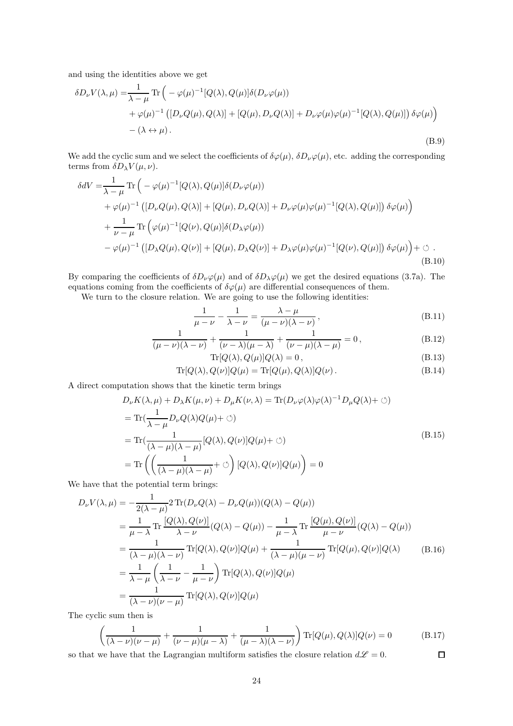and using the identities above we get

$$
\delta D_{\nu} V(\lambda, \mu) = \frac{1}{\lambda - \mu} \text{Tr} \left( -\varphi(\mu)^{-1} [Q(\lambda), Q(\mu)] \delta(D_{\nu} \varphi(\mu)) \right. \left. + \varphi(\mu)^{-1} \left( [D_{\nu} Q(\mu), Q(\lambda)] + [Q(\mu), D_{\nu} Q(\lambda)] + D_{\nu} \varphi(\mu) \varphi(\mu)^{-1} [Q(\lambda), Q(\mu)] \right) \delta \varphi(\mu) \right) - (\lambda \leftrightarrow \mu).
$$
\n(B.9)

We add the cyclic sum and we select the coefficients of  $\delta\varphi(\mu)$ ,  $\delta D_{\nu}\varphi(\mu)$ , etc. adding the corresponding terms from  $\delta D_{\lambda} V(\mu, \nu)$ .

$$
\delta dV = \frac{1}{\lambda - \mu} \text{Tr} \left( -\varphi(\mu)^{-1} [Q(\lambda), Q(\mu)] \delta(D_{\nu}\varphi(\mu)) \right. \n+ \varphi(\mu)^{-1} \left( [D_{\nu}Q(\mu), Q(\lambda)] + [Q(\mu), D_{\nu}Q(\lambda)] + D_{\nu}\varphi(\mu)\varphi(\mu)^{-1} [Q(\lambda), Q(\mu)] \right) \delta\varphi(\mu) \right) \n+ \frac{1}{\nu - \mu} \text{Tr} \left( \varphi(\mu)^{-1} [Q(\nu), Q(\mu)] \delta(D_{\lambda}\varphi(\mu)) \right. \n- \varphi(\mu)^{-1} \left( [D_{\lambda}Q(\mu), Q(\nu)] + [Q(\mu), D_{\lambda}Q(\nu)] + D_{\lambda}\varphi(\mu)\varphi(\mu)^{-1} [Q(\nu), Q(\mu)] \right) \delta\varphi(\mu) \Big) + \circlearrowleft. (B.10)
$$

By comparing the coefficients of  $\delta D_{\nu}\varphi(\mu)$  and of  $\delta D_{\lambda}\varphi(\mu)$  we get the desired equations [\(3.7a\)](#page-8-2). The equations coming from the coefficients of  $\delta\varphi(\mu)$  are differential consequences of them.

We turn to the closure relation. We are going to use the following identities:

$$
\frac{1}{\mu - \nu} - \frac{1}{\lambda - \nu} = \frac{\lambda - \mu}{(\mu - \nu)(\lambda - \nu)},
$$
\n(B.11)

$$
\frac{1}{(\mu - \nu)(\lambda - \nu)} + \frac{1}{(\nu - \lambda)(\mu - \lambda)} + \frac{1}{(\nu - \mu)(\lambda - \mu)} = 0,
$$
\n(B.12)

$$
\text{Tr}[Q(\lambda), Q(\mu)]Q(\lambda) = 0, \tag{B.13}
$$
\n
$$
Q(\mu)|Q(\mu) - \text{Tr}[Q(\mu), Q(\lambda)]Q(\mu) \tag{B.14}
$$

$$
\operatorname{Tr}[Q(\lambda), Q(\nu)]Q(\mu) = \operatorname{Tr}[Q(\mu), Q(\lambda)]Q(\nu). \tag{B.14}
$$

A direct computation shows that the kinetic term brings

$$
D_{\nu}K(\lambda,\mu) + D_{\lambda}K(\mu,\nu) + D_{\mu}K(\nu,\lambda) = \text{Tr}(D_{\nu}\varphi(\lambda)\varphi(\lambda)^{-1}D_{\mu}Q(\lambda) + \varnothing)
$$
  
\n
$$
= \text{Tr}(\frac{1}{\lambda-\mu}D_{\nu}Q(\lambda)Q(\mu) + \varnothing)
$$
  
\n
$$
= \text{Tr}(\frac{1}{(\lambda-\mu)(\lambda-\mu)}[Q(\lambda),Q(\nu)]Q(\mu) + \varnothing)
$$
  
\n
$$
= \text{Tr}(\left(\frac{1}{(\lambda-\mu)(\lambda-\mu)}+\varnothing\right)[Q(\lambda),Q(\nu)]Q(\mu)\right) = 0
$$
 (B.15)

We have that the potential term brings:

$$
D_{\nu}V(\lambda,\mu) = -\frac{1}{2(\lambda-\mu)} 2 \operatorname{Tr}(D_{\nu}Q(\lambda) - D_{\nu}Q(\mu))(Q(\lambda) - Q(\mu))
$$
  
\n
$$
= \frac{1}{\mu-\lambda} \operatorname{Tr} \frac{[Q(\lambda), Q(\nu)]}{\lambda-\nu} (Q(\lambda) - Q(\mu)) - \frac{1}{\mu-\lambda} \operatorname{Tr} \frac{[Q(\mu), Q(\nu)]}{\mu-\nu} (Q(\lambda) - Q(\mu))
$$
  
\n
$$
= \frac{1}{(\lambda-\mu)(\lambda-\nu)} \operatorname{Tr}[Q(\lambda), Q(\nu)]Q(\mu) + \frac{1}{(\lambda-\mu)(\mu-\nu)} \operatorname{Tr}[Q(\mu), Q(\nu)]Q(\lambda)
$$
  
\n
$$
= \frac{1}{\lambda-\mu} \left(\frac{1}{\lambda-\nu} - \frac{1}{\mu-\nu}\right) \operatorname{Tr}[Q(\lambda), Q(\nu)]Q(\mu)
$$
  
\n
$$
= \frac{1}{(\lambda-\nu)(\nu-\mu)} \operatorname{Tr}[Q(\lambda), Q(\nu)]Q(\mu)
$$

The cyclic sum then is

$$
\left(\frac{1}{(\lambda-\nu)(\nu-\mu)}+\frac{1}{(\nu-\mu)(\mu-\lambda)}+\frac{1}{(\mu-\lambda)(\lambda-\nu)}\right) \text{Tr}[Q(\mu),Q(\lambda)]Q(\nu) = 0 \tag{B.17}
$$
  
we have that the Lagrangian multiform satisfies the closure relation  $d\mathcal{L} = 0$ .

so that we have that the Lagrangian multiform satisfies the closure relation  $d\mathscr{L} = 0$ .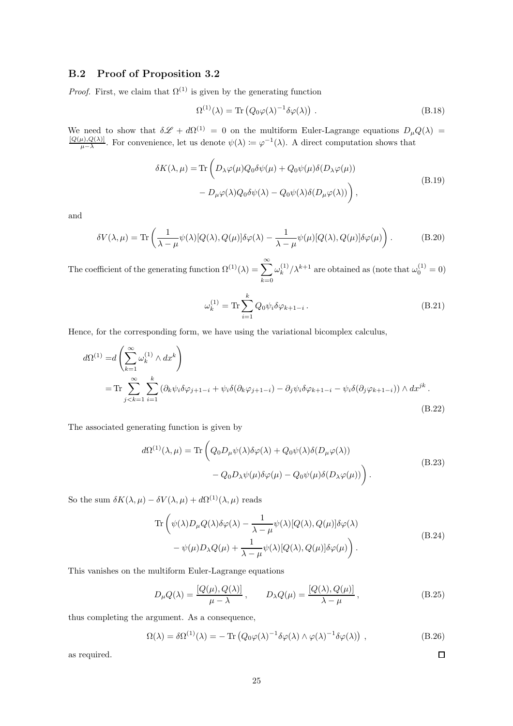## <span id="page-24-0"></span>B.2 Proof of Proposition [3.2](#page-10-5)

*Proof.* First, we claim that  $\Omega^{(1)}$  is given by the generating function

$$
\Omega^{(1)}(\lambda) = \text{Tr}\left(Q_0 \varphi(\lambda)^{-1} \delta \varphi(\lambda)\right). \tag{B.18}
$$

We need to show that  $\delta \mathscr{L} + d\Omega^{(1)} = 0$  on the multiform Euler-Lagrange equations  $D_{\mu}Q(\lambda) = \frac{[Q(\mu), Q(\lambda)]}{\mu - \lambda}$ . For convenience, let us denote  $\psi(\lambda) := \varphi^{-1}(\lambda)$ . A direct computation shows that

$$
\delta K(\lambda, \mu) = \text{Tr} \left( D_{\lambda} \varphi(\mu) Q_0 \delta \psi(\mu) + Q_0 \psi(\mu) \delta(D_{\lambda} \varphi(\mu)) - D_{\mu} \varphi(\lambda) Q_0 \delta \psi(\lambda) - Q_0 \psi(\lambda) \delta(D_{\mu} \varphi(\lambda)) \right),
$$
\n(B.19)

and

$$
\delta V(\lambda,\mu) = \text{Tr}\left(\frac{1}{\lambda-\mu}\psi(\lambda)[Q(\lambda),Q(\mu)]\delta\varphi(\lambda) - \frac{1}{\lambda-\mu}\psi(\mu)[Q(\lambda),Q(\mu)]\delta\varphi(\mu)\right). \tag{B.20}
$$

The coefficient of the generating function  $\Omega^{(1)}(\lambda) = \sum_{k=0}^{\infty} \frac{1}{k}$  $_{k=0}$  $\omega_k^{(1)}$  $\int_k^{(1)}/\lambda^{k+1}$  are obtained as (note that  $\omega_0^{(1)} = 0$ )

$$
\omega_k^{(1)} = \text{Tr} \sum_{i=1}^k Q_0 \psi_i \delta \varphi_{k+1-i} \,. \tag{B.21}
$$

Hence, for the corresponding form, we have using the variational bicomplex calculus,

$$
d\Omega^{(1)} = d\left(\sum_{k=1}^{\infty} \omega_k^{(1)} \wedge dx^k\right)
$$
  
= Tr  $\sum_{j \le k=1}^{\infty} \sum_{i=1}^{k} \left(\partial_k \psi_i \delta \varphi_{j+1-i} + \psi_i \delta(\partial_k \varphi_{j+1-i}) - \partial_j \psi_i \delta \varphi_{k+1-i} - \psi_i \delta(\partial_j \varphi_{k+1-i})\right) \wedge dx^{jk}$ . (B.22)

The associated generating function is given by

$$
d\Omega^{(1)}(\lambda,\mu) = \text{Tr}\left(Q_0 D_\mu \psi(\lambda)\delta\varphi(\lambda) + Q_0 \psi(\lambda)\delta(D_\mu \varphi(\lambda)) - Q_0 D_\lambda \psi(\mu)\delta\varphi(\mu) - Q_0 \psi(\mu)\delta(D_\lambda \varphi(\mu))\right).
$$
\n(B.23)

So the sum  $\delta K(\lambda, \mu) - \delta V(\lambda, \mu) + d\Omega^{(1)}(\lambda, \mu)$  reads

$$
\operatorname{Tr}\left(\psi(\lambda)D_{\mu}Q(\lambda)\delta\varphi(\lambda) - \frac{1}{\lambda - \mu}\psi(\lambda)[Q(\lambda), Q(\mu)]\delta\varphi(\lambda) - \psi(\mu)D_{\lambda}Q(\mu) + \frac{1}{\lambda - \mu}\psi(\lambda)[Q(\lambda), Q(\mu)]\delta\varphi(\mu)\right).
$$
\n(B.24)

This vanishes on the multiform Euler-Lagrange equations

$$
D_{\mu}Q(\lambda) = \frac{[Q(\mu), Q(\lambda)]}{\mu - \lambda}, \qquad D_{\lambda}Q(\mu) = \frac{[Q(\lambda), Q(\mu)]}{\lambda - \mu}, \qquad (B.25)
$$

thus completing the argument. As a consequence,

$$
\Omega(\lambda) = \delta \Omega^{(1)}(\lambda) = - \operatorname{Tr} (Q_0 \varphi(\lambda)^{-1} \delta \varphi(\lambda) \wedge \varphi(\lambda)^{-1} \delta \varphi(\lambda)), \tag{B.26}
$$

 $\Box$ 

as required.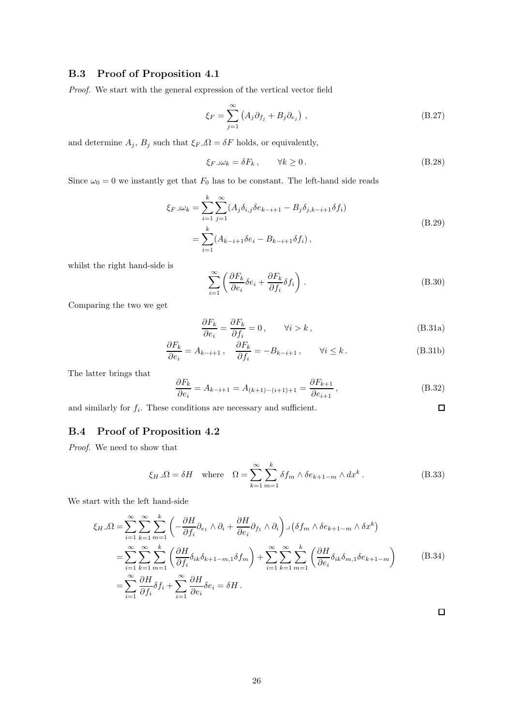## <span id="page-25-0"></span>B.3 Proof of Proposition [4.1](#page-11-4)

Proof. We start with the general expression of the vertical vector field

$$
\xi_F = \sum_{j=1}^{\infty} \left( A_j \partial_{f_j} + B_j \partial_{e_j} \right) , \qquad (B.27)
$$

and determine  $A_j$ ,  $B_j$  such that  $\xi_F \lrcorner \Omega = \delta F$  holds, or equivalently,

$$
\xi_F \log_k = \delta F_k, \qquad \forall k \ge 0. \tag{B.28}
$$

Since  $\omega_0 = 0$  we instantly get that  $F_0$  has to be constant. The left-hand side reads

$$
\xi_F \lrcorner \omega_k = \sum_{i=1}^k \sum_{j=1}^\infty (A_j \delta_{i,j} \delta e_{k-i+1} - B_j \delta_{j,k-i+1} \delta f_i)
$$
\n
$$
= \sum_{i=1}^k (A_{k-i+1} \delta e_i - B_{k-i+1} \delta f_i), \qquad (B.29)
$$

whilst the right hand-side is

$$
\sum_{i=1}^{\infty} \left( \frac{\partial F_k}{\partial e_i} \delta e_i + \frac{\partial F_k}{\partial f_i} \delta f_i \right).
$$
 (B.30)

Comparing the two we get

$$
\frac{\partial F_k}{\partial e_i} = \frac{\partial F_k}{\partial f_i} = 0, \qquad \forall i > k,
$$
\n(B.31a)

 $\Box$ 

$$
\frac{\partial F_k}{\partial e_i} = A_{k-i+1}, \quad \frac{\partial F_k}{\partial f_i} = -B_{k-i+1}, \quad \forall i \le k.
$$
 (B.31b)

The latter brings that

$$
\frac{\partial F_k}{\partial e_i} = A_{k-i+1} = A_{(k+1)-(i+1)+1} = \frac{\partial F_{k+1}}{\partial e_{i+1}},
$$
\n(B.32)

and similarly for  $f_i$ . These conditions are necessary and sufficient.

## <span id="page-25-1"></span>B.4 Proof of Proposition [4.2](#page-11-5)

Proof. We need to show that

$$
\xi_{H}\lrcorner\Omega = \delta H \quad \text{where} \quad \Omega = \sum_{k=1}^{\infty} \sum_{m=1}^{k} \delta f_m \wedge \delta e_{k+1-m} \wedge dx^k \,. \tag{B.33}
$$

We start with the left hand-side

$$
\xi_{H}\lrcorner\Omega = \sum_{i=1}^{\infty}\sum_{k=1}^{\infty}\sum_{m=1}^{k} \left(-\frac{\partial H}{\partial f_{i}}\partial_{e_{1}}\wedge\partial_{i} + \frac{\partial H}{\partial e_{i}}\partial_{f_{1}}\wedge\partial_{i}\right) \lrcorner \left(\delta f_{m}\wedge\delta e_{k+1-m}\wedge\delta x^{k}\right)
$$
  
\n
$$
= \sum_{i=1}^{\infty}\sum_{k=1}^{\infty}\sum_{m=1}^{k} \left(\frac{\partial H}{\partial f_{i}}\delta_{ik}\delta_{k+1-m,1}\delta f_{m}\right) + \sum_{i=1}^{\infty}\sum_{k=1}^{\infty}\sum_{m=1}^{k} \left(\frac{\partial H}{\partial e_{i}}\delta_{ik}\delta_{m,1}\delta e_{k+1-m}\right)
$$
(B.34)  
\n
$$
= \sum_{i=1}^{\infty}\frac{\partial H}{\partial f_{i}}\delta f_{i} + \sum_{i=1}^{\infty}\frac{\partial H}{\partial e_{i}}\delta e_{i} = \delta H.
$$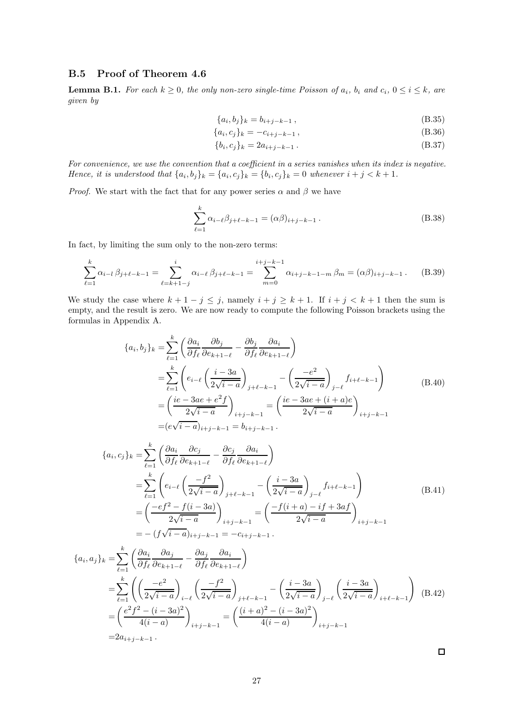## <span id="page-26-0"></span>B.5 Proof of Theorem [4.6](#page-13-1)

<span id="page-26-1"></span>**Lemma B.1.** For each  $k \geq 0$ , the only non-zero single-time Poisson of  $a_i$ ,  $b_i$  and  $c_i$ ,  $0 \leq i \leq k$ , are given by

$$
\{a_i, b_j\}_k = b_{i+j-k-1},\tag{B.35}
$$

$$
\{a_i, c_j\}_k = -c_{i+j-k-1},\tag{B.36}
$$

$$
\{b_i, c_j\}_k = 2a_{i+j-k-1} \,. \tag{B.37}
$$

For convenience, we use the convention that a coefficient in a series vanishes when its index is negative. Hence, it is understood that  $\{a_i, b_j\}_k = \{a_i, c_j\}_k = \{b_i, c_j\}_k = 0$  whenever  $i + j < k + 1$ .

*Proof.* We start with the fact that for any power series  $\alpha$  and  $\beta$  we have

$$
\sum_{\ell=1}^{k} \alpha_{i-\ell} \beta_{j+\ell-k-1} = (\alpha \beta)_{i+j-k-1} .
$$
 (B.38)

In fact, by limiting the sum only to the non-zero terms:

$$
\sum_{\ell=1}^{k} \alpha_{i-l} \beta_{j+\ell-k-1} = \sum_{\ell=k+1-j}^{i} \alpha_{i-\ell} \beta_{j+\ell-k-1} = \sum_{m=0}^{i+j-k-1} \alpha_{i+j-k-1-m} \beta_m = (\alpha \beta)_{i+j-k-1}.
$$
 (B.39)

We study the case where  $k + 1 - j \leq j$ , namely  $i + j \geq k + 1$ . If  $i + j < k + 1$  then the sum is empty, and the result is zero. We are now ready to compute the following Poisson brackets using the formulas in Appendix [A.](#page-20-0)

$$
\{a_i, b_j\}_k = \sum_{\ell=1}^k \left( \frac{\partial a_i}{\partial f_\ell} \frac{\partial b_j}{\partial e_{k+1-\ell}} - \frac{\partial b_j}{\partial f_\ell} \frac{\partial a_i}{\partial e_{k+1-\ell}} \right)
$$
  
\n
$$
= \sum_{\ell=1}^k \left( e_{i-\ell} \left( \frac{i-3a}{2\sqrt{i-a}} \right)_{j+\ell-k-1} - \left( \frac{-e^2}{2\sqrt{i-a}} \right)_{j-\ell} f_{i+\ell-k-1} \right)
$$
  
\n
$$
= \left( \frac{ie - 3ae + e^2 f}{2\sqrt{i-a}} \right)_{i+j-k-1} = \left( \frac{ie - 3ae + (i+a)e}{2\sqrt{i-a}} \right)_{i+j-k-1}
$$
  
\n
$$
= (e\sqrt{i-a})_{i+j-k-1} = b_{i+j-k-1}.
$$
 (B.40)

$$
\{a_i, c_j\}_k = \sum_{\ell=1}^k \left( \frac{\partial a_i}{\partial f_\ell} \frac{\partial c_j}{\partial e_{k+1-\ell}} - \frac{\partial c_j}{\partial f_\ell} \frac{\partial a_i}{\partial e_{k+1-\ell}} \right)
$$
  
\n
$$
= \sum_{\ell=1}^k \left( e_{i-\ell} \left( \frac{-f^2}{2\sqrt{i-a}} \right)_{j+\ell-k-1} - \left( \frac{i-3a}{2\sqrt{i-a}} \right)_{j-\ell} f_{i+\ell-k-1} \right)
$$
  
\n
$$
= \left( \frac{-ef^2 - f(i-3a)}{2\sqrt{i-a}} \right)_{i+j-k-1} = \left( \frac{-f(i+a) - if + 3af}{2\sqrt{i-a}} \right)_{i+j-k-1}
$$
  
\n
$$
= -(f\sqrt{i-a})_{i+j-k-1} = -c_{i+j-k-1}.
$$
 (B.41)

$$
\{a_i, a_j\}_k = \sum_{\ell=1}^k \left( \frac{\partial a_i}{\partial f_\ell} \frac{\partial a_j}{\partial e_{k+1-\ell}} - \frac{\partial a_j}{\partial f_\ell} \frac{\partial a_i}{\partial e_{k+1-\ell}} \right)
$$
  
\n
$$
= \sum_{\ell=1}^k \left( \left( \frac{-e^2}{2\sqrt{i-a}} \right)_{i-\ell} \left( \frac{-f^2}{2\sqrt{i-a}} \right)_{j+\ell-k-1} - \left( \frac{i-3a}{2\sqrt{i-a}} \right)_{j-\ell} \left( \frac{i-3a}{2\sqrt{i-a}} \right)_{i+\ell-k-1} \right)
$$
  
\n
$$
= \left( \frac{e^2 f^2 - (i-3a)^2}{4(i-a)} \right)_{i+j-k-1} = \left( \frac{(i+a)^2 - (i-3a)^2}{4(i-a)} \right)_{i+j-k-1}
$$
  
\n
$$
= 2a_{i+j-k-1}.
$$
 (B.42)

 $\Box$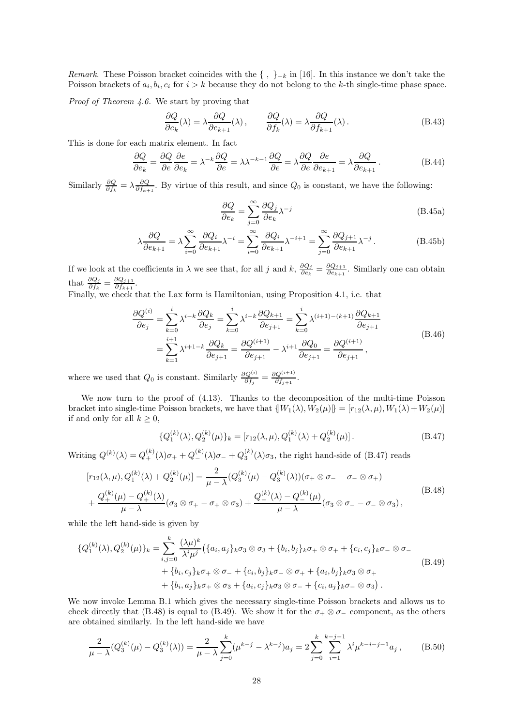Remark. These Poisson bracket coincides with the  $\{\, ,\,\}_k$  in [\[16](#page-31-6)]. In this instance we don't take the Poisson brackets of  $a_i, b_i, c_i$  for  $i > k$  because they do not belong to the k-th single-time phase space.

Proof of Theorem [4.6.](#page-13-1) We start by proving that

$$
\frac{\partial Q}{\partial e_k}(\lambda) = \lambda \frac{\partial Q}{\partial e_{k+1}}(\lambda), \qquad \frac{\partial Q}{\partial f_k}(\lambda) = \lambda \frac{\partial Q}{\partial f_{k+1}}(\lambda). \tag{B.43}
$$

This is done for each matrix element. In fact

$$
\frac{\partial Q}{\partial e_k} = \frac{\partial Q}{\partial e} \frac{\partial e}{\partial e_k} = \lambda^{-k} \frac{\partial Q}{\partial e} = \lambda \lambda^{-k-1} \frac{\partial Q}{\partial e} = \lambda \frac{\partial Q}{\partial e} \frac{\partial e}{\partial e_{k+1}} = \lambda \frac{\partial Q}{\partial e_{k+1}}.
$$
(B.44)

Similarly  $\frac{\partial Q}{\partial f_k} = \lambda \frac{\partial Q}{\partial f_{k+1}}$ . By virtue of this result, and since  $Q_0$  is constant, we have the following:

$$
\frac{\partial Q}{\partial e_k} = \sum_{j=0}^{\infty} \frac{\partial Q_j}{\partial e_k} \lambda^{-j}
$$
 (B.45a)

$$
\lambda \frac{\partial Q}{\partial e_{k+1}} = \lambda \sum_{i=0}^{\infty} \frac{\partial Q_i}{\partial e_{k+1}} \lambda^{-i} = \sum_{i=0}^{\infty} \frac{\partial Q_i}{\partial e_{k+1}} \lambda^{-i+1} = \sum_{j=0}^{\infty} \frac{\partial Q_{j+1}}{\partial e_{k+1}} \lambda^{-j}.
$$
 (B.45b)

If we look at the coefficients in  $\lambda$  we see that, for all j and  $k$ ,  $\frac{\partial Q_j}{\partial e_k}$  $\frac{\partial Q_j}{\partial e_k} = \frac{\partial Q_{j+1}}{\partial e_{k+1}}$  $\frac{\partial Q_{j+1}}{\partial e_{k+1}}$ . Similarly one can obtain that  $\frac{\partial Q_j}{\partial f_k} = \frac{\partial Q_{j+1}}{\partial f_{k+1}}$  $\frac{\partial Q_{j+1}}{\partial f_{k+1}}$ .

Finally, we check that the Lax form is Hamiltonian, using Proposition [4.1,](#page-11-4) i.e. that

$$
\frac{\partial Q^{(i)}}{\partial e_j} = \sum_{k=0}^{i} \lambda^{i-k} \frac{\partial Q_k}{\partial e_j} = \sum_{k=0}^{i} \lambda^{i-k} \frac{\partial Q_{k+1}}{\partial e_{j+1}} = \sum_{k=0}^{i} \lambda^{(i+1)-(k+1)} \frac{\partial Q_{k+1}}{\partial e_{j+1}}
$$
\n
$$
= \sum_{k=1}^{i+1} \lambda^{i+1-k} \frac{\partial Q_k}{\partial e_{j+1}} = \frac{\partial Q^{(i+1)}}{\partial e_{j+1}} - \lambda^{i+1} \frac{\partial Q_0}{\partial e_{j+1}} = \frac{\partial Q^{(i+1)}}{\partial e_{j+1}},
$$
\n(B.46)

where we used that  $Q_0$  is constant. Similarly  $\frac{\partial Q^{(i)}}{\partial f_j} = \frac{\partial Q^{(i+1)}}{\partial f_{j+1}}$  $\frac{\partial \mathcal{G}^{\vee}}{\partial f_{j+1}}$ .

We now turn to the proof of [\(4.13\)](#page-13-3). Thanks to the decomposition of the multi-time Poisson bracket into single-time Poisson brackets, we have that  $\{W_1(\lambda), W_2(\mu)\} = [r_{12}(\lambda, \mu), W_1(\lambda) + W_2(\mu)]$ if and only for all  $k \geq 0$ ,

<span id="page-27-0"></span>
$$
\{Q_1^{(k)}(\lambda), Q_2^{(k)}(\mu)\}_k = [r_{12}(\lambda, \mu), Q_1^{(k)}(\lambda) + Q_2^{(k)}(\mu)].
$$
\n(B.47)

Writing  $Q^{(k)}(\lambda) = Q_{+}^{(k)}(\lambda)\sigma_{+} + Q_{-}^{(k)}(\lambda)\sigma_{-} + Q_{3}^{(k)}(\lambda)\sigma_{3}$ , the right hand-side of [\(B.47\)](#page-27-0) reads

<span id="page-27-1"></span>
$$
[r_{12}(\lambda,\mu), Q_1^{(k)}(\lambda) + Q_2^{(k)}(\mu)] = \frac{2}{\mu - \lambda} (Q_3^{(k)}(\mu) - Q_3^{(k)}(\lambda)) (\sigma_+ \otimes \sigma_- - \sigma_- \otimes \sigma_+)
$$
  
+ 
$$
\frac{Q_+^{(k)}(\mu) - Q_+^{(k)}(\lambda)}{\mu - \lambda} (\sigma_3 \otimes \sigma_+ - \sigma_+ \otimes \sigma_3) + \frac{Q_-^{(k)}(\lambda) - Q_-^{(k)}(\mu)}{\mu - \lambda} (\sigma_3 \otimes \sigma_- - \sigma_- \otimes \sigma_3),
$$
 (B.48)

while the left hand-side is given by

<span id="page-27-2"></span>
$$
\{Q_{1}^{(k)}(\lambda), Q_{2}^{(k)}(\mu)\}_{k} = \sum_{i,j=0}^{k} \frac{(\lambda\mu)^{k}}{\lambda^{i}\mu^{j}} \left(\{a_{i}, a_{j}\}_{k}\sigma_{3} \otimes \sigma_{3} + \{b_{i}, b_{j}\}_{k}\sigma_{+} \otimes \sigma_{+} + \{c_{i}, c_{j}\}_{k}\sigma_{-} \otimes \sigma_{-} \right.\n\left(B.49\right) \\
+ \{b_{i}, c_{j}\}_{k}\sigma_{+} \otimes \sigma_{-} + \{c_{i}, b_{j}\}_{k}\sigma_{-} \otimes \sigma_{+} + \{a_{i}, b_{j}\}_{k}\sigma_{3} \otimes \sigma_{+} \\
+ \{b_{i}, a_{j}\}_{k}\sigma_{+} \otimes \sigma_{3} + \{a_{i}, c_{j}\}_{k}\sigma_{3} \otimes \sigma_{-} + \{c_{i}, a_{j}\}_{k}\sigma_{-} \otimes \sigma_{3}\right).
$$
\n(B.49)

We now invoke Lemma [B.1](#page-26-1) which gives the necessary single-time Poisson brackets and allows us to check directly that [\(B.48\)](#page-27-1) is equal to [\(B.49\)](#page-27-2). We show it for the  $\sigma_+ \otimes \sigma_-$  component, as the others are obtained similarly. In the left hand-side we have

$$
\frac{2}{\mu - \lambda} (Q_3^{(k)}(\mu) - Q_3^{(k)}(\lambda)) = \frac{2}{\mu - \lambda} \sum_{j=0}^k (\mu^{k-j} - \lambda^{k-j}) a_j = 2 \sum_{j=0}^k \sum_{i=1}^{k-j-1} \lambda^i \mu^{k-i-j-1} a_j,
$$
 (B.50)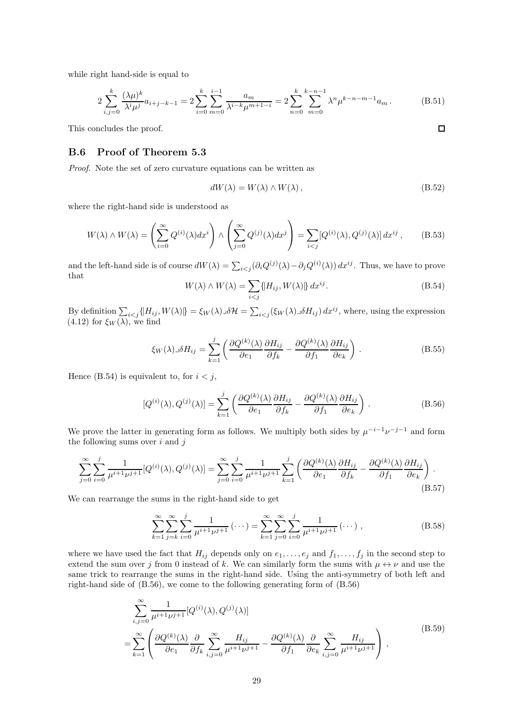while right hand-side is equal to

$$
2\sum_{i,j=0}^{k} \frac{(\lambda \mu)^k}{\lambda^i \mu^j} a_{i+j-k-1} = 2\sum_{i=0}^{k} \sum_{m=0}^{i-1} \frac{a_m}{\lambda^{i-k} \mu^{m+1-i}} = 2\sum_{n=0}^{k} \sum_{m=0}^{k-n-1} \lambda^n \mu^{k-n-m-1} a_m.
$$
 (B.51)

This concludes the proof.

#### <span id="page-28-0"></span>B.6 Proof of Theorem [5.3](#page-14-1)

Proof. Note the set of zero curvature equations can be written as

$$
dW(\lambda) = W(\lambda) \wedge W(\lambda), \qquad (B.52)
$$

where the right-hand side is understood as

$$
W(\lambda) \wedge W(\lambda) = \left(\sum_{i=0}^{\infty} Q^{(i)}(\lambda) dx^i\right) \wedge \left(\sum_{j=0}^{\infty} Q^{(j)}(\lambda) dx^j\right) = \sum_{i < j} [Q^{(i)}(\lambda), Q^{(j)}(\lambda)] dx^{ij},\tag{B.53}
$$

and the left-hand side is of course  $dW(\lambda) = \sum_{i < j} (\partial_i Q^{(j)}(\lambda) - \partial_j Q^{(i)}(\lambda)) dx^{ij}$ . Thus, we have to prove that

<span id="page-28-1"></span>
$$
W(\lambda) \wedge W(\lambda) = \sum_{i < j} \{ H_{ij}, W(\lambda) \} \, dx^{ij}.
$$
\n(B.54)

By definition  $\sum_{i \leq j} {\|H_{ij}, W(\lambda)\} = \xi_W(\lambda) \Im \mathcal{H} = \sum_{i \leq j} {\left(\xi_W(\lambda) \Im H_{ij}\right) dx^{ij}}$ , where, using the expression  $(4.12)$  for  $\xi_W(\lambda)$ , we find

$$
\xi_W(\lambda) \lrcorner \delta H_{ij} = \sum_{k=1}^j \left( \frac{\partial Q^{(k)}(\lambda)}{\partial e_1} \frac{\partial H_{ij}}{\partial f_k} - \frac{\partial Q^{(k)}(\lambda)}{\partial f_1} \frac{\partial H_{ij}}{\partial e_k} \right) . \tag{B.55}
$$

Hence [\(B.54\)](#page-28-1) is equivalent to, for  $i < j$ ,

<span id="page-28-2"></span>
$$
[Q^{(i)}(\lambda), Q^{(j)}(\lambda)] = \sum_{k=1}^{j} \left( \frac{\partial Q^{(k)}(\lambda)}{\partial e_1} \frac{\partial H_{ij}}{\partial f_k} - \frac{\partial Q^{(k)}(\lambda)}{\partial f_1} \frac{\partial H_{ij}}{\partial e_k} \right).
$$
 (B.56)

We prove the latter in generating form as follows. We multiply both sides by  $\mu^{-i-1}\nu^{-j-1}$  and form the following sums over  $i$  and  $j$ 

$$
\sum_{j=0}^{\infty} \sum_{i=0}^{j} \frac{1}{\mu^{i+1} \nu^{j+1}} [Q^{(i)}(\lambda), Q^{(j)}(\lambda)] = \sum_{j=0}^{\infty} \sum_{i=0}^{j} \frac{1}{\mu^{i+1} \nu^{j+1}} \sum_{k=1}^{j} \left( \frac{\partial Q^{(k)}(\lambda)}{\partial e_1} \frac{\partial H_{ij}}{\partial f_k} - \frac{\partial Q^{(k)}(\lambda)}{\partial f_1} \frac{\partial H_{ij}}{\partial e_k} \right).
$$
\n(B.57)

We can rearrange the sums in the right-hand side to get

$$
\sum_{k=1}^{\infty} \sum_{j=k}^{\infty} \sum_{i=0}^{j} \frac{1}{\mu^{i+1} \nu^{j+1}} \left( \cdots \right) = \sum_{k=1}^{\infty} \sum_{j=0}^{\infty} \sum_{i=0}^{j} \frac{1}{\mu^{i+1} \nu^{j+1}} \left( \cdots \right),
$$
\n(B.58)

where we have used the fact that  $H_{ij}$  depends only on  $e_1, \ldots, e_j$  and  $f_1, \ldots, f_j$  in the second step to extend the sum over j from 0 instead of k. We can similarly form the sums with  $\mu \leftrightarrow \nu$  and use the same trick to rearrange the sums in the right-hand side. Using the anti-symmetry of both left and right-hand side of [\(B.56\)](#page-28-2), we come to the following generating form of [\(B.56\)](#page-28-2)

$$
\sum_{i,j=0}^{\infty} \frac{1}{\mu^{i+1} \nu^{j+1}} [Q^{(i)}(\lambda), Q^{(j)}(\lambda)]
$$
\n
$$
= \sum_{k=1}^{\infty} \left( \frac{\partial Q^{(k)}(\lambda)}{\partial e_1} \frac{\partial}{\partial f_k} \sum_{i,j=0}^{\infty} \frac{H_{ij}}{\mu^{i+1} \nu^{j+1}} - \frac{\partial Q^{(k)}(\lambda)}{\partial f_1} \frac{\partial}{\partial e_k} \sum_{i,j=0}^{\infty} \frac{H_{ij}}{\mu^{i+1} \nu^{j+1}} \right),
$$
\n(B.59)

 $\Box$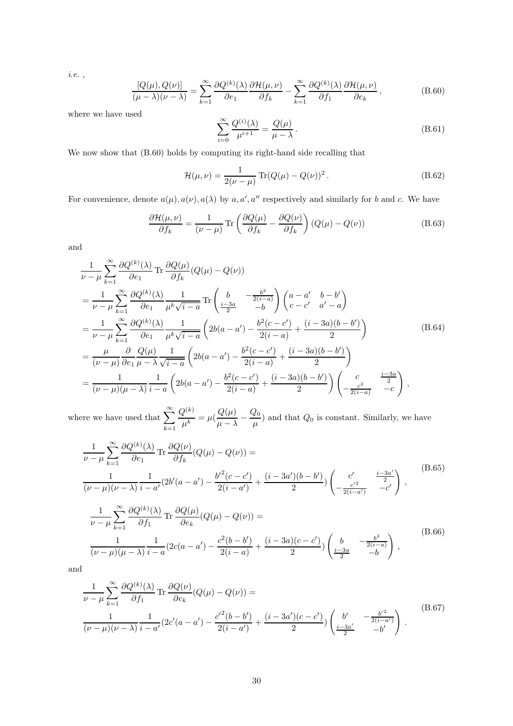i.e. ,

<span id="page-29-0"></span>
$$
\frac{[Q(\mu), Q(\nu)]}{(\mu - \lambda)(\nu - \lambda)} = \sum_{k=1}^{\infty} \frac{\partial Q^{(k)}(\lambda)}{\partial e_1} \frac{\partial \mathcal{H}(\mu, \nu)}{\partial f_k} - \sum_{k=1}^{\infty} \frac{\partial Q^{(k)}(\lambda)}{\partial f_1} \frac{\partial \mathcal{H}(\mu, \nu)}{\partial e_k},
$$
(B.60)

where we have used

$$
\sum_{i=0}^{\infty} \frac{Q^{(i)}(\lambda)}{\mu^{i+1}} = \frac{Q(\mu)}{\mu - \lambda}.
$$
\n(B.61)

We now show that [\(B.60\)](#page-29-0) holds by computing its right-hand side recalling that

$$
\mathcal{H}(\mu,\nu) = \frac{1}{2(\nu - \mu)} \operatorname{Tr}(Q(\mu) - Q(\nu))^2.
$$
 (B.62)

For convenience, denote  $a(\mu)$ ,  $a(\nu)$ ,  $a(\lambda)$  by  $a, a', a''$  respectively and similarly for b and c. We have

$$
\frac{\partial \mathcal{H}(\mu,\nu)}{\partial f_k} = \frac{1}{(\nu-\mu)} \operatorname{Tr} \left( \frac{\partial Q(\mu)}{\partial f_k} - \frac{\partial Q(\nu)}{\partial f_k} \right) (Q(\mu) - Q(\nu))
$$
(B.63)

and

$$
\frac{1}{\nu - \mu} \sum_{k=1}^{\infty} \frac{\partial Q^{(k)}(\lambda)}{\partial e_1} \text{Tr} \frac{\partial Q(\mu)}{\partial f_k} (Q(\mu) - Q(\nu))
$$
\n
$$
= \frac{1}{\nu - \mu} \sum_{k=1}^{\infty} \frac{\partial Q^{(k)}(\lambda)}{\partial e_1} \frac{1}{\mu^k \sqrt{i - a}} \text{Tr} \left( \frac{b}{\frac{i - 3a}{2}} - \frac{\frac{b^2}{2(i - a)}}{-b} \right) \begin{pmatrix} a - a' & b - b' \\ c - c' & a' - a \end{pmatrix}
$$
\n
$$
= \frac{1}{\nu - \mu} \sum_{k=1}^{\infty} \frac{\partial Q^{(k)}(\lambda)}{\partial e_1} \frac{1}{\mu^k \sqrt{i - a}} \left( 2b(a - a') - \frac{b^2(c - c')}{2(i - a)} + \frac{(i - 3a)(b - b')}{2} \right)
$$
\n
$$
= \frac{\mu}{(\nu - \mu)} \frac{\partial}{\partial e_1} \frac{Q(\mu)}{\mu - \lambda} \frac{1}{\sqrt{i - a}} \left( 2b(a - a') - \frac{b^2(c - c')}{2(i - a)} + \frac{(i - 3a)(b - b')}{2} \right)
$$
\n
$$
= \frac{1}{(\nu - \mu)(\mu - \lambda)} \frac{1}{i - a} \left( 2b(a - a') - \frac{b^2(c - c')}{2(i - a)} + \frac{(i - 3a)(b - b')}{2} \right) \left( -\frac{c}{2(i - a)} - \frac{i - 3a}{-c} \right),
$$
\n(B.64)

where we have used that  $\sum_{n=1}^{\infty}$  $k=1$  $Q^{(k)}$  $\frac{Q^{(k)}}{\mu^k} = \mu(\frac{Q(\mu)}{\mu - \lambda})$  $\frac{\mu - \lambda}{\mu - \lambda}$  $\,Q_0$  $\frac{1}{\mu}$ ) and that  $Q_0$  is constant. Similarly, we have

$$
\frac{1}{\nu - \mu} \sum_{k=1}^{\infty} \frac{\partial Q^{(k)}(\lambda)}{\partial e_1} \operatorname{Tr} \frac{\partial Q(\nu)}{\partial f_k} (Q(\mu) - Q(\nu)) =
$$
\n
$$
\frac{1}{(\nu - \mu)(\nu - \lambda)} \frac{1}{i - a'} (2b'(a - a') - \frac{b'^2(c - c')}{2(i - a')} + \frac{(i - 3a')(b - b')}{2}) \begin{pmatrix} c' & \frac{i - 3a'}{2} \\ -\frac{c'^2}{2(i - a')} & -c' \end{pmatrix},
$$
\n
$$
\frac{1}{\nu - \mu} \sum_{k=1}^{\infty} \frac{\partial Q^{(k)}(\lambda)}{\partial f_1} \operatorname{Tr} \frac{\partial Q(\mu)}{\partial e_k} (Q(\mu) - Q(\nu)) =
$$
\n
$$
\frac{1}{(\nu - \mu)(\mu - \lambda)} \frac{1}{i - a} (2c(a - a') - \frac{c^2(b - b')}{2(i - a)} + \frac{(i - 3a)(c - c')}{2}) \begin{pmatrix} b & -\frac{b^2}{2(i - a)} \\ \frac{i - 3a}{2} & -b \end{pmatrix},
$$
\n(B.66)

and

$$
\frac{1}{\nu - \mu} \sum_{k=1}^{\infty} \frac{\partial Q^{(k)}(\lambda)}{\partial f_1} \text{Tr } \frac{\partial Q(\nu)}{\partial e_k} (Q(\mu) - Q(\nu)) =
$$
\n
$$
\frac{1}{(\nu - \mu)(\nu - \lambda)} \frac{1}{i - a'} (2c'(a - a') - \frac{c'^2(b - b')}{2(i - a')} + \frac{(i - 3a')(c - c')}{2}) \begin{pmatrix} b' & -\frac{b'^2}{2(i - a')}\\ \frac{i - 3a'}{2} & -b' \end{pmatrix}.
$$
\n(B.67)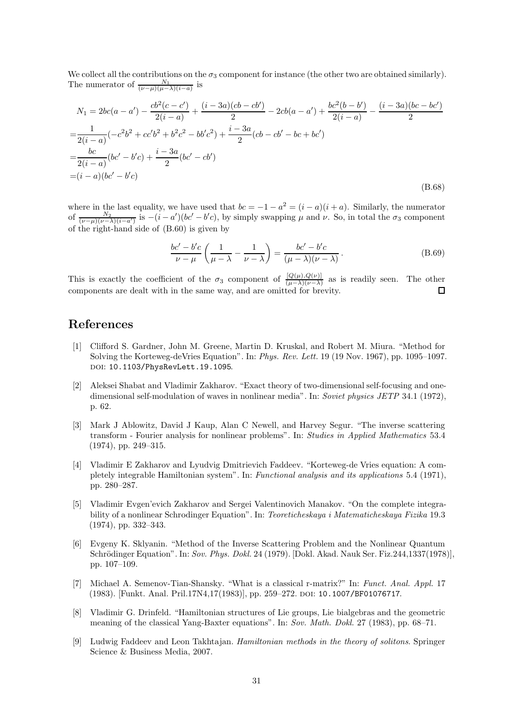We collect all the contributions on the  $\sigma_3$  component for instance (the other two are obtained similarly). The numerator of  $\frac{N_1}{(\nu-\mu)(\mu-\lambda)(i-a)}$  is

$$
N_1 = 2bc(a - a') - \frac{cb^2(c - c')}{2(i - a)} + \frac{(i - 3a)(cb - cb')}{2} - 2cb(a - a') + \frac{bc^2(b - b')}{2(i - a)} - \frac{(i - 3a)(bc - bc')}{2}
$$
  
= 
$$
\frac{1}{2(i - a)}(-c^2b^2 + cc'b^2 + b^2c^2 - bb'c^2) + \frac{i - 3a}{2}(cb - cb' - bc + bc')
$$
  
= 
$$
\frac{bc}{2(i - a)}(bc' - b'c) + \frac{i - 3a}{2}(bc' - cb')
$$
  
= 
$$
(i - a)(bc' - b'c)
$$
(B.68)

where in the last equality, we have used that  $bc = -1 - a^2 = (i - a)(i + a)$ . Similarly, the numerator of  $\frac{N_2}{(\nu-\mu)(\nu-\lambda)(i-a')}$  is  $-(i-a')(bc'-b'c)$ , by simply swapping  $\mu$  and  $\nu$ . So, in total the  $\sigma_3$  component of the right-hand side of [\(B.60\)](#page-29-0) is given by

$$
\frac{bc'-b'c}{\nu-\mu}\left(\frac{1}{\mu-\lambda}-\frac{1}{\nu-\lambda}\right)=\frac{bc'-b'c}{(\mu-\lambda)(\nu-\lambda)}.
$$
\n(B.69)

This is exactly the coefficient of the  $\sigma_3$  component of  $\frac{[Q(\mu),Q(\nu)]}{(\mu-\lambda)(\nu-\lambda)}$  as is readily seen. The other components are dealt with in the same way, and are omitted for brevity.  $\Box$ 

# References

- <span id="page-30-0"></span>[1] Clifford S. Gardner, John M. Greene, Martin D. Kruskal, and Robert M. Miura. "Method for Solving the Korteweg-deVries Equation". In: Phys. Rev. Lett. 19 (19 Nov. 1967), pp. 1095–1097. doi: [10.1103/PhysRevLett.19.1095](https://doi.org/10.1103/PhysRevLett.19.1095).
- <span id="page-30-1"></span>[2] Aleksei Shabat and Vladimir Zakharov. "Exact theory of two-dimensional self-focusing and onedimensional self-modulation of waves in nonlinear media". In: Soviet physics JETP 34.1 (1972), p. 62.
- <span id="page-30-2"></span>[3] Mark J Ablowitz, David J Kaup, Alan C Newell, and Harvey Segur. "The inverse scattering transform - Fourier analysis for nonlinear problems". In: Studies in Applied Mathematics 53.4 (1974), pp. 249–315.
- <span id="page-30-3"></span>[4] Vladimir E Zakharov and Lyudvig Dmitrievich Faddeev. "Korteweg-de Vries equation: A completely integrable Hamiltonian system". In: Functional analysis and its applications 5.4 (1971), pp. 280–287.
- <span id="page-30-4"></span>[5] Vladimir Evgen'evich Zakharov and Sergei Valentinovich Manakov. "On the complete integrability of a nonlinear Schrodinger Equation". In: Teoreticheskaya i Matematicheskaya Fizika 19.3 (1974), pp. 332–343.
- <span id="page-30-5"></span>[6] Evgeny K. Sklyanin. "Method of the Inverse Scattering Problem and the Nonlinear Quantum Schrödinger Equation". In: Sov. Phys. Dokl. 24 (1979). [Dokl. Akad. Nauk Ser. Fiz.244,1337(1978)], pp. 107–109.
- <span id="page-30-6"></span>[7] Michael A. Semenov-Tian-Shansky. "What is a classical r-matrix?" In: Funct. Anal. Appl. 17 (1983). [Funkt. Anal. Pril.17N4,17(1983)], pp. 259–272. doi: [10.1007/BF01076717](https://doi.org/10.1007/BF01076717).
- <span id="page-30-7"></span>[8] Vladimir G. Drinfeld. "Hamiltonian structures of Lie groups, Lie bialgebras and the geometric meaning of the classical Yang-Baxter equations". In: Sov. Math. Dokl. 27 (1983), pp. 68–71.
- <span id="page-30-8"></span>[9] Ludwig Faddeev and Leon Takhtajan. Hamiltonian methods in the theory of solitons. Springer Science & Business Media, 2007.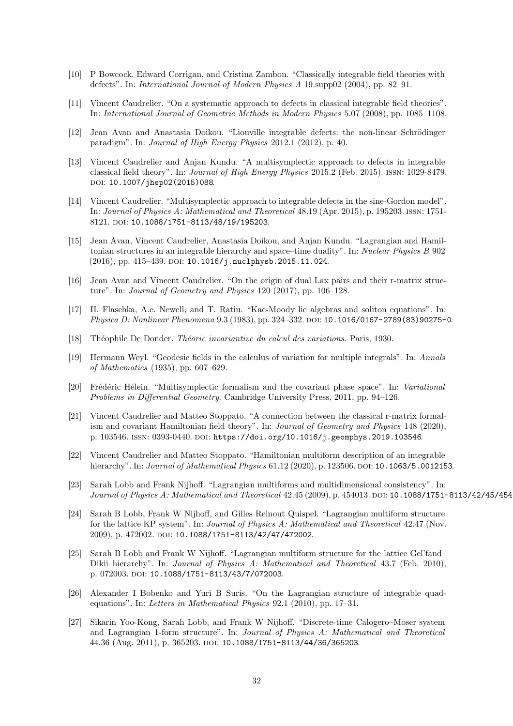- <span id="page-31-0"></span>[10] P Bowcock, Edward Corrigan, and Cristina Zambon. "Classically integrable field theories with defects". In: International Journal of Modern Physics A 19.supp02 (2004), pp. 82–91.
- <span id="page-31-1"></span>[11] Vincent Caudrelier. "On a systematic approach to defects in classical integrable field theories". In: International Journal of Geometric Methods in Modern Physics 5.07 (2008), pp. 1085–1108.
- <span id="page-31-2"></span>[12] Jean Avan and Anastasia Doikou. "Liouville integrable defects: the non-linear Schrödinger paradigm". In: Journal of High Energy Physics 2012.1 (2012), p. 40.
- <span id="page-31-3"></span>[13] Vincent Caudrelier and Anjan Kundu. "A multisymplectic approach to defects in integrable classical field theory". In: Journal of High Energy Physics 2015.2 (Feb. 2015). issn: 1029-8479. DOI: [10.1007/jhep02\(2015\)088](https://doi.org/10.1007/jhep02(2015)088).
- <span id="page-31-4"></span>[14] Vincent Caudrelier. "Multisymplectic approach to integrable defects in the sine-Gordon model". In: Journal of Physics A: Mathematical and Theoretical 48.19 (Apr. 2015), p. 195203. issn: 1751- 8121. DOI: [10.1088/1751-8113/48/19/195203](https://doi.org/10.1088/1751-8113/48/19/195203).
- <span id="page-31-5"></span>[15] Jean Avan, Vincent Caudrelier, Anastasia Doikou, and Anjan Kundu. "Lagrangian and Hamiltonian structures in an integrable hierarchy and space–time duality". In: Nuclear Physics B 902 (2016), pp. 415-439. DOI: [10.1016/j.nuclphysb.2015.11.024](https://doi.org/10.1016/j.nuclphysb.2015.11.024).
- <span id="page-31-6"></span>[16] Jean Avan and Vincent Caudrelier. "On the origin of dual Lax pairs and their r-matrix structure". In: Journal of Geometry and Physics 120 (2017), pp. 106–128.
- <span id="page-31-7"></span>[17] H. Flaschka, A.c. Newell, and T. Ratiu. "Kac-Moody lie algebras and soliton equations". In: Physica D: Nonlinear Phenomena 9.3 (1983), pp. 324–332. DOI: [10.1016/0167-2789\(83\)90275-0](https://doi.org/10.1016/0167-2789(83)90275-0).
- <span id="page-31-8"></span>[18] Théophile De Donder. Théorie invariantive du calcul des variations. Paris, 1930.
- <span id="page-31-9"></span>[19] Hermann Weyl. "Geodesic fields in the calculus of variation for multiple integrals". In: Annals of Mathematics (1935), pp. 607–629.
- <span id="page-31-10"></span>[20] Frédéric Hélein. "Multisymplectic formalism and the covariant phase space". In: Variational Problems in Differential Geometry. Cambridge University Press, 2011, pp. 94–126.
- <span id="page-31-11"></span>[21] Vincent Caudrelier and Matteo Stoppato. "A connection between the classical r-matrix formalism and covariant Hamiltonian field theory". In: Journal of Geometry and Physics 148 (2020), p. 103546. ISSN: 0393-0440. DOI: [https://doi.org/10.1016/j.geomphys.2019.103546](https://doi.org/https://doi.org/10.1016/j.geomphys.2019.103546).
- <span id="page-31-12"></span>[22] Vincent Caudrelier and Matteo Stoppato. "Hamiltonian multiform description of an integrable hierarchy". In: Journal of Mathematical Physics 61.12 (2020), p. 123506. DOI: [10.1063/5.0012153](https://doi.org/10.1063/5.0012153).
- <span id="page-31-13"></span>[23] Sarah Lobb and Frank Nijhoff. "Lagrangian multiforms and multidimensional consistency". In: Journal of Physics A: Mathematical and Theoretical 42.45 (2009), p. 454013. DOI: 10.1088/1751-8113/42/45/454
- <span id="page-31-14"></span>[24] Sarah B Lobb, Frank W Nijhoff, and Gilles Reinout Quispel. "Lagrangian multiform structure for the lattice KP system". In: Journal of Physics A: Mathematical and Theoretical 42.47 (Nov. 2009), p. 472002. doi: [10.1088/1751-8113/42/47/472002](https://doi.org/10.1088/1751-8113/42/47/472002).
- <span id="page-31-15"></span>[25] Sarah B Lobb and Frank W Nijhoff. "Lagrangian multiform structure for the lattice Gel'fand– Dikii hierarchy". In: *Journal of Physics A: Mathematical and Theoretical* 43.7 (Feb. 2010), p. 072003. doi: [10.1088/1751-8113/43/7/072003](https://doi.org/10.1088/1751-8113/43/7/072003).
- <span id="page-31-16"></span>[26] Alexander I Bobenko and Yuri B Suris. "On the Lagrangian structure of integrable quadequations". In: Letters in Mathematical Physics 92.1 (2010), pp. 17–31.
- <span id="page-31-17"></span>[27] Sikarin Yoo-Kong, Sarah Lobb, and Frank W Nijhoff. "Discrete-time Calogero–Moser system and Lagrangian 1-form structure". In: Journal of Physics A: Mathematical and Theoretical 44.36 (Aug. 2011), p. 365203. doi: [10.1088/1751-8113/44/36/365203](https://doi.org/10.1088/1751-8113/44/36/365203).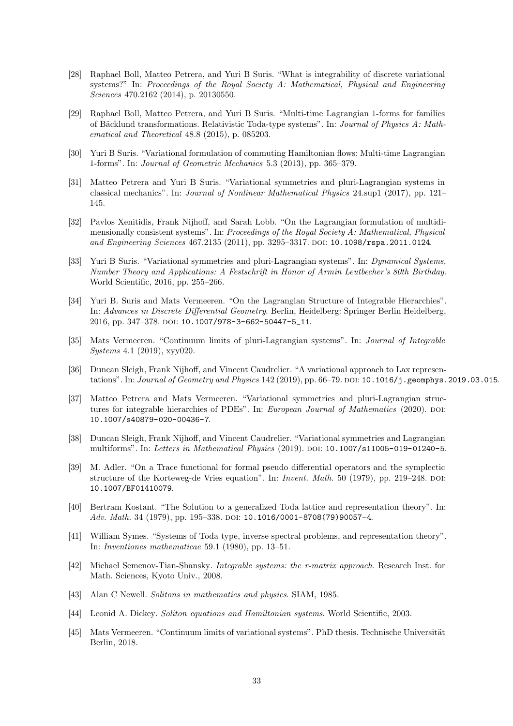- <span id="page-32-0"></span>[28] Raphael Boll, Matteo Petrera, and Yuri B Suris. "What is integrability of discrete variational systems?" In: Proceedings of the Royal Society A: Mathematical, Physical and Engineering Sciences 470.2162 (2014), p. 20130550.
- <span id="page-32-1"></span>[29] Raphael Boll, Matteo Petrera, and Yuri B Suris. "Multi-time Lagrangian 1-forms for families of Bäcklund transformations. Relativistic Toda-type systems". In: Journal of Physics A: Mathematical and Theoretical 48.8 (2015), p. 085203.
- <span id="page-32-2"></span>[30] Yuri B Suris. "Variational formulation of commuting Hamiltonian flows: Multi-time Lagrangian 1-forms". In: Journal of Geometric Mechanics 5.3 (2013), pp. 365–379.
- <span id="page-32-3"></span>[31] Matteo Petrera and Yuri B Suris. "Variational symmetries and pluri-Lagrangian systems in classical mechanics". In: Journal of Nonlinear Mathematical Physics 24.sup1 (2017), pp. 121– 145.
- <span id="page-32-4"></span>[32] Pavlos Xenitidis, Frank Nijhoff, and Sarah Lobb. "On the Lagrangian formulation of multidimensionally consistent systems". In: Proceedings of the Royal Society A: Mathematical, Physical and Engineering Sciences 467.2135 (2011), pp. 3295-3317. DOI: [10.1098/rspa.2011.0124](https://doi.org/10.1098/rspa.2011.0124).
- <span id="page-32-5"></span>[33] Yuri B Suris. "Variational symmetries and pluri-Lagrangian systems". In: Dynamical Systems, Number Theory and Applications: A Festschrift in Honor of Armin Leutbecher's 80th Birthday. World Scientific, 2016, pp. 255–266.
- <span id="page-32-6"></span>[34] Yuri B. Suris and Mats Vermeeren. "On the Lagrangian Structure of Integrable Hierarchies". In: Advances in Discrete Differential Geometry. Berlin, Heidelberg: Springer Berlin Heidelberg, 2016, pp. 347-378. doi: [10.1007/978-3-662-50447-5\\_11](https://doi.org/10.1007/978-3-662-50447-5_11).
- <span id="page-32-7"></span>[35] Mats Vermeeren. "Continuum limits of pluri-Lagrangian systems". In: Journal of Integrable Systems 4.1 (2019), xyy020.
- <span id="page-32-8"></span>[36] Duncan Sleigh, Frank Nijhoff, and Vincent Caudrelier. "A variational approach to Lax represen-tations". In: Journal of Geometry and Physics 142 (2019), pp. 66-79. pol: [10.1016/j.geomphys.2019.03.015](https://doi.org/10.1016/j.geomphys.2019.03.015).
- <span id="page-32-9"></span>[37] Matteo Petrera and Mats Vermeeren. "Variational symmetries and pluri-Lagrangian structures for integrable hierarchies of PDEs". In: European Journal of Mathematics (2020). DOI: [10.1007/s40879-020-00436-7](https://doi.org/10.1007/s40879-020-00436-7).
- <span id="page-32-10"></span>[38] Duncan Sleigh, Frank Nijhoff, and Vincent Caudrelier. "Variational symmetries and Lagrangian multiforms". In: Letters in Mathematical Physics (2019). DOI: [10.1007/s11005-019-01240-5](https://doi.org/10.1007/s11005-019-01240-5).
- <span id="page-32-11"></span>[39] M. Adler. "On a Trace functional for formal pseudo differential operators and the symplectic structure of the Korteweg-de Vries equation". In: *Invent. Math.* 50 (1979), pp. 219–248. DOI: [10.1007/BF01410079](https://doi.org/10.1007/BF01410079).
- <span id="page-32-12"></span>[40] Bertram Kostant. "The Solution to a generalized Toda lattice and representation theory". In: Adv. Math. 34 (1979), pp. 195–338. DOI: 10.1016/0001–8708(79)90057–4.
- <span id="page-32-13"></span>[41] William Symes. "Systems of Toda type, inverse spectral problems, and representation theory". In: Inventiones mathematicae 59.1 (1980), pp. 13–51.
- <span id="page-32-14"></span>[42] Michael Semenov-Tian-Shansky. Integrable systems: the r-matrix approach. Research Inst. for Math. Sciences, Kyoto Univ., 2008.
- <span id="page-32-15"></span>[43] Alan C Newell. Solitons in mathematics and physics. SIAM, 1985.
- <span id="page-32-16"></span>[44] Leonid A. Dickey. Soliton equations and Hamiltonian systems. World Scientific, 2003.
- <span id="page-32-17"></span>[45] Mats Vermeeren. "Continuum limits of variational systems". PhD thesis. Technische Universität Berlin, 2018.